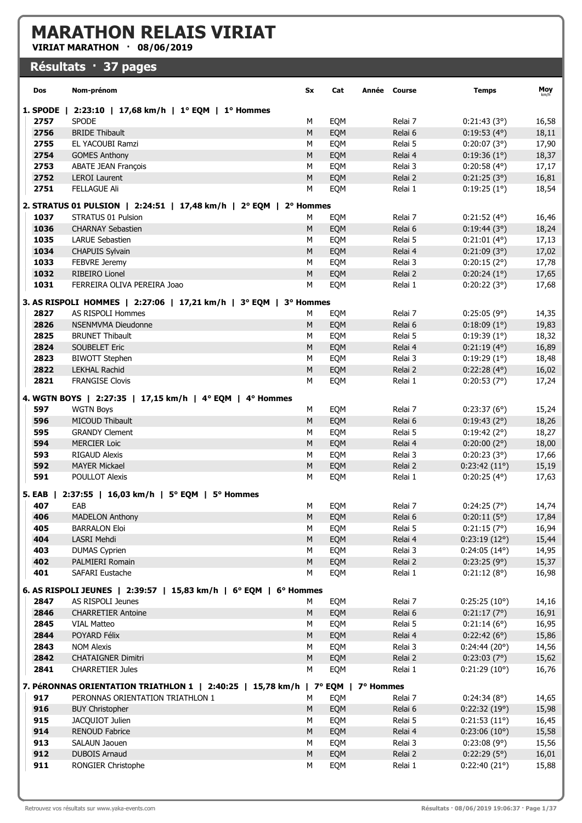## MARATHON RELAIS VIRIAT

VIRIAT MARATHON · 08/06/2019

## Résultats · 37 pages

| Dos           | Nom-prénom                                                                                                          | Sx        | Cat | Année Course |         | <b>Temps</b>          | Moy   |
|---------------|---------------------------------------------------------------------------------------------------------------------|-----------|-----|--------------|---------|-----------------------|-------|
| 1. SPODE      | 2:23:10   17,68 km/h   1° EQM   1° Hommes                                                                           |           |     |              |         |                       |       |
| 2757          | <b>SPODE</b>                                                                                                        | М         | EQM |              | Relai 7 | 0:21:43(3°)           | 16,58 |
| 2756          | <b>BRIDE Thibault</b>                                                                                               | M         | EQM |              | Relai 6 | $0:19:53(4^{\circ})$  | 18,11 |
| 2755          | EL YACOUBI Ramzi                                                                                                    | М         | EQM |              | Relai 5 | 0:20:07(3°)           | 17,90 |
| 2754          | <b>GOMES Anthony</b>                                                                                                | M         | EQM |              | Relai 4 | 0:19:36(1°)           | 18,37 |
| 2753          | <b>ABATE JEAN François</b>                                                                                          | M         | EQM |              | Relai 3 | $0:20:58(4^{\circ})$  | 17,17 |
| 2752          | <b>LEROI Laurent</b>                                                                                                | M         | EQM |              | Relai 2 | 0:21:25(3°)           | 16,81 |
| 2751          | <b>FELLAGUE Ali</b>                                                                                                 | М         | EQM |              | Relai 1 | 0:19:25(1°)           | 18,54 |
|               | 2. STRATUS 01 PULSION   2:24:51   17,48 km/h   2° EQM   2° Hommes                                                   |           |     |              |         |                       |       |
| 1037          | STRATUS 01 Pulsion                                                                                                  | М         | EQM |              | Relai 7 | $0:21:52(4^{\circ})$  | 16,46 |
| 1036          | <b>CHARNAY Sebastien</b>                                                                                            | M         | EQM |              | Relai 6 | 0:19:44(3°)           | 18,24 |
| 1035          | <b>LARUE Sebastien</b>                                                                                              | M         | EQM |              | Relai 5 | 0:21:01(4°)           | 17,13 |
| 1034          | <b>CHAPUIS Sylvain</b>                                                                                              | M         | EQM |              | Relai 4 | 0:21:09(3°)           | 17,02 |
| 1033          | FEBVRE Jeremy                                                                                                       | M         | EQM |              | Relai 3 | 0:20:15(2°)           | 17,78 |
| 1032          | <b>RIBEIRO Lionel</b>                                                                                               | ${\sf M}$ | EQM |              | Relai 2 | 0:20:24(1°)           | 17,65 |
| 1031          | FERREIRA OLIVA PEREIRA Joao                                                                                         | M         | EQM |              | Relai 1 | 0:20:22(3°)           | 17,68 |
|               | 3. AS RISPOLI HOMMES   2:27:06   17,21 km/h   3° EQM   3° Hommes                                                    |           |     |              |         |                       |       |
| 2827          | <b>AS RISPOLI Hommes</b>                                                                                            | М         | EQM |              | Relai 7 | 0:25:05(9°)           | 14,35 |
| 2826          | <b>NSENMVMA Dieudonne</b>                                                                                           | М         | EQM |              | Relai 6 | $0:18:09(1^{\circ})$  | 19,83 |
| 2825          | <b>BRUNET Thibault</b>                                                                                              | M         | EQM |              | Relai 5 | 0:19:39(1°)           | 18,32 |
| 2824          | <b>SOUBELET Eric</b>                                                                                                | M         | EQM |              | Relai 4 | 0:21:19(4°)           | 16,89 |
| 2823          | <b>BIWOTT Stephen</b>                                                                                               | M         | EQM |              | Relai 3 | 0:19:29(1°)           | 18,48 |
| 2822          | <b>LEKHAL Rachid</b>                                                                                                | ${\sf M}$ | EQM |              | Relai 2 | 0:22:28(4°)           | 16,02 |
| 2821          | <b>FRANGISE Clovis</b>                                                                                              | M         | EQM |              | Relai 1 | 0:20:53(7°)           | 17,24 |
|               | 4. WGTN BOYS   2:27:35   17,15 km/h   4° EQM   4° Hommes                                                            |           |     |              |         |                       |       |
| 597           | <b>WGTN Boys</b>                                                                                                    | м         | EQM |              | Relai 7 | 0:23:37(6°)           | 15,24 |
| 596           | MICOUD Thibault                                                                                                     | ${\sf M}$ | EQM |              | Relai 6 | 0:19:43(2°)           | 18,26 |
| 595           | <b>GRANDY Clement</b>                                                                                               | М         | EQM |              | Relai 5 | 0:19:42(2°)           | 18,27 |
| 594           | <b>MERCIER Loic</b>                                                                                                 | ${\sf M}$ | EQM |              | Relai 4 | 0:20:00(2°)           | 18,00 |
| 593           | <b>RIGAUD Alexis</b>                                                                                                | М         | EQM |              | Relai 3 | 0:20:23(3°)           | 17,66 |
| 592           | <b>MAYER Mickael</b>                                                                                                | ${\sf M}$ | EQM |              | Relai 2 | 0:23:42(11°)          | 15,19 |
| 591           | <b>POULLOT Alexis</b>                                                                                               | M         | EQM |              | Relai 1 | $0:20:25(4^{\circ})$  | 17,63 |
| <b>5. EAB</b> | 2:37:55   16,03 km/h   5° EQM   5° Hommes                                                                           |           |     |              |         |                       |       |
| 407           | EAB                                                                                                                 | М         | EQM |              | Relai 7 | 0:24:25(7°)           | 14,74 |
| 406           | <b>MADELON Anthony</b>                                                                                              | M         | EQM |              | Relai 6 | 0:20:11(5°)           | 17,84 |
| 405           | <b>BARRALON Eloi</b>                                                                                                | М         | EQM |              | Relai 5 | 0:21:15(7°)           | 16,94 |
| 404           | LASRI Mehdi                                                                                                         | ${\sf M}$ | EQM |              | Relai 4 | 0:23:19(12°)          | 15,44 |
| 403           | <b>DUMAS Cyprien</b>                                                                                                | M         | EQM |              | Relai 3 | $0:24:05(14^{\circ})$ | 14,95 |
| 402           | PALMIERI Romain                                                                                                     | ${\sf M}$ | EQM |              | Relai 2 | 0:23:25(9°)           | 15,37 |
| 401           | SAFARI Eustache                                                                                                     | M         | EQM |              | Relai 1 | 0:21:12(8°)           | 16,98 |
|               | 6. AS RISPOLI JEUNES   2:39:57   15,83 km/h   6° EQM   6° Hommes                                                    |           |     |              |         |                       |       |
| 2847          | AS RISPOLI Jeunes                                                                                                   | м         | EQM |              | Relai 7 | 0:25:25(10°)          | 14,16 |
| 2846          | <b>CHARRETIER Antoine</b>                                                                                           | M         | EQM |              | Relai 6 | 0:21:17(7°)           | 16,91 |
| 2845          | <b>VIAL Matteo</b>                                                                                                  | М         | EQM |              | Relai 5 | 0:21:14(6°)           | 16,95 |
| 2844          | POYARD Félix                                                                                                        | M         | EQM |              | Relai 4 | 0:22:42(6°)           | 15,86 |
| 2843          | <b>NOM Alexis</b>                                                                                                   | M         | EQM |              | Relai 3 | 0:24:44(20°)          | 14,56 |
| 2842          | <b>CHATAIGNER Dimitri</b>                                                                                           | ${\sf M}$ | EQM |              | Relai 2 | 0:23:03(7°)           | 15,62 |
| 2841          | <b>CHARRETIER Jules</b>                                                                                             | M         | EQM |              | Relai 1 | 0:21:29(10°)          | 16,76 |
|               |                                                                                                                     |           |     |              |         |                       |       |
| 917           | 7. PéRONNAS ORIENTATION TRIATHLON 1   2:40:25   15,78 km/h   7° EQM   7° Hommes<br>PERONNAS ORIENTATION TRIATHLON 1 | M         | EQM |              | Relai 7 | 0:24:34(8°)           | 14,65 |
| 916           | <b>BUY Christopher</b>                                                                                              | M         | EQM |              | Relai 6 | 0:22:32(19°)          | 15,98 |
| 915           | JACQUIOT Julien                                                                                                     | M         | EQM |              | Relai 5 | 0:21:53(11°)          | 16,45 |
| 914           | <b>RENOUD Fabrice</b>                                                                                               | ${\sf M}$ | EQM |              | Relai 4 | 0:23:06(10°)          | 15,58 |
| 913           | SALAUN Jaouen                                                                                                       | М         | EQM |              | Relai 3 | 0:23:08(9°)           | 15,56 |
| 912           | <b>DUBOIS Arnaud</b>                                                                                                | ${\sf M}$ | EQM |              | Relai 2 | 0:22:29(5°)           | 16,01 |
| 911           | RONGIER Christophe                                                                                                  | М         | EQM |              | Relai 1 | 0:22:40(21°)          | 15,88 |
|               |                                                                                                                     |           |     |              |         |                       |       |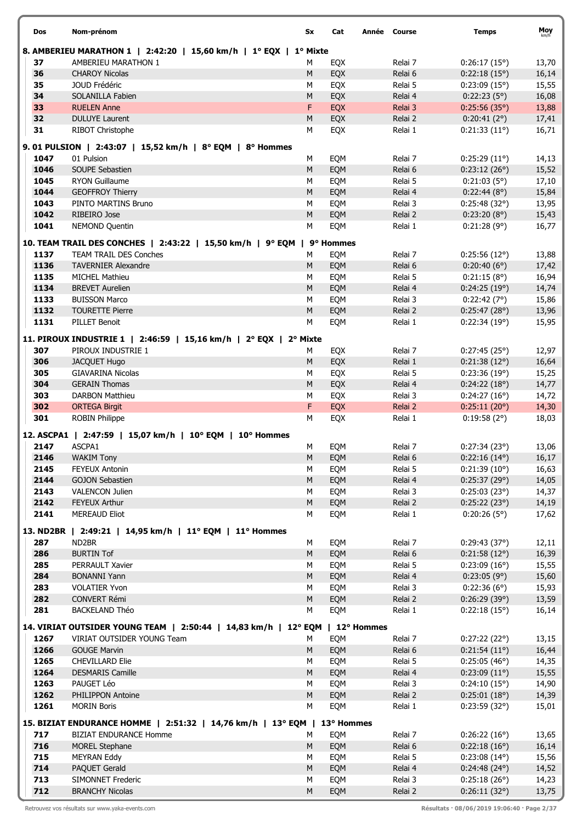| <b>Dos</b>   | Nom-prénom                                                                                                 | Sx             | Cat        | Année | Course             | <b>Temps</b>                          | Moy            |
|--------------|------------------------------------------------------------------------------------------------------------|----------------|------------|-------|--------------------|---------------------------------------|----------------|
|              | 8. AMBERIEU MARATHON 1   2:42:20   15,60 km/h   1º EQX   1º Mixte                                          |                |            |       |                    |                                       |                |
| 37           | AMBERIEU MARATHON 1                                                                                        | М              | EQX        |       | Relai 7            | 0:26:17(15°)                          | 13,70          |
| 36           | <b>CHAROY Nicolas</b>                                                                                      | M              | EQX        |       | Relai 6            | 0:22:18(15°)                          | 16,14          |
| 35           | JOUD Frédéric                                                                                              | M              | EQX        |       | Relai 5            | 0:23:09(15°)                          | 15,55          |
| 34           | SOLANILLA Fabien                                                                                           | ${\sf M}$      | EQX        |       | Relai 4            | 0:22:23(5°)                           | 16,08          |
| 33           | <b>RUELEN Anne</b>                                                                                         | F              | EQX        |       | Relai 3            | 0:25:56(35°)                          | 13,88          |
| 32           | <b>DULUYE Laurent</b>                                                                                      | M              | EQX        |       | Relai 2            | 0:20:41(2°)                           | 17,41          |
| 31           | RIBOT Christophe                                                                                           | M              | EQX        |       | Relai 1            | 0:21:33(11°)                          | 16,71          |
|              | 9.01 PULSION   2:43:07   15,52 km/h   8° EQM   8° Hommes                                                   |                |            |       |                    |                                       |                |
| 1047         | 01 Pulsion                                                                                                 | M              | EQM        |       | Relai 7            | 0:25:29(11°)                          | 14,13          |
| 1046         | SOUPE Sebastien                                                                                            | ${\sf M}$      | EQM        |       | Relai 6            | 0:23:12(26°)                          | 15,52          |
| 1045         | RYON Guillaume                                                                                             | M              | EQM        |       | Relai 5            | 0:21:03(5°)                           | 17,10          |
| 1044         | <b>GEOFFROY Thierry</b>                                                                                    | ${\sf M}$      | EQM        |       | Relai 4            | 0:22:44(8°)                           | 15,84          |
| 1043         | PINTO MARTINS Bruno                                                                                        | M              | EQM        |       | Relai 3            | 0:25:48(32°)                          | 13,95          |
| 1042         | RIBEIRO Jose                                                                                               | ${\sf M}$      | EQM        |       | Relai 2            | 0:23:20(8°)                           | 15,43          |
| 1041         | <b>NEMOND Quentin</b>                                                                                      | M              | EQM        |       | Relai 1            | 0:21:28(9°)                           | 16,77          |
|              | 10. TEAM TRAIL DES CONCHES   2:43:22   15,50 km/h   9° EQM                                                 |                | 9° Hommes  |       |                    |                                       |                |
| 1137         | <b>TEAM TRAIL DES Conches</b>                                                                              | М              | EQM        |       | Relai 7            | 0:25:56(12°)                          | 13,88          |
| 1136         | <b>TAVERNIER Alexandre</b>                                                                                 | M              | EQM        |       | Relai 6            | 0:20:40(6°)                           | 17,42          |
| 1135         | <b>MICHEL Mathieu</b>                                                                                      | М              | EQM        |       | Relai 5            | 0:21:15(8°)                           | 16,94          |
| 1134         | <b>BREVET Aurelien</b>                                                                                     | ${\sf M}$      | EQM        |       | Relai 4            | 0:24:25(19°)                          | 14,74          |
| 1133         | <b>BUISSON Marco</b>                                                                                       | M              | EQM        |       | Relai 3            | 0:22:42(7°)                           | 15,86          |
| 1132         | <b>TOURETTE Pierre</b>                                                                                     | M              | EQM        |       | Relai 2            | 0:25:47(28°)                          | 13,96          |
| 1131         | <b>PILLET Benoit</b>                                                                                       | M              | EQM        |       | Relai 1            | 0:22:34(19°)                          | 15,95          |
|              | 11. PIROUX INDUSTRIE 1   2:46:59   15,16 km/h   2° EQX   2° Mixte                                          |                |            |       |                    |                                       |                |
| 307          | PIROUX INDUSTRIE 1                                                                                         | М              | EQX        |       | Relai 7            | 0:27:45(25°)                          | 12,97          |
| 306          | JACQUET Hugo                                                                                               | ${\sf M}$      | EQX        |       | Relai 1            | 0:21:38(12°)                          | 16,64          |
| 305          | <b>GIAVARINA Nicolas</b>                                                                                   | M              | EQX        |       | Relai 5            | 0:23:36(19°)                          | 15,25          |
| 304          | <b>GERAIN Thomas</b>                                                                                       | M              | EQX        |       | Relai 4            | 0:24:22(18°)                          | 14,77          |
| 303          | <b>DARBON Matthieu</b>                                                                                     | M              | EQX        |       | Relai 3            | 0:24:27(16°)                          | 14,72          |
| 302          | <b>ORTEGA Birgit</b>                                                                                       | F              | EQX        |       | Relai 2            | 0:25:11(20°)                          | 14,30          |
| 301          | <b>ROBIN Philippe</b>                                                                                      | M              | EQX        |       | Relai 1            | 0:19:58(2°)                           | 18,03          |
|              | 12. ASCPA1   2:47:59   15,07 km/h   10° EQM   10° Hommes                                                   |                |            |       |                    |                                       |                |
| 2147         | ASCPA1                                                                                                     | М              | EQM        |       | Relai 7            | 0:27:34(23°)                          | 13,06          |
| 2146         | <b>WAKIM Tony</b>                                                                                          | ${\sf M}$      | EQM        |       | Relai 6            | $0:22:16(14^{\circ})$                 | 16,17          |
| 2145         | <b>FEYEUX Antonin</b>                                                                                      | M              | EQM        |       | Relai 5            | 0:21:39(10°)                          | 16,63          |
| 2144         | <b>GOJON Sebastien</b>                                                                                     | M              | EQM        |       | Relai 4            | 0:25:37(29°)                          | 14,05          |
| 2143         | <b>VALENCON Julien</b>                                                                                     | M              | EQM        |       | Relai 3            | 0:25:03(23°)                          | 14,37          |
| 2142         | <b>FEYEUX Arthur</b>                                                                                       | M              | EQM        |       | Relai 2            | 0:25:22(23°)                          | 14,19          |
| 2141         | <b>MEREAUD Eliot</b>                                                                                       | М              | EQM        |       | Relai 1            | 0:20:26(5°)                           | 17,62          |
|              | 13. ND2BR   2:49:21   14,95 km/h   11° EQM   11° Hommes                                                    |                |            |       |                    |                                       |                |
| 287          | ND2BR                                                                                                      | М              | EQM        |       | Relai 7            | 0:29:43(37°)                          | 12,11          |
| 286          | <b>BURTIN Tof</b>                                                                                          | ${\sf M}$      | EQM        |       | Relai 6            | 0:21:58(12°)                          | 16,39          |
| 285          | PERRAULT Xavier                                                                                            | M              | EQM        |       | Relai 5            | 0:23:09(16°)                          | 15,55          |
| 284          | <b>BONANNI Yann</b>                                                                                        | M              | EQM        |       | Relai 4            | 0:23:05(9°)                           | 15,60          |
| 283          | <b>VOLATIER Yvon</b>                                                                                       | М              | EQM        |       | Relai 3            | 0:22:36(6°)                           | 15,93          |
| 282          | CONVERT Rémi                                                                                               | ${\sf M}$      | EQM        |       | Relai 2            | 0:26:29(39°)                          | 13,59          |
| 281          | <b>BACKELAND Théo</b>                                                                                      | M              | EQM        |       | Relai 1            | 0:22:18(15°)                          | 16,14          |
|              |                                                                                                            |                |            |       |                    |                                       |                |
|              | 14. VIRIAT OUTSIDER YOUNG TEAM   2:50:44   14,83 km/h   12° EQM   12° Hommes<br>VIRIAT OUTSIDER YOUNG Team |                |            |       | Relai 7            |                                       |                |
| 1267<br>1266 | <b>GOUGE Marvin</b>                                                                                        | М<br>${\sf M}$ | EQM<br>EQM |       | Relai 6            | 0:27:22(22°)<br>0:21:54(11°)          | 13,15<br>16,44 |
| 1265         | <b>CHEVILLARD Elie</b>                                                                                     | M              | EQM        |       | Relai 5            | 0:25:05(46°)                          | 14,35          |
| 1264         | <b>DESMARIS Camille</b>                                                                                    | ${\sf M}$      | EQM        |       | Relai 4            | 0:23:09(11°)                          | 15,55          |
| 1263         | PAUGET Léo                                                                                                 | М              | EQM        |       | Relai 3            | 0:24:10(15°)                          | 14,90          |
| 1262         | PHILIPPON Antoine                                                                                          | M              | EQM        |       | Relai 2            | 0:25:01(18°)                          | 14,39          |
| 1261         | <b>MORIN Boris</b>                                                                                         | М              | EQM        |       | Relai 1            | $0:23:59(32^{\circ})$                 | 15,01          |
|              |                                                                                                            |                |            |       |                    |                                       |                |
|              | 15. BIZIAT ENDURANCE HOMME   2:51:32   14,76 km/h   13° EQM   13° Hommes                                   |                |            |       |                    |                                       |                |
| 717          | <b>BIZIAT ENDURANCE Homme</b>                                                                              | м              | EQM        |       | Relai 7            | 0:26:22(16°)                          | 13,65          |
| 716          | <b>MOREL Stephane</b>                                                                                      | M              | EQM        |       | Relai 6            | 0:22:18(16°)                          | 16,14          |
| 715<br>714   | <b>MEYRAN Eddy</b><br>PAQUET Gerald                                                                        | М<br>M         | EQM        |       | Relai 5            | $0:23:08(14^{\circ})$                 | 15,56          |
| 713          | <b>SIMONNET Frederic</b>                                                                                   | M              | EQM<br>EQM |       | Relai 4<br>Relai 3 | $0:24:48(24^{\circ})$<br>0:25:18(26°) | 14,52<br>14,23 |
| 712          | <b>BRANCHY Nicolas</b>                                                                                     | ${\sf M}$      | EQM        |       | Relai 2            | 0:26:11(32°)                          | 13,75          |
|              |                                                                                                            |                |            |       |                    |                                       |                |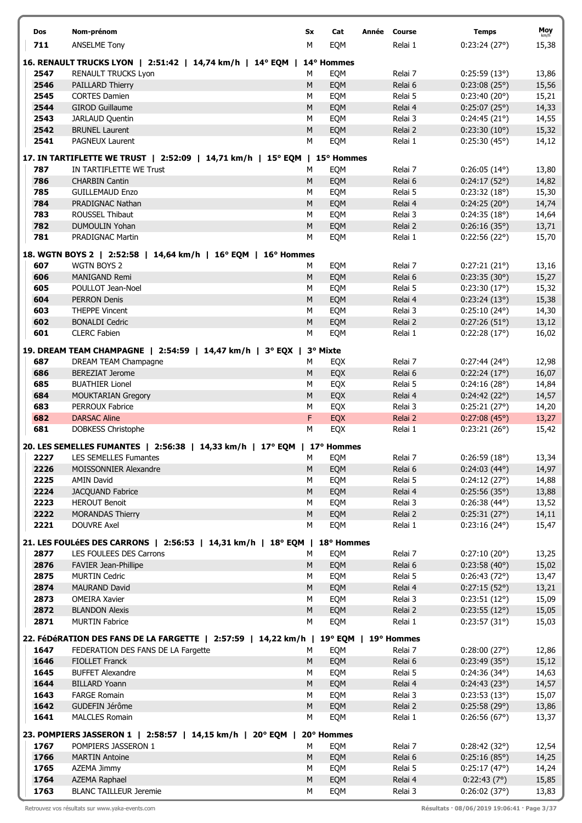| Dos  | Nom-prénom                                                                           | Sx        | Cat        | Année Course |         | <b>Temps</b>          | Moy<br>km/h |
|------|--------------------------------------------------------------------------------------|-----------|------------|--------------|---------|-----------------------|-------------|
| 711  | <b>ANSELME Tony</b>                                                                  | М         | EQM        |              | Relai 1 | 0:23:24(27°)          | 15,38       |
|      |                                                                                      |           |            |              |         |                       |             |
|      | 16. RENAULT TRUCKS LYON   2:51:42   14,74 km/h   14° EQM   14° Hommes                |           |            |              |         |                       |             |
| 2547 | <b>RENAULT TRUCKS Lyon</b>                                                           | М         | EQM        |              | Relai 7 | 0:25:59(13°)          | 13,86       |
|      |                                                                                      |           |            |              |         |                       |             |
| 2546 | PAILLARD Thierry                                                                     | ${\sf M}$ | EQM        |              | Relai 6 | 0:23:08(25°)          | 15,56       |
| 2545 | <b>CORTES Damien</b>                                                                 | M         | EQM        |              | Relai 5 | 0:23:40(20°)          | 15,21       |
| 2544 | <b>GIROD Guillaume</b>                                                               | ${\sf M}$ | EQM        |              | Relai 4 | $0:25:07(25^{\circ})$ | 14,33       |
| 2543 | JARLAUD Quentin                                                                      | M         | EQM        |              | Relai 3 | 0:24:45(21°)          | 14,55       |
| 2542 | <b>BRUNEL Laurent</b>                                                                | ${\sf M}$ | EQM        |              | Relai 2 | 0:23:30(10°)          | 15,32       |
|      |                                                                                      |           |            |              |         |                       |             |
| 2541 | <b>PAGNEUX Laurent</b>                                                               | M         | EQM        |              | Relai 1 | 0:25:30(45°)          | 14,12       |
|      | 17. IN TARTIFLETTE WE TRUST   2:52:09   14,71 km/h   15° EQM   15° Hommes            |           |            |              |         |                       |             |
|      |                                                                                      |           |            |              |         |                       |             |
| 787  | IN TARTIFLETTE WE Trust                                                              | М         | EQM        |              | Relai 7 | $0:26:05(14^{\circ})$ | 13,80       |
| 786  | <b>CHARBIN Cantin</b>                                                                | M         | EQM        |              | Relai 6 | 0:24:17(52°)          | 14,82       |
| 785  | <b>GUILLEMAUD Enzo</b>                                                               | M         | EQM        |              | Relai 5 | 0:23:32(18°)          | 15,30       |
| 784  | PRADIGNAC Nathan                                                                     | ${\sf M}$ | EQM        |              | Relai 4 | 0:24:25(20°)          | 14,74       |
|      |                                                                                      |           |            |              |         |                       |             |
| 783  | ROUSSEL Thibaut                                                                      | M         | EQM        |              | Relai 3 | 0:24:35(18°)          | 14,64       |
| 782  | <b>DUMOULIN Yohan</b>                                                                | ${\sf M}$ | EQM        |              | Relai 2 | 0:26:16(35°)          | 13,71       |
| 781  | <b>PRADIGNAC Martin</b>                                                              | M         | EQM        |              | Relai 1 | 0:22:56(22°)          | 15,70       |
|      |                                                                                      |           |            |              |         |                       |             |
|      | 18. WGTN BOYS 2   2:52:58   14,64 km/h   16° EQM   16° Hommes                        |           |            |              |         |                       |             |
| 607  | <b>WGTN BOYS 2</b>                                                                   | М         | EQM        |              | Relai 7 | 0:27:21(21°)          | 13,16       |
| 606  | <b>MANIGAND Remi</b>                                                                 | M         | EQM        |              | Relai 6 | 0:23:35(30°)          | 15,27       |
| 605  | POULLOT Jean-Noel                                                                    | M         | EQM        |              | Relai 5 | 0:23:30(17°)          | 15,32       |
|      |                                                                                      |           |            |              |         |                       |             |
| 604  | <b>PERRON Denis</b>                                                                  | ${\sf M}$ | EQM        |              | Relai 4 | 0:23:24(13°)          | 15,38       |
| 603  | <b>THEPPE Vincent</b>                                                                | М         | EQM        |              | Relai 3 | $0:25:10(24^{\circ})$ | 14,30       |
| 602  | <b>BONALDI Cedric</b>                                                                | ${\sf M}$ | EQM        |              | Relai 2 | 0:27:26(51°)          | 13,12       |
| 601  | <b>CLERC Fabien</b>                                                                  | M         | EQM        |              | Relai 1 | 0:22:28(17°)          | 16,02       |
|      |                                                                                      |           |            |              |         |                       |             |
|      | 19. DREAM TEAM CHAMPAGNE   2:54:59   14,47 km/h   3° EQX                             |           | 3° Mixte   |              |         |                       |             |
| 687  | DREAM TEAM Champagne                                                                 | M         | <b>EQX</b> |              | Relai 7 | 0:27:44(24°)          | 12,98       |
| 686  | <b>BEREZIAT Jerome</b>                                                               | ${\sf M}$ | EQX        |              | Relai 6 | 0:22:24(17°)          | 16,07       |
|      |                                                                                      |           |            |              |         |                       |             |
| 685  | <b>BUATHIER Lionel</b>                                                               | M         | EQX        |              | Relai 5 | 0:24:16(28°)          | 14,84       |
| 684  | <b>MOUKTARIAN Gregory</b>                                                            | ${\sf M}$ | EQX        |              | Relai 4 | 0:24:42(22°)          | 14,57       |
| 683  | PERROUX Fabrice                                                                      | M         | EQX        |              | Relai 3 | 0:25:21(27°)          | 14,20       |
| 682  | <b>DARSAC Aline</b>                                                                  | F         | EQX        |              | Relai 2 | 0:27:08(45°)          | 13,27       |
| 681  | <b>DOBKESS Christophe</b>                                                            | M         | EQX        |              | Relai 1 | 0:23:21(26°)          | 15,42       |
|      |                                                                                      |           |            |              |         |                       |             |
|      | 20. LES SEMELLES FUMANTES   2:56:38   14,33 km/h   17° EQM                           |           | 17° Hommes |              |         |                       |             |
| 2227 | <b>LES SEMELLES Fumantes</b>                                                         | M         | EQM        |              | Relai 7 | 0:26:59(18°)          | 13,34       |
|      |                                                                                      |           |            |              |         |                       |             |
| 2226 | MOISSONNIER Alexandre                                                                | M         | EQM        |              | Relai 6 | $0:24:03(44^{\circ})$ | 14,97       |
| 2225 | <b>AMIN David</b>                                                                    | M         | EQM        |              | Relai 5 | 0:24:12(27°)          | 14,88       |
| 2224 | <b>JACQUAND Fabrice</b>                                                              | M         | EQM        |              | Relai 4 | $0:25:56(35^{\circ})$ | 13,88       |
| 2223 | <b>HEROUT Benoit</b>                                                                 | M         | EQM        |              | Relai 3 | $0:26:38(44^{\circ})$ | 13,52       |
| 2222 | <b>MORANDAS Thierry</b>                                                              | ${\sf M}$ | EQM        |              | Relai 2 | 0:25:31(27°)          | 14,11       |
|      |                                                                                      |           |            |              |         |                       |             |
| 2221 | DOUVRE Axel                                                                          | M         | EQM        |              | Relai 1 | $0:23:16(24^{\circ})$ | 15,47       |
|      | 21. LES FOULÉES DES CARRONS   2:56:53   14,31 km/h   18° EQM   18° Hommes            |           |            |              |         |                       |             |
|      |                                                                                      |           |            |              |         |                       |             |
| 2877 | LES FOULEES DES Carrons                                                              | M         | EQM        |              | Relai 7 | 0:27:10(20°)          | 13,25       |
| 2876 | FAVIER Jean-Phillipe                                                                 | M         | EQM        |              | Relai 6 | 0:23:58(40°)          | 15,02       |
| 2875 | <b>MURTIN Cedric</b>                                                                 | М         | EQM        |              | Relai 5 | 0:26:43(72°)          | 13,47       |
| 2874 | <b>MAURAND David</b>                                                                 | ${\sf M}$ | EQM        |              | Relai 4 | 0:27:15(52°)          | 13,21       |
| 2873 | <b>OMEIRA Xavier</b>                                                                 | М         | EQM        |              | Relai 3 | 0:23:51(12°)          | 15,09       |
|      |                                                                                      |           |            |              |         |                       |             |
| 2872 | <b>BLANDON Alexis</b>                                                                | M         | EQM        |              | Relai 2 | 0:23:55(12°)          | 15,05       |
| 2871 | <b>MURTIN Fabrice</b>                                                                | М         | EQM        |              | Relai 1 | $0:23:57(31^{\circ})$ | 15,03       |
|      |                                                                                      |           |            |              |         |                       |             |
|      | 22. FéDéRATION DES FANS DE LA FARGETTE   2:57:59   14,22 km/h   19° EQM   19° Hommes |           |            |              |         |                       |             |
| 1647 | FEDERATION DES FANS DE LA Fargette                                                   | M         | EQM        |              | Relai 7 | 0:28:00(27°)          | 12,86       |
| 1646 | <b>FIOLLET Franck</b>                                                                | M         | EQM        |              | Relai 6 | 0:23:49(35°)          | 15,12       |
| 1645 | <b>BUFFET Alexandre</b>                                                              | М         | EQM        |              | Relai 5 | 0:24:36(34°)          | 14,63       |
| 1644 | <b>BILLARD Yoann</b>                                                                 | ${\sf M}$ | EQM        |              | Relai 4 | 0:24:43(23°)          | 14,57       |
|      |                                                                                      |           |            |              |         |                       |             |
| 1643 | <b>FARGE Romain</b>                                                                  | M         | EQM        |              | Relai 3 | 0:23:53(13°)          | 15,07       |
| 1642 | GUDEFIN Jérôme                                                                       | ${\sf M}$ | EQM        |              | Relai 2 | 0:25:58(29°)          | 13,86       |
| 1641 | <b>MALCLES Romain</b>                                                                | M         | EQM        |              | Relai 1 | 0:26:56(67°)          | 13,37       |
|      |                                                                                      |           |            |              |         |                       |             |
|      | 23. POMPIERS JASSERON 1   2:58:57   14,15 km/h   20° EQM                             |           | 20° Hommes |              |         |                       |             |
| 1767 | POMPIERS JASSERON 1                                                                  | М         | EQM        |              | Relai 7 | 0:28:42(32°)          | 12,54       |
| 1766 | <b>MARTIN Antoine</b>                                                                | ${\sf M}$ | EQM        |              | Relai 6 | 0:25:16(85°)          | 14,25       |
| 1765 | AZEMA Jimmy                                                                          | M         | EQM        |              | Relai 5 | 0:25:17(47°)          | 14,24       |
|      |                                                                                      |           |            |              |         |                       |             |
| 1764 | <b>AZEMA Raphael</b>                                                                 | ${\sf M}$ | EQM        |              | Relai 4 | 0:22:43(7°)           | 15,85       |
| 1763 | <b>BLANC TAILLEUR Jeremie</b>                                                        | М         | EQM        |              | Relai 3 | 0:26:02(37°)          | 13,83       |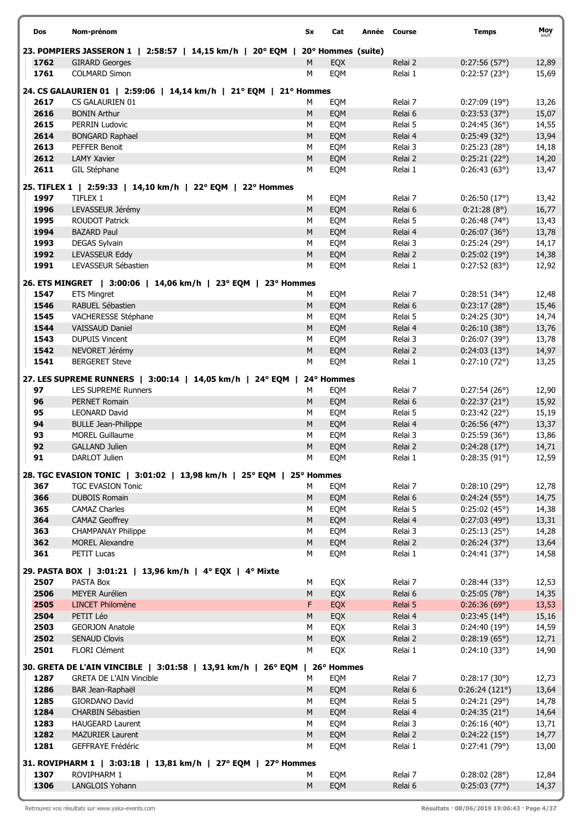| <b>Dos</b>   | Nom-prénom                                                                    | Sx             | Cat        | Année Course       | <b>Temps</b>                 | Moy            |
|--------------|-------------------------------------------------------------------------------|----------------|------------|--------------------|------------------------------|----------------|
|              | 23. POMPIERS JASSERON 1   2:58:57   14,15 km/h   20° EQM   20° Hommes (suite) |                |            |                    |                              |                |
| 1762<br>1761 | <b>GIRARD Georges</b><br><b>COLMARD Simon</b>                                 | M<br>M         | EQX<br>EQM | Relai 2<br>Relai 1 | 0:27:56(57°)<br>0:22:57(23°) | 12,89<br>15,69 |
|              | 24. CS GALAURIEN 01   2:59:06   14,14 km/h   21° EQM   21° Hommes             |                |            |                    |                              |                |
| 2617         | CS GALAURIEN 01                                                               | М              | EQM        | Relai 7            | 0:27:09(19°)                 | 13,26          |
| 2616         | <b>BONIN Arthur</b>                                                           | M              | EQM        | Relai 6            | 0:23:53(37°)                 | 15,07          |
| 2615         | <b>PERRIN Ludovic</b>                                                         | M              | EQM        | Relai 5            | 0:24:45(36°)                 | 14,55          |
| 2614         | <b>BONGARD Raphael</b>                                                        | ${\sf M}$      | EQM        | Relai 4            | 0:25:49(32°)                 | 13,94          |
|              | <b>PEFFER Benoit</b>                                                          |                |            |                    |                              |                |
| 2613         |                                                                               | M              | EQM        | Relai 3            | 0:25:23(28°)                 | 14,18          |
| 2612<br>2611 | <b>LAMY Xavier</b><br>GIL Stéphane                                            | ${\sf M}$<br>M | EQM<br>EQM | Relai 2<br>Relai 1 | 0:25:21(22°)<br>0:26:43(63)  | 14,20<br>13,47 |
|              | 25. TIFLEX 1   2:59:33   14,10 km/h   22° EQM   22° Hommes                    |                |            |                    |                              |                |
| 1997         | TIFLEX 1                                                                      | M              | EQM        | Relai 7            | 0:26:50(17°)                 | 13,42          |
| 1996         | LEVASSEUR Jérémy                                                              | ${\sf M}$      | EQM        | Relai 6            | 0:21:28(8°)                  | 16,77          |
| 1995         | <b>ROUDOT Patrick</b>                                                         | M              | EQM        | Relai 5            | 0:26:48(74)                  | 13,43          |
| 1994         | <b>BAZARD Paul</b>                                                            | ${\sf M}$      | EQM        | Relai 4            | 0:26:07(36°)                 | 13,78          |
| 1993         | DEGAS Sylvain                                                                 | M              | EQM        | Relai 3            | 0:25:24(29°)                 | 14,17          |
| 1992         | LEVASSEUR Eddy                                                                | ${\sf M}$      | EQM        | Relai 2            | 0:25:02(19°)                 | 14,38          |
| 1991         | LEVASSEUR Sébastien                                                           | M              | EQM        | Relai 1            | 0:27:52(83°)                 | 12,92          |
|              | 26. ETS MINGRET   3:00:06   14,06 km/h   23° EQM   23° Hommes                 |                |            |                    |                              |                |
| 1547         | <b>ETS Mingret</b>                                                            | м              | EQM        | Relai 7            | 0:28:51(34°)                 | 12,48          |
| 1546         | RABUEL Sébastien                                                              | ${\sf M}$      | EQM        | Relai 6            | 0:23:17(28°)                 | 15,46          |
| 1545         | VACHERESSE Stéphane                                                           | М              | EQM        | Relai 5            | 0:24:25(30°)                 | 14,74          |
| 1544         | <b>VAISSAUD Daniel</b>                                                        | M              | EQM        | Relai 4            | 0:26:10(38°)                 | 13,76          |
| 1543         | <b>DUPUIS Vincent</b>                                                         | M              | EQM        | Relai 3            | 0:26:07(39°)                 | 13,78          |
| 1542         | NEVORET Jérémy                                                                | ${\sf M}$      | EQM        | Relai 2            | 0:24:03(13°)                 | 14,97          |
| 1541         | <b>BERGERET Steve</b>                                                         | М              | EQM        | Relai 1            | 0:27:10(72°)                 | 13,25          |
|              | 27. LES SUPREME RUNNERS   3:00:14   14,05 km/h   24° EQM                      |                | 24° Hommes |                    |                              |                |
| 97           | <b>LES SUPREME Runners</b>                                                    | М              | EQM        | Relai 7            | 0:27:54(26°)                 | 12,90          |
| 96           | <b>PERNET Romain</b>                                                          | M              | EQM        | Relai 6            | 0:22:37(21°)                 | 15,92          |
| 95           | <b>LEONARD David</b>                                                          | M              | EQM        | Relai 5            | 0:23:42(22°)                 | 15,19          |
| 94           | <b>BULLE Jean-Philippe</b>                                                    | M              | EQM        | Relai 4            | 0:26:56(47°)                 | 13,37          |
| 93           | <b>MOREL Guillaume</b>                                                        | M              | EQM        | Relai 3            | 0:25:59(36°)                 | 13,86          |
| 92           | <b>GALLAND Julien</b>                                                         | ${\sf M}$      | EQM        | Relai 2            | 0:24:28(17°)                 | 14,71          |
| 91           | DARLOT Julien                                                                 | М              | EQM        | Relai 1            | 0:28:35(91°)                 | 12,59          |
|              | 28. TGC EVASION TONIC   3:01:02   13,98 km/h   25° EQM   25° Hommes           |                |            |                    |                              |                |
| 367          | <b>TGC EVASION Tonic</b>                                                      | М              | EQM        | Relai 7            | 0:28:10(29°)                 | 12,78          |
| 366          | <b>DUBOIS Romain</b>                                                          | M              | EQM        | Relai 6            | 0:24:24(55°)                 | 14,75          |
| 365          | <b>CAMAZ Charles</b>                                                          | М              | EQM        | Relai 5            | $0:25:02(45^{\circ})$        | 14,38          |
| 364          | <b>CAMAZ Geoffrey</b>                                                         | ${\sf M}$      | EQM        | Relai 4            | 0:27:03(49°)                 | 13,31          |
| 363          | <b>CHAMPANAY Philippe</b>                                                     | M              | EQM        | Relai 3            | 0:25:13(25°)                 | 14,28          |
| 362          | <b>MOREL Alexandre</b>                                                        | ${\sf M}$      | EQM        | Relai 2            | 0:26:24(37°)                 | 13,64          |
| 361          | PETIT Lucas                                                                   | М              | EQM        | Relai 1            | 0:24:41(37°)                 | 14,58          |
|              | 29. PASTA BOX   3:01:21   13,96 km/h   4° EQX   4° Mixte                      |                |            |                    |                              |                |
| 2507         | PASTA Box                                                                     | М              | EQX        | Relai 7            | 0:28:44(33)                  | 12,53          |
| 2506         | MEYER Aurélien                                                                | ${\sf M}$      | EQX        | Relai 6            | 0:25:05(78°)                 | 14,35          |
| 2505         | <b>LINCET Philomène</b>                                                       | F              | EQX        | Relai 5            | 0:26:36(69°)                 | 13,53          |
| 2504         | PETIT Léo                                                                     | ${\sf M}$      | EQX        | Relai 4            | $0:23:45(14^{\circ})$        | 15,16          |
| 2503         | <b>GEORJON Anatole</b>                                                        | М              | EQX        | Relai 3            | 0:24:40(19°)                 | 14,59          |
| 2502         | <b>SENAUD Clovis</b>                                                          | ${\sf M}$      | EQX        | Relai 2            | $0:28:19(65^{\circ})$        | 12,71          |
| 2501         | FLORI Clément                                                                 | М              | EQX        | Relai 1            | 0:24:10(33°)                 | 14,90          |
|              | 30. GRETA DE L'AIN VINCIBLE   3:01:58   13,91 km/h   26° EQM   26° Hommes     |                |            |                    |                              |                |
| 1287         | <b>GRETA DE L'AIN Vincible</b>                                                | М              | EQM        | Relai 7            | 0:28:17(30°)                 | 12,73          |
| 1286         | BAR Jean-Raphaël                                                              | M              | EQM        | Relai 6            | 0:26:24(121°)                | 13,64          |
| 1285         | GIORDANO David                                                                | M              | EQM        | Relai 5            | 0:24:21(29°)                 | 14,78          |
| 1284         | CHARBIN Sébastien                                                             | M              | EQM        | Relai 4            | 0:24:35(21°)                 | 14,64          |
| 1283         | <b>HAUGEARD Laurent</b>                                                       | M              | EQM        | Relai 3            | 0:26:16(40°)                 | 13,71          |
| 1282         | <b>MAZURIER Laurent</b>                                                       | M              | EQM        | Relai 2            | 0:24:22(15°)                 | 14,77          |
| 1281         | <b>GEFFRAYE Frédéric</b>                                                      | М              | EQM        | Relai 1            | 0:27:41(79°)                 | 13,00          |
|              | 31. ROVIPHARM 1   3:03:18   13,81 km/h   27° EQM   27° Hommes                 |                |            |                    |                              |                |
| 1307         | ROVIPHARM 1                                                                   | м              | EQM        | Relai 7            | 0:28:02(28°)                 | 12,84          |
| 1306         | LANGLOIS Yohann                                                               | ${\sf M}$      | EQM        | Relai 6            | 0:25:03(77°)                 | 14,37          |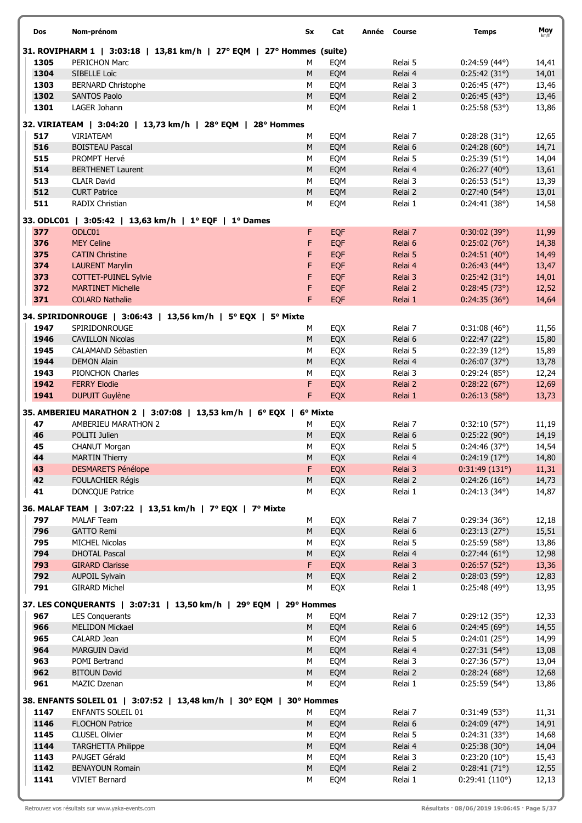| Dos      |      | Nom-prénom                                                            | Sx        | Cat               | Année Course       | <b>Temps</b>                 | Moy            |
|----------|------|-----------------------------------------------------------------------|-----------|-------------------|--------------------|------------------------------|----------------|
|          |      | 31. ROVIPHARM 1   3:03:18   13,81 km/h   27° EQM   27° Hommes (suite) |           |                   |                    |                              |                |
|          | 1305 | <b>PERICHON Marc</b>                                                  | М         | EQM               | Relai 5            | $0:24:59(44^{\circ})$        | 14,41          |
|          | 1304 | SIBELLE Loïc                                                          | M         | EQM               | Relai 4            | 0:25:42(31°)                 | 14,01          |
|          | 1303 | <b>BERNARD Christophe</b>                                             | M         | EQM               | Relai 3            | 0:26:45(47°)                 | 13,46          |
|          | 1302 | <b>SANTOS Paolo</b>                                                   | ${\sf M}$ | EQM               | Relai 2            | 0:26:45(43°)                 | 13,46          |
|          | 1301 | LAGER Johann                                                          | M         | EQM               | Relai 1            | 0:25:58(53°)                 | 13,86          |
|          |      | 32. VIRIATEAM   3:04:20   13,73 km/h   28° EQM   28° Hommes           |           |                   |                    |                              |                |
|          | 517  | <b>VIRIATEAM</b>                                                      | М         | EQM               | Relai 7            | 0:28:28(31°)                 | 12,65          |
|          | 516  | <b>BOISTEAU Pascal</b>                                                | M         | EQM               | Relai 6            | 0:24:28(60°)                 | 14,71          |
|          | 515  | PROMPT Hervé                                                          | M         | EQM               | Relai 5            | 0:25:39(51°)                 | 14,04          |
|          | 514  | <b>BERTHENET Laurent</b>                                              | M         | EQM               | Relai 4            | 0:26:27(40°)                 | 13,61          |
|          | 513  | <b>CLAIR David</b>                                                    | M         | EQM               | Relai 3            | 0:26:53(51°)                 | 13,39          |
|          | 512  | <b>CURT Patrice</b>                                                   | ${\sf M}$ | EQM               | Relai 2            | $0:27:40(54^{\circ})$        | 13,01          |
|          | 511  | RADIX Christian                                                       | M         | EQM               | Relai 1            | 0:24:41(38°)                 | 14,58          |
|          |      |                                                                       |           |                   |                    |                              |                |
|          |      | 33. ODLC01   3:05:42   13,63 km/h   1º EQF   1º Dames                 |           |                   |                    |                              |                |
|          | 377  | ODLC01                                                                | F.        | <b>EQF</b>        | Relai 7            | 0:30:02(39°)                 | 11,99          |
|          | 376  | <b>MEY Celine</b>                                                     | F         | <b>EQF</b>        | Relai 6            | 0:25:02(76°)                 | 14,38          |
|          | 375  | <b>CATIN Christine</b>                                                | F         | EQF               | Relai 5            | 0:24:51(40°)                 | 14,49          |
|          | 374  | <b>LAURENT Marylin</b>                                                | F         | EQF               | Relai 4            | $0:26:43(44^{\circ})$        | 13,47          |
|          | 373  | <b>COTTET-PUINEL Sylvie</b>                                           | F         | EQF               | Relai 3            | 0:25:42(31°)                 | 14,01          |
|          | 372  | <b>MARTINET Michelle</b>                                              | F         | EQF               | Relai 2            | 0:28:45(73°)                 | 12,52          |
|          | 371  | <b>COLARD Nathalie</b>                                                | F.        | <b>EQF</b>        | Relai 1            | 0:24:35(36°)                 | 14,64          |
|          |      | 34. SPIRIDONROUGE   3:06:43   13,56 km/h   5° EQX   5° Mixte          |           |                   |                    |                              |                |
|          | 1947 | SPIRIDONROUGE                                                         | M         | EQX               | Relai 7            | $0:31:08(46^{\circ})$        | 11,56          |
|          | 1946 | <b>CAVILLON Nicolas</b>                                               | ${\sf M}$ | EQX               | Relai 6            | 0:22:47(22°)                 | 15,80          |
|          | 1945 | CALAMAND Sébastien                                                    | M         | EQX               | Relai 5            | 0:22:39(12°)                 | 15,89          |
|          | 1944 | <b>DEMON Alain</b>                                                    | ${\sf M}$ | EQX               | Relai 4            | 0:26:07(37)                  | 13,78          |
|          | 1943 | PIONCHON Charles                                                      | M         | EQX               | Relai 3            | 0:29:24(85°)                 | 12,24          |
|          | 1942 | <b>FERRY Elodie</b>                                                   | F         | <b>EQX</b>        | Relai 2            | 0:28:22(67°)                 | 12,69          |
|          | 1941 | <b>DUPUIT Guylène</b>                                                 | F         | <b>EQX</b>        | Relai 1            | 0:26:13(58°)                 | 13,73          |
|          |      |                                                                       |           |                   |                    |                              |                |
|          |      | 35. AMBERIEU MARATHON 2   3:07:08   13,53 km/h   6° EQX   6° Mixte    |           |                   |                    |                              |                |
| 47       |      | <b>AMBERIEU MARATHON 2</b>                                            | М         | EQX               | Relai 7            | 0:32:10(57°)                 | 11,19          |
| 46       |      | POLITI Julien                                                         | M         | EQX               | Relai 6            | 0:25:22(90°)                 | 14,19          |
| 45<br>44 |      | <b>CHANUT Morgan</b><br><b>MARTIN Thierry</b>                         | M<br>M    | EQX<br><b>EOX</b> | Relai 5            | 0:24:46(37°)<br>0:24:19(17°) | 14,54          |
| 43       |      | <b>DESMARETS Pénélope</b>                                             | F.        | EQX               | Relai 4<br>Relai 3 | 0:31:49(131°)                | 14,80          |
| 42       |      | FOULACHIER Régis                                                      | M         | EQX               | Relai 2            | 0:24:26(16°)                 | 11,31<br>14,73 |
| 41       |      | <b>DONCQUE Patrice</b>                                                | М         | EQX               | Relai 1            | $0:24:13(34^{\circ})$        | 14,87          |
|          |      |                                                                       |           |                   |                    |                              |                |
|          |      | 36. MALAF TEAM   3:07:22   13,51 km/h   7° EQX   7° Mixte             |           |                   |                    |                              |                |
|          | 797  | <b>MALAF Team</b>                                                     | М         | EQX               | Relai 7            | 0:29:34(36°)                 | 12,18          |
|          | 796  | <b>GATTO Remi</b>                                                     | ${\sf M}$ | EQX               | Relai 6            | 0:23:13(27°)                 | 15,51          |
|          | 795  | MICHEL Nicolas                                                        | M         | EQX               | Relai 5            | 0:25:59(58°)                 | 13,86          |
|          | 794  | <b>DHOTAL Pascal</b>                                                  | M         | EQX               | Relai 4            | 0:27:44(61°)                 | 12,98          |
|          | 793  | <b>GIRARD Clarisse</b>                                                | F         | EQX               | Relai 3            | 0:26:57(52°)                 | 13,36          |
|          | 792  | <b>AUPOIL Sylvain</b>                                                 | M         | EQX               | Relai 2            | 0:28:03(59°)                 | 12,83          |
|          | 791  | <b>GIRARD Michel</b>                                                  | M         | EQX               | Relai 1            | 0:25:48(49°)                 | 13,95          |
|          |      | 37. LES CONQUERANTS   3:07:31   13,50 km/h   29° EQM   29° Hommes     |           |                   |                    |                              |                |
|          | 967  | <b>LES Conquerants</b>                                                | М         | EQM               | Relai 7            | 0:29:12(35°)                 | 12,33          |
|          | 966  | <b>MELIDON Mickael</b>                                                | M         | EQM               | Relai 6            | 0:24:45(69°)                 | 14,55          |
|          | 965  | CALARD Jean                                                           | M         | EQM               | Relai 5            | 0:24:01(25°)                 | 14,99          |
|          | 964  | <b>MARGUIN David</b>                                                  | ${\sf M}$ | EQM               | Relai 4            | $0:27:31(54^{\circ})$        | 13,08          |
|          | 963  | POMI Bertrand                                                         | M         | EQM               | Relai 3            | 0:27:36(57°)                 | 13,04          |
|          | 962  | <b>BITOUN David</b>                                                   | ${\sf M}$ | EQM               | Relai 2            | 0:28:24(68°)                 | 12,68          |
|          | 961  | MAZIC Dzenan                                                          | M         | EQM               | Relai 1            | $0:25:59(54^{\circ})$        | 13,86          |
|          |      |                                                                       |           |                   |                    |                              |                |
|          |      | 38. ENFANTS SOLEIL 01   3:07:52   13,48 km/h   30° EQM   30° Hommes   |           |                   |                    |                              |                |
|          | 1147 | ENFANTS SOLEIL 01                                                     | м         | EQM               | Relai 7            | 0:31:49(53)                  | 11,31          |
|          | 1146 | <b>FLOCHON Patrice</b>                                                | M         | EQM               | Relai 6            | 0:24:09(47°)                 | 14,91          |
|          | 1145 | <b>CLUSEL Olivier</b>                                                 | М         | EQM               | Relai 5            | 0:24:31(33°)                 | 14,68          |
|          | 1144 | <b>TARGHETTA Philippe</b>                                             | M         | EQM               | Relai 4            | 0:25:38(30°)                 | 14,04          |
|          | 1143 | PAUGET Gérald                                                         | М         | EQM               | Relai 3            | 0:23:20(10°)                 | 15,43          |
|          | 1142 | <b>BENAYOUN Romain</b>                                                | ${\sf M}$ | EQM               | Relai 2            | 0:28:41(71°)                 | 12,55          |
|          | 1141 | <b>VIVIET Bernard</b>                                                 | M         | EQM               | Relai 1            | 0:29:41(110°)                | 12,13          |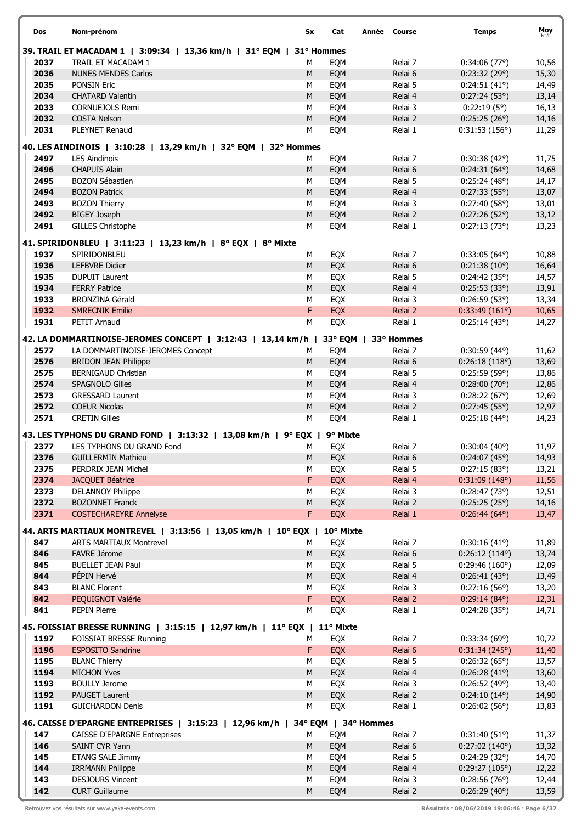| Dos          | Nom-prénom                                                                                   | Sx         | Cat        | Année Course         | <b>Temps</b>                         | Moy   |
|--------------|----------------------------------------------------------------------------------------------|------------|------------|----------------------|--------------------------------------|-------|
|              | 39. TRAIL ET MACADAM 1   3:09:34   13,36 km/h   31° EQM                                      | 31° Hommes |            |                      |                                      |       |
| 2037         | TRAIL ET MACADAM 1                                                                           | М          | EQM        | Relai 7              | 0:34:06(77)                          | 10,56 |
| 2036         | <b>NUNES MENDES Carlos</b>                                                                   | M          | EQM        | Relai 6              | 0:23:32(29°)                         | 15,30 |
| 2035         | <b>PONSIN Eric</b>                                                                           | М          | EQM        | Relai 5              | 0:24:51(41°)                         | 14,49 |
| 2034         | <b>CHATARD Valentin</b>                                                                      | ${\sf M}$  | EQM        | Relai 4              | 0:27:24(53°)                         | 13,14 |
| 2033         | <b>CORNUEJOLS Remi</b>                                                                       | M          | EQM        | Relai 3              | $0:22:19(5^{\circ})$                 | 16,13 |
| 2032         | <b>COSTA Nelson</b>                                                                          | ${\sf M}$  | EQM        | Relai 2              | 0:25:25(26°)                         | 14,16 |
| 2031         | PLEYNET Renaud                                                                               | М          | EQM        | Relai 1              | 0:31:53(156°)                        | 11,29 |
|              | 40. LES AINDINOIS   3:10:28   13,29 km/h   32° EQM   32° Hommes                              |            |            |                      |                                      |       |
| 2497         | <b>LES Aindinois</b>                                                                         | м          | EQM        | Relai 7              | $0:30:38(42^{\circ})$                | 11,75 |
| 2496         | <b>CHAPUIS Alain</b>                                                                         | M          | EQM        | Relai 6              | $0:24:31(64^{\circ})$                | 14,68 |
| 2495         | <b>BOZON Sébastien</b>                                                                       | M          | EQM        | Relai 5              | 0:25:24(48°)                         | 14,17 |
| 2494         | <b>BOZON Patrick</b>                                                                         | M          | EQM        | Relai 4              | 0:27:33(55°)                         | 13,07 |
| 2493         | <b>BOZON Thierry</b>                                                                         | M          | EQM        | Relai 3              | 0:27:40(58°)                         | 13,01 |
| 2492         | <b>BIGEY Joseph</b>                                                                          | M          | EQM        | Relai 2              | 0:27:26(52°)                         | 13,12 |
| 2491         | <b>GILLES Christophe</b>                                                                     | М          | EQM        | Relai 1              | 0:27:13(73°)                         | 13,23 |
|              |                                                                                              |            |            |                      |                                      |       |
|              | 41. SPIRIDONBLEU   3:11:23   13,23 km/h   8° EQX   8° Mixte                                  |            |            |                      |                                      |       |
| 1937         | SPIRIDONBLEU                                                                                 | М          | EQX        | Relai 7              | $0:33:05(64^{\circ})$                | 10,88 |
| 1936         | LEFBVRE Didier                                                                               | ${\sf M}$  | EQX        | Relai 6              | 0:21:38(10°)                         | 16,64 |
| 1935         | <b>DUPUIT Laurent</b>                                                                        | М          | EQX        | Relai 5              | 0:24:42(35°)                         | 14,57 |
| 1934         | <b>FERRY Patrice</b>                                                                         | M          | EQX        | Relai 4              | 0:25:53(33°)                         | 13,91 |
| 1933         | <b>BRONZINA Gérald</b>                                                                       | М          | EQX        | Relai 3              | 0:26:59(53)                          | 13,34 |
| 1932         | <b>SMRECNIK Emilie</b>                                                                       | F          | EQX        | Relai 2              | 0:33:49(161°)                        | 10,65 |
| 1931         | PETIT Arnaud                                                                                 | М          | EQX        | Relai 1              | 0:25:14(43°)                         | 14,27 |
|              | 42. LA DOMMARTINOISE-JEROMES CONCEPT   3:12:43   13,14 km/h                                  |            |            | 33° EQM   33° Hommes |                                      |       |
| 2577         | LA DOMMARTINOISE-JEROMES Concept                                                             | М          | EQM        | Relai 7              | $0:30:59(44^{\circ})$                | 11,62 |
| 2576         | <b>BRIDON JEAN Philippe</b>                                                                  | ${\sf M}$  | EQM        | Relai 6              | 0:26:18(118°)                        | 13,69 |
| 2575         | <b>BERNIGAUD Christian</b>                                                                   | M          | EQM        | Relai 5              | 0:25:59(59°)                         | 13,86 |
| 2574         | <b>SPAGNOLO Gilles</b>                                                                       | M          | EQM        | Relai 4              | 0:28:00(70°)                         | 12,86 |
| 2573         | <b>GRESSARD Laurent</b>                                                                      | M          | EQM        | Relai 3              | 0:28:22(67°)                         | 12,69 |
| 2572         | <b>COEUR Nicolas</b>                                                                         | ${\sf M}$  | EQM        | Relai 2              | 0:27:45(55°)                         | 12,97 |
| 2571         | <b>CRETIN Gilles</b>                                                                         | M          | EQM        | Relai 1              | $0:25:18(44^{\circ})$                | 14,23 |
|              |                                                                                              |            |            |                      |                                      |       |
| 2377         | 43. LES TYPHONS DU GRAND FOND   3:13:32   13,08 km/h   9° EQX  <br>LES TYPHONS DU GRAND Fond |            | 9° Mixte   | Relai 7              | 0:30:04(40°)                         |       |
|              | <b>GUILLERMIN Mathieu</b>                                                                    | M          | EQX        | Relai 6              |                                      | 11,97 |
| 2376         |                                                                                              | М<br>М     | EQX        |                      | $0:24:07(45^{\circ})$                | 14,93 |
| 2375<br>2374 | PERDRIX JEAN Michel<br><b>JACQUET Béatrice</b>                                               | F.         | EQX<br>EQX | Relai 5<br>Relai 4   | 0:27:15(83°)                         | 13,21 |
|              |                                                                                              |            |            |                      | 0:31:09(148°)                        | 11,56 |
| 2373<br>2372 | <b>DELANNOY Philippe</b>                                                                     | М<br>M     | EQX        | Relai 3              | 0:28:47(73)<br>$0:25:25(25^{\circ})$ | 12,51 |
| 2371         | <b>BOZONNET Franck</b>                                                                       | F          | EQX<br>EQX | Relai 2              |                                      | 14,16 |
|              | <b>COSTECHAREYRE Annelyse</b>                                                                |            |            | Relai 1              | $0:26:44(64^{\circ})$                | 13,47 |
|              | 44. ARTS MARTIAUX MONTREVEL   3:13:56   13,05 km/h   10° EQX                                 |            | 10° Mixte  |                      |                                      |       |
| 847          | <b>ARTS MARTIAUX Montrevel</b>                                                               | М          | EQX        | Relai 7              | $0:30:16(41^{\circ})$                | 11,89 |
| 846          | <b>FAVRE Jérome</b>                                                                          | ${\sf M}$  | EQX        | Relai 6              | 0:26:12(114°)                        | 13,74 |
| 845          | <b>BUELLET JEAN Paul</b>                                                                     | М          | EQX        | Relai 5              | 0:29:46(160°)                        | 12,09 |
| 844          | PÉPIN Hervé                                                                                  | ${\sf M}$  | EQX        | Relai 4              | 0:26:41(43°)                         | 13,49 |
| 843          | <b>BLANC Florent</b>                                                                         | М          | EQX        | Relai 3              | 0:27:16(56°)                         | 13,20 |
| 842          | PEQUIGNOT Valérie                                                                            | F          | EQX        | Relai 2              | $0:29:14(84^{\circ})$                | 12,31 |
| 841          | PEPIN Pierre                                                                                 | М          | EQX        | Relai 1              | 0:24:28(35°)                         | 14,71 |
|              | 45. FOISSIAT BRESSE RUNNING   3:15:15   12,97 km/h   11° EQX   11° Mixte                     |            |            |                      |                                      |       |
| 1197         | FOISSIAT BRESSE Running                                                                      | М          | EQX        | Relai 7              | 0:33:34(69°)                         | 10,72 |
| 1196         | <b>ESPOSITO Sandrine</b>                                                                     | F          | EQX        | Relai 6              | 0:31:34(245°)                        | 11,40 |
| 1195         | <b>BLANC Thierry</b>                                                                         | M          | EQX        | Relai 5              | $0:26:32(65^{\circ})$                | 13,57 |
| 1194         | <b>MICHON Yves</b>                                                                           | ${\sf M}$  | EQX        | Relai 4              | 0:26:28(41°)                         | 13,60 |
| 1193         | <b>BOULLY Jerome</b>                                                                         | М          | EQX        | Relai 3              | 0:26:52(49°)                         | 13,40 |
| 1192         | <b>PAUGET Laurent</b>                                                                        | M          | EQX        | Relai 2              | $0:24:10(14^{\circ})$                | 14,90 |
| 1191         | <b>GUICHARDON Denis</b>                                                                      | М          | EQX        | Relai 1              | 0:26:02(56)                          | 13,83 |
|              |                                                                                              |            |            |                      |                                      |       |
|              | 46. CAISSE D'EPARGNE ENTREPRISES   3:15:23   12,96 km/h   34° EQM   34° Hommes               |            |            |                      |                                      |       |
| 147          | <b>CAISSE D'EPARGNE Entreprises</b>                                                          | М          | EQM        | Relai 7              | 0:31:40(51°)                         | 11,37 |
| 146          | SAINT CYR Yann                                                                               | M          | EQM        | Relai 6              | 0:27:02(140°)                        | 13,32 |
| 145          | <b>ETANG SALE Jimmy</b>                                                                      | М          | EQM        | Relai 5              | 0:24:29(32°)                         | 14,70 |
| 144          | <b>IRRMANN Philippe</b>                                                                      | M          | EQM        | Relai 4              | 0:29:27(105°)                        | 12,22 |
| 143          | DESJOURS Vincent                                                                             | M          | EQM        | Relai 3              | 0:28:56(76°)                         | 12,44 |
| 142          | <b>CURT Guillaume</b>                                                                        | M          | EQM        | Relai 2              | 0:26:29(40°)                         | 13,59 |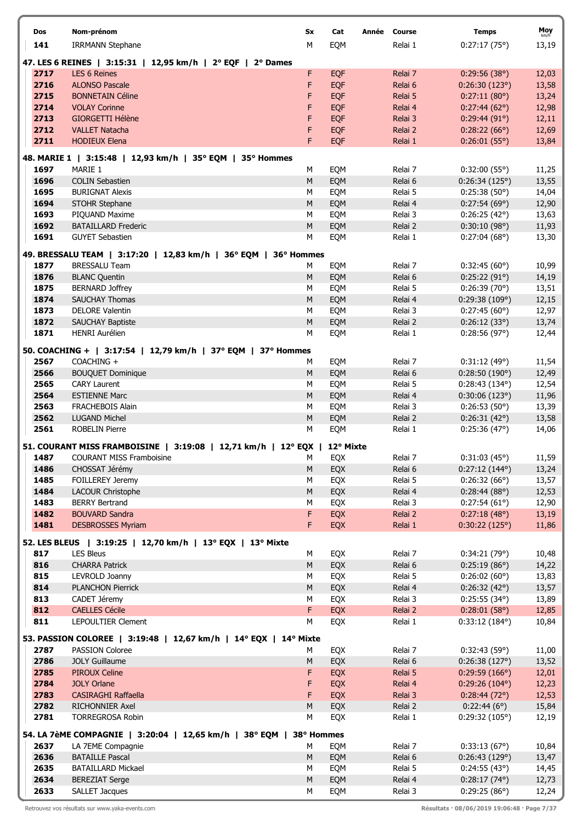| Dos          | Nom-prénom                                                                 | Sx         | Cat<br>Année | <b>Course</b>      | <b>Temps</b>                  | Moy            |
|--------------|----------------------------------------------------------------------------|------------|--------------|--------------------|-------------------------------|----------------|
| 141          | <b>IRRMANN Stephane</b>                                                    | М          | EQM          | Relai 1            | 0:27:17(75°)                  | km/h<br>13,19  |
|              |                                                                            |            |              |                    |                               |                |
|              | 47. LES 6 REINES   3:15:31   12,95 km/h   2° EQF   2° Dames                |            |              |                    |                               |                |
| 2717         | <b>LES 6 Reines</b><br><b>ALONSO Pascale</b>                               | F          | EQF          | Relai 7            | 0:29:56(38°)                  | 12,03          |
| 2716<br>2715 | <b>BONNETAIN Céline</b>                                                    | F<br>F     | EQF          | Relai 6<br>Relai 5 | 0:26:30(123°)<br>0:27:11(80°) | 13,58          |
| 2714         | <b>VOLAY Corinne</b>                                                       | F          | EQF<br>EQF   | Relai 4            | 0:27:44(62°)                  | 13,24<br>12,98 |
| 2713         | <b>GIORGETTI Hélène</b>                                                    | F          | EQF          | Relai 3            | 0:29:44(91°)                  | 12,11          |
| 2712         | <b>VALLET Natacha</b>                                                      | F          | <b>EQF</b>   | Relai 2            | 0:28:22(66°)                  | 12,69          |
| 2711         | <b>HODIEUX Elena</b>                                                       | F          | <b>EQF</b>   | Relai 1            | 0:26:01(55)                   | 13,84          |
|              |                                                                            |            |              |                    |                               |                |
|              | 48. MARIE 1   3:15:48   12,93 km/h   35° EQM   35° Hommes                  |            |              |                    |                               |                |
| 1697         | MARIE 1                                                                    | M          | EQM          | Relai 7            | 0:32:00(55°)                  | 11,25          |
| 1696<br>1695 | <b>COLIN Sebastien</b><br><b>BURIGNAT Alexis</b>                           | M<br>M     | EQM          | Relai 6<br>Relai 5 | 0:26:34(125°)                 | 13,55          |
| 1694         | STOHR Stephane                                                             | M          | EQM<br>EQM   | Relai 4            | 0:25:38(50°)<br>0:27:54(69°)  | 14,04<br>12,90 |
| 1693         | PIQUAND Maxime                                                             | M          | EQM          | Relai 3            | 0:26:25(42°)                  | 13,63          |
| 1692         | <b>BATAILLARD Frederic</b>                                                 | ${\sf M}$  | EQM          | Relai 2            | 0:30:10(98°)                  | 11,93          |
| 1691         | <b>GUYET Sebastien</b>                                                     | М          | EQM          | Relai 1            | 0:27:04(68°)                  | 13,30          |
|              |                                                                            |            |              |                    |                               |                |
|              | 49. BRESSALU TEAM   3:17:20   12,83 km/h   36° EQM   36° Hommes            |            |              |                    |                               |                |
| 1877<br>1876 | <b>BRESSALU Team</b>                                                       | М<br>M     | EQM          | Relai 7            | 0:32:45(60°)                  | 10,99          |
| 1875         | <b>BLANC Quentin</b><br><b>BERNARD Joffrey</b>                             | M          | EQM<br>EQM   | Relai 6<br>Relai 5 | 0:25:22(91°)<br>0:26:39(70°)  | 14,19<br>13,51 |
| 1874         | <b>SAUCHAY Thomas</b>                                                      | M          | EQM          | Relai 4            | 0:29:38(109°)                 | 12,15          |
| 1873         | <b>DELORE Valentin</b>                                                     | M          | EQM          | Relai 3            | 0:27:45(60°)                  | 12,97          |
| 1872         | <b>SAUCHAY Baptiste</b>                                                    | M          | EQM          | Relai 2            | 0:26:12(33°)                  | 13,74          |
| 1871         | <b>HENRI Aurélien</b>                                                      | M          | EQM          | Relai 1            | 0:28:56(97°)                  | 12,44          |
|              |                                                                            |            |              |                    |                               |                |
| 2567         | 50. COACHING +   3:17:54   12,79 km/h   37° EQM   37° Hommes<br>COACHING + |            |              |                    |                               |                |
| 2566         | <b>BOUQUET Dominique</b>                                                   | М<br>M     | EQM<br>EQM   | Relai 7<br>Relai 6 | 0:31:12(49°)<br>0:28:50(190°) | 11,54<br>12,49 |
| 2565         | <b>CARY Laurent</b>                                                        | М          | EQM          | Relai 5            | 0:28:43(134°)                 | 12,54          |
| 2564         | <b>ESTIENNE Marc</b>                                                       | ${\sf M}$  | EQM          | Relai 4            | 0:30:06(123°)                 | 11,96          |
| 2563         | <b>FRACHEBOIS Alain</b>                                                    | M          | EQM          | Relai 3            | 0:26:53(50°)                  | 13,39          |
| 2562         | <b>LUGAND Michel</b>                                                       | ${\sf M}$  | EQM          | Relai 2            | 0:26:31(42°)                  | 13,58          |
| 2561         | <b>ROBELIN Pierre</b>                                                      | М          | EQM          | Relai 1            | 0:25:36(47°)                  | 14,06          |
|              | 51. COURANT MISS FRAMBOISINE   3:19:08   12,71 km/h   12° EQX              |            | 12° Mixte    |                    |                               |                |
| 1487         | <b>COURANT MISS Framboisine</b>                                            | м          | EQX          | Relai 7            | 0:31:03(45°)                  | 11,59          |
| 1486         | CHOSSAT Jérémy                                                             | M          | EQX          | Relai 6            | 0:27:12(144°)                 | 13,24          |
| 1485         | FOILLEREY Jeremy                                                           | М          | EQX          | Relai 5            | 0:26:32(66°)                  | 13,57          |
| 1484         | LACOUR Christophe                                                          | M          | EQX          | Relai 4            | 0:28:44(88°)                  | 12,53          |
| 1483         | <b>BERRY Bertrand</b>                                                      | М          | EQX          | Relai 3            | 0:27:54(61°)                  | 12,90          |
| 1482         | <b>BOUVARD Sandra</b>                                                      | F          | EQX          | Relai 2            | 0:27:18(48°)                  | 13,19          |
| 1481         | <b>DESBROSSES Myriam</b>                                                   | F.         | EQX          | Relai 1            | 0:30:22(125°)                 | 11,86          |
|              | 52. LES BLEUS   3:19:25   12,70 km/h   13° EQX   13° Mixte                 |            |              |                    |                               |                |
| 817          | <b>LES Bleus</b>                                                           | М          | EQX          | Relai 7            | 0:34:21(79°)                  | 10,48          |
| 816          | <b>CHARRA Patrick</b>                                                      | M          | EQX          | Relai 6            | 0:25:19(86°)                  | 14,22          |
| 815          | LEVROLD Joanny                                                             | М          | EQX          | Relai 5            | $0:26:02(60^{\circ})$         | 13,83          |
| 814          | <b>PLANCHON Pierrick</b>                                                   | ${\sf M}$  | EQX          | Relai 4            | 0:26:32(42°)                  | 13,57          |
| 813          | CADET Jéremy                                                               | М          | EQX          | Relai 3            | $0:25:55(34^{\circ})$         | 13,89          |
| 812          | <b>CAELLES Cécile</b>                                                      | F          | EQX          | Relai 2            | 0:28:01(58°)                  | 12,85          |
| 811          | LEPOULTIER Clement                                                         | М          | EQX          | Relai 1            | $0:33:12(184^{\circ})$        | 10,84          |
|              | 53. PASSION COLOREE   3:19:48   12,67 km/h   14° EQX   14° Mixte           |            |              |                    |                               |                |
| 2787         | PASSION Coloree                                                            | М          | EQX          | Relai 7            | 0:32:43(59°)                  | 11,00          |
| 2786         | <b>JOLY Guillaume</b>                                                      | M          | EQX          | Relai 6            | 0:26:38(127°)                 | 13,52          |
| 2785         | <b>PIROUX Celine</b>                                                       | F          | EQX          | Relai 5            | 0:29:59(166°)                 | 12,01          |
| 2784         | <b>JOLY Orlane</b>                                                         | F          | EQX          | Relai 4            | $0:29:26(104^{\circ})$        | 12,23          |
| 2783         | <b>CASIRAGHI Raffaella</b>                                                 | F          | EQX          | Relai 3            | 0:28:44(72°)                  | 12,53          |
| 2782         | RICHONNIER Axel                                                            | М          | EQX          | Relai 2            | 0:22:44(6°)                   | 15,84          |
| 2781         | <b>TORREGROSA Robin</b>                                                    | М          | EQX          | Relai 1            | 0:29:32(105°)                 | 12,19          |
|              | 54. LA 7èME COMPAGNIE   3:20:04   12,65 km/h   38° EQM                     | 38° Hommes |              |                    |                               |                |
| 2637         | LA 7EME Compagnie                                                          | М          | EQM          | Relai 7            | 0:33:13(67°)                  | 10,84          |
| 2636         | <b>BATAILLE Pascal</b>                                                     | M          | EQM          | Relai 6            | 0:26:43(129°)                 | 13,47          |
| 2635         | <b>BATAILLARD Mickael</b>                                                  | М          | EQM          | Relai 5            | 0:24:55(43°)                  | 14,45          |
| 2634         | <b>BEREZIAT Serge</b>                                                      | M          | EQM          | Relai 4            | $0:28:17(74^{\circ})$         | 12,73          |
| 2633         | <b>SALLET Jacques</b>                                                      | М          | EQM          | Relai 3            | 0:29:25(86°)                  | 12,24          |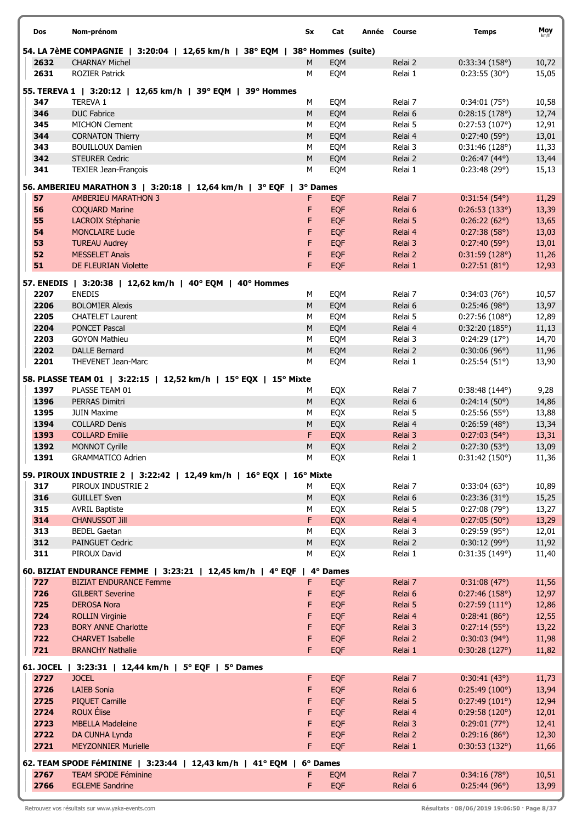| Dos                      | Nom-prénom                                                                        | Sx        | Cat                      | Année Course       | <b>Temps</b>                          | Moy            |
|--------------------------|-----------------------------------------------------------------------------------|-----------|--------------------------|--------------------|---------------------------------------|----------------|
|                          | 54. LA 7èME COMPAGNIE   3:20:04   12,65 km/h   38° EQM                            |           | 38° Hommes (suite)       |                    |                                       |                |
| 2632                     | <b>CHARNAY Michel</b>                                                             | M         | EQM                      | Relai 2            | 0:33:34(158°)                         | 10,72          |
| 2631                     | <b>ROZIER Patrick</b>                                                             | M         | EQM                      | Relai 1            | 0:23:55(30°)                          | 15,05          |
|                          | 55. TEREVA 1   3:20:12   12,65 km/h   39° EQM   39° Hommes                        |           |                          |                    |                                       |                |
| 347                      | <b>TEREVA 1</b>                                                                   | M         | EQM                      | Relai 7            | 0:34:01(75°)                          | 10,58          |
| 346                      | <b>DUC Fabrice</b>                                                                | M         | EQM                      | Relai 6            | 0:28:15(178°)                         | 12,74          |
| 345                      | <b>MICHON Clement</b>                                                             | M         | EQM                      | Relai 5            | 0:27:53(107°)                         | 12,91          |
| 344                      | <b>CORNATON Thierry</b>                                                           | M         | EQM                      | Relai 4            | 0:27:40(59°)                          | 13,01          |
| 343                      | <b>BOUILLOUX Damien</b>                                                           | М         | EQM                      | Relai 3            | 0:31:46(128°)                         | 11,33          |
| 342                      | <b>STEURER Cedric</b>                                                             | ${\sf M}$ | EQM                      | Relai 2            | $0:26:47(44^{\circ})$                 | 13,44          |
| 341                      | TEXIER Jean-François                                                              | M         | EQM                      | Relai 1            | 0:23:48(29°)                          | 15,13          |
|                          | 56. AMBERIEU MARATHON 3   3:20:18   12,64 km/h   3° EQF   3° Dames                |           |                          |                    |                                       |                |
| 57                       | <b>AMBERIEU MARATHON 3</b>                                                        | F         | <b>EQF</b>               | Relai 7            | $0:31:54(54^{\circ})$                 | 11,29          |
| 56                       | <b>COQUARD Marine</b>                                                             | F         | <b>EQF</b>               | Relai 6            | 0:26:53(133°)                         | 13,39          |
| 55                       | LACROIX Stéphanie                                                                 | F         | <b>EQF</b>               | Relai 5            | 0:26:22(62°)                          | 13,65          |
| 54                       | <b>MONCLAIRE Lucie</b>                                                            | F         | <b>EQF</b>               | Relai 4            | 0:27:38(58°)                          | 13,03          |
| 53<br>52                 | <b>TUREAU Audrey</b><br><b>MESSELET Anaïs</b>                                     | F<br>F    | <b>EQF</b>               | Relai 3<br>Relai 2 | 0:27:40(59°)                          | 13,01          |
| 51                       | <b>DE FLEURIAN Violette</b>                                                       | F.        | <b>EQF</b><br><b>EQF</b> | Relai 1            | 0:31:59(128°)<br>0:27:51(81°)         | 11,26<br>12,93 |
|                          |                                                                                   |           |                          |                    |                                       |                |
|                          | 57. ENEDIS   3:20:38   12,62 km/h   40° EQM   40° Hommes                          |           |                          |                    |                                       |                |
| 2207                     | <b>ENEDIS</b>                                                                     | М         | EQM                      | Relai 7            | 0:34:03(76°)                          | 10,57          |
| 2206                     | <b>BOLOMIER Alexis</b>                                                            | M         | EQM                      | Relai 6            | 0:25:46(98°)                          | 13,97          |
| 2205<br>2204             | <b>CHATELET Laurent</b><br><b>PONCET Pascal</b>                                   | M<br>M    | EQM<br>EQM               | Relai 5<br>Relai 4 | 0:27:56(108°)<br>0:32:20(185°)        | 12,89<br>11,13 |
| 2203                     | <b>GOYON Mathieu</b>                                                              | M         | EQM                      | Relai 3            | 0:24:29(17°)                          | 14,70          |
| 2202                     | <b>DALLE Bernard</b>                                                              | ${\sf M}$ | EQM                      | Relai 2            | 0:30:06(96)                           | 11,96          |
| 2201                     | THEVENET Jean-Marc                                                                | М         | EQM                      | Relai 1            | 0:25:54(51°)                          | 13,90          |
|                          |                                                                                   |           |                          |                    |                                       |                |
| 1397                     | 58. PLASSE TEAM 01   3:22:15   12,52 km/h   15° EQX   15° Mixte<br>PLASSE TEAM 01 | М         | EQX                      | Relai 7            | $0:38:48(144^{\circ})$                | 9,28           |
| 1396                     | PERRAS Dimitri                                                                    | M         | EQX                      | Relai 6            | 0:24:14(50°)                          | 14,86          |
| 1395                     | <b>JUIN Maxime</b>                                                                | M         | EQX                      | Relai 5            | 0:25:56(55)                           | 13,88          |
| 1394                     | <b>COLLARD Denis</b>                                                              | M         | EQX                      | Relai 4            | 0:26:59(48°)                          | 13,34          |
| 1393                     | <b>COLLARD Emilie</b>                                                             | F         | <b>EQX</b>               | Relai 3            | $0:27:03(54^{\circ})$                 | 13,31          |
| 1392                     | MONNOT Cyrille                                                                    | ${\sf M}$ | EQX                      | Relai 2            | 0:27:30(53°)                          | 13,09          |
| 1391                     | <b>GRAMMATICO Adrien</b>                                                          | M         | EQX                      | Relai 1            | 0:31:42(150°)                         | 11,36          |
|                          | 59. PIROUX INDUSTRIE 2   3:22:42   12,49 km/h   16° EQX   16° Mixte               |           |                          |                    |                                       |                |
| 317                      | PIROUX INDUSTRIE 2                                                                | М         | EQX                      | Relai 7            | 0:33:04(63)                           | 10,89          |
| 316                      | <b>GUILLET Sven</b>                                                               | M         | EQX                      | Relai 6            | 0:23:36(31°)                          | 15,25          |
| 315                      | <b>AVRIL Baptiste</b>                                                             | M         | EQX                      | Relai 5            | 0:27:08(79°)                          | 13,27          |
| 314                      | <b>CHANUSSOT Jill</b>                                                             | F         | EQX                      | Relai 4            | 0:27:05(50°)                          | 13,29          |
| 313                      | <b>BEDEL Gaetan</b>                                                               | М         | EQX                      | Relai 3            | 0:29:59(95°)                          | 12,01          |
| 312                      | <b>PAINGUET Cedric</b>                                                            | M         | EQX                      | Relai 2            | 0:30:12(99°)                          | 11,92          |
| 311                      | PIROUX David                                                                      | M         | EQX                      | Relai 1            | 0:31:35(149°)                         | 11,40          |
|                          | 60. BIZIAT ENDURANCE FEMME   3:23:21   12,45 km/h   4° EQF   4° Dames             |           |                          |                    |                                       |                |
| 727                      | <b>BIZIAT ENDURANCE Femme</b>                                                     | F.        | <b>EQF</b>               | Relai 7            | 0:31:08(47°)                          | 11,56          |
| 726                      | <b>GILBERT Severine</b>                                                           | F         | EQF                      | Relai 6            | 0:27:46(158°)                         | 12,97          |
| 725                      | <b>DEROSA Nora</b>                                                                | F         | EQF                      | Relai 5            | 0:27:59(111°)                         | 12,86          |
| 724<br>723               | <b>ROLLIN Virginie</b>                                                            | F<br>F    | <b>EQF</b>               | Relai 4            | 0:28:41(86°)                          | 12,55          |
| 722                      | <b>BORY ANNE Charlotte</b><br><b>CHARVET Isabelle</b>                             | F         | <b>EQF</b><br><b>EQF</b> | Relai 3<br>Relai 2 | 0:27:14(55°)<br>$0:30:03(94^{\circ})$ | 13,22<br>11,98 |
| 721                      | <b>BRANCHY Nathalie</b>                                                           | F.        | <b>EOF</b>               | Relai 1            | 0:30:28(127°)                         | 11,82          |
|                          |                                                                                   |           |                          |                    |                                       |                |
| <b>61. JOCEL</b><br>2727 | 3:23:31   12,44 km/h   5° EQF   5° Dames<br><b>JOCEL</b>                          | F         | <b>EQF</b>               | Relai 7            |                                       |                |
| 2726                     | <b>LAIEB Sonia</b>                                                                | F         | <b>EQF</b>               | Relai 6            | 0:30:41(43°)<br>0:25:49(100°)         | 11,73<br>13,94 |
| 2725                     | <b>PIQUET Camille</b>                                                             | F         | <b>EQF</b>               | Relai 5            | 0:27:49(101°)                         | 12,94          |
| 2724                     | <b>ROUX Élise</b>                                                                 | F         | <b>EQF</b>               | Relai 4            | 0:29:58(120°)                         | 12,01          |
| 2723                     | <b>MBELLA Madeleine</b>                                                           | F         | <b>EQF</b>               | Relai 3            | 0:29:01(77°)                          | 12,41          |
| 2722                     | DA CUNHA Lynda                                                                    | F         | <b>EQF</b>               | Relai 2            | 0:29:16(86°)                          | 12,30          |
| 2721                     | <b>MEYZONNIER Murielle</b>                                                        | F         | <b>EQF</b>               | Relai 1            | 0:30:53(132°)                         | 11,66          |
|                          | 62. TEAM SPODE FéMININE   3:23:44   12,43 km/h   41° EQM                          | 6° Dames  |                          |                    |                                       |                |
| 2767                     | <b>TEAM SPODE Féminine</b>                                                        | F.        | EQM                      | Relai 7            | 0:34:16(78°)                          | 10,51          |
| 2766                     | <b>EGLEME Sandrine</b>                                                            | F         | <b>EQF</b>               | Relai 6            | 0:25:44(96°)                          | 13,99          |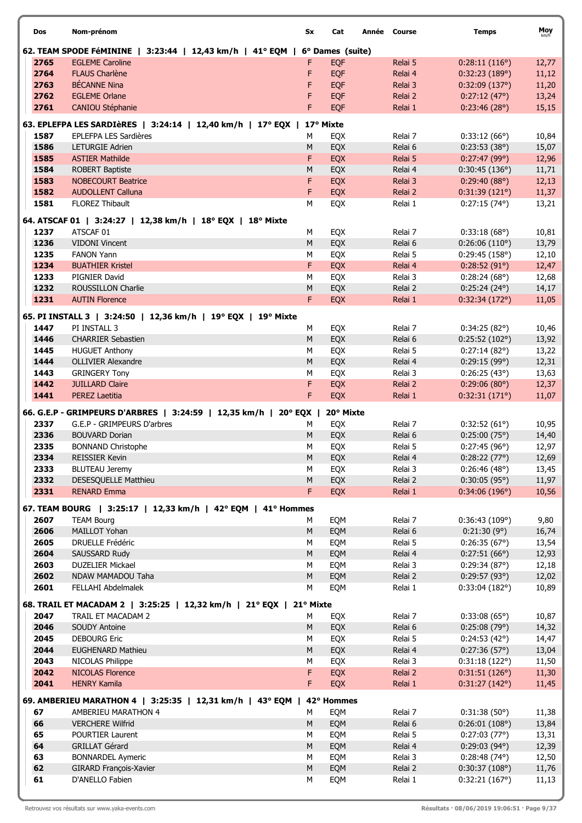| Dos          | Nom-prénom                                                                           | Sx        | Cat                            | Année Course |                    | <b>Temps</b>                   | Moy            |
|--------------|--------------------------------------------------------------------------------------|-----------|--------------------------------|--------------|--------------------|--------------------------------|----------------|
|              |                                                                                      |           |                                |              |                    |                                |                |
| 2765         | 62. TEAM SPODE FéMININE   3:23:44   12,43 km/h   41° EQM  <br><b>EGLEME Caroline</b> | F         | 6° Dames (suite)<br><b>EQF</b> |              | Relai 5            | 0:28:11(116°)                  | 12,77          |
| 2764         | <b>FLAUS Charlène</b>                                                                | F         | <b>EQF</b>                     |              | Relai 4            | 0:32:23(189°)                  | 11,12          |
| 2763         | <b>BÉCANNE Nina</b>                                                                  | F         | EQF                            |              | Relai 3            | 0:32:09(137°)                  | 11,20          |
| 2762         | <b>EGLEME Orlane</b>                                                                 | F         | EQF                            |              | Relai 2            | 0:27:12(47°)                   | 13,24          |
| 2761         | CANIOU Stéphanie                                                                     | F         | <b>EQF</b>                     |              | Relai 1            | 0:23:46(28°)                   | 15,15          |
|              | 63. EPLEFPA LES SARDIÈRES   3:24:14   12,40 km/h   17° EQX                           |           | 17° Mixte                      |              |                    |                                |                |
| 1587         | EPLEFPA LES Sardières                                                                | м         | EQX                            |              | Relai 7            | 0:33:12(66°)                   | 10,84          |
| 1586         | <b>LETURGIE Adrien</b>                                                               | M         | EQX                            |              | Relai 6            | 0:23:53(38°)                   | 15,07          |
| 1585         | <b>ASTIER Mathilde</b>                                                               | F         | EQX                            |              | Relai 5            | 0:27:47(99°)                   | 12,96          |
| 1584         | <b>ROBERT Baptiste</b>                                                               | M         | EQX                            |              | Relai 4            | 0:30:45(136°)                  | 11,71          |
| 1583         | <b>NOBECOURT Beatrice</b>                                                            | F         | EQX                            |              | Relai 3            | 0:29:40(88°)                   | 12,13          |
| 1582         | <b>AUDOLLENT Calluna</b>                                                             | F         | EQX                            |              | Relai 2            | 0:31:39(121°)                  | 11,37          |
| 1581         | <b>FLOREZ Thibault</b>                                                               | М         | EQX                            |              | Relai 1            | 0:27:15(74°)                   | 13,21          |
|              | 64. ATSCAF 01   3:24:27   12,38 km/h   18° EQX   18° Mixte                           |           |                                |              |                    |                                |                |
| 1237         | ATSCAF 01                                                                            | М         | EQX                            |              | Relai 7            | 0:33:18(68°)                   | 10,81          |
| 1236         | <b>VIDONI Vincent</b>                                                                | M         | EQX                            |              | Relai 6            | 0:26:06(110°)                  | 13,79          |
| 1235         | <b>FANON Yann</b>                                                                    | М         | EQX                            |              | Relai 5            | 0:29:45(158°)                  | 12,10          |
| 1234         | <b>BUATHIER Kristel</b>                                                              | F         | EQX                            |              | Relai 4            | 0:28:52(91°)                   | 12,47          |
| 1233         | PIGNIER David                                                                        | М         | EQX                            |              | Relai 3            | 0:28:24(68°)                   | 12,68          |
| 1232         | <b>ROUSSILLON Charlie</b>                                                            | M         | EQX                            |              | Relai 2            | $0:25:24(24^{\circ})$          | 14,17          |
| 1231         | <b>AUTIN Florence</b>                                                                | F.        | EQX                            |              | Relai 1            | 0:32:34(172°)                  | 11,05          |
|              | 65. PI INSTALL 3   3:24:50   12,36 km/h   19° EQX   19° Mixte                        |           |                                |              |                    |                                |                |
| 1447         | PI INSTALL 3                                                                         | М         | EQX                            |              | Relai 7            | 0:34:25(82°)                   | 10,46          |
| 1446         | <b>CHARRIER Sebastien</b>                                                            | ${\sf M}$ | EQX                            |              | Relai 6            | 0:25:52(102°)                  | 13,92          |
| 1445         | <b>HUGUET Anthony</b>                                                                | М         | EQX                            |              | Relai 5            | 0:27:14(82°)                   | 13,22          |
| 1444         | <b>OLLIVIER Alexandre</b>                                                            | M         | EQX                            |              | Relai 4            | 0:29:15(99°)                   | 12,31          |
| 1443<br>1442 | <b>GRINGERY Tony</b><br><b>JUILLARD Claire</b>                                       | М<br>F    | EQX                            |              | Relai 3            | 0:26:25(43°)                   | 13,63          |
| 1441         | <b>PEREZ Laetitia</b>                                                                | F         | EQX<br>EQX                     |              | Relai 2<br>Relai 1 | 0:29:06(80°)<br>0:32:31(171°)  | 12,37<br>11,07 |
|              |                                                                                      |           |                                |              |                    |                                |                |
|              | 66. G.E.P - GRIMPEURS D'ARBRES   3:24:59   12,35 km/h                                | 20° EQX   | 20° Mixte                      |              |                    |                                |                |
| 2337         | G.E.P - GRIMPEURS D'arbres                                                           | м         | EQX                            |              | Relai 7            | 0:32:52(61°)                   | 10,95          |
| 2336<br>2335 | <b>BOUVARD Dorian</b><br><b>BONNAND Christophe</b>                                   | M<br>М    | EQX<br>EQX                     |              | Relai 6<br>Relai 5 | 0:25:00(75°)<br>0:27:45(96°)   | 14,40<br>12,97 |
| 2334         | <b>REISSIER Kevin</b>                                                                | М         | EQX                            |              | Relai 4            | 0:28:22(77°)                   | 12,69          |
| 2333         | <b>BLUTEAU Jeremy</b>                                                                | м         | EQX                            |              | Relai 3            | 0:26:46(48°)                   | 13,45          |
| 2332         | DESESQUELLE Matthieu                                                                 | M         | EQX                            |              | Relai 2            | $0:30:05(95^{\circ})$          | 11,97          |
| 2331         | <b>RENARD Emma</b>                                                                   | F         | EQX                            |              | Relai 1            | 0:34:06(196°)                  | 10,56          |
|              | 67. TEAM BOURG   3:25:17   12,33 km/h   42° EQM   41° Hommes                         |           |                                |              |                    |                                |                |
| 2607         | <b>TEAM Bourg</b>                                                                    | М         | EQM                            |              | Relai 7            | 0:36:43(109°)                  | 9,80           |
| 2606         | MAILLOT Yohan                                                                        | M         | EQM                            |              | Relai 6            | 0:21:30(9°)                    | 16,74          |
| 2605         | <b>DRUELLE Frédéric</b>                                                              | М         | EQM                            |              | Relai 5            | 0:26:35(67°)                   | 13,54          |
| 2604         | SAUSSARD Rudy                                                                        | M         | EQM                            |              | Relai 4            | 0:27:51(66°)                   | 12,93          |
| 2603         | <b>DUZELIER Mickael</b>                                                              | М         | EQM                            |              | Relai 3            | 0:29:34(87°)                   | 12,18          |
| 2602         | NDAW MAMADOU Taha                                                                    | ${\sf M}$ | EQM                            |              | Relai 2            | 0:29:57(93°)                   | 12,02          |
| 2601         | FELLAHI Abdelmalek                                                                   | М         | EQM                            |              | Relai 1            | 0:33:04(182°)                  | 10,89          |
|              | 68. TRAIL ET MACADAM 2   3:25:25   12,32 km/h   21° EQX   21° Mixte                  |           |                                |              |                    |                                |                |
| 2047         | TRAIL ET MACADAM 2                                                                   | М         | EQX                            |              | Relai 7            | $0:33:08(65^{\circ})$          | 10,87          |
| 2046         | <b>SOUDY Antoine</b>                                                                 | М         | EQX                            |              | Relai 6            | 0:25:08(79°)                   | 14,32          |
| 2045         | <b>DEBOURG Eric</b>                                                                  | М         | EQX                            |              | Relai 5            | $0:24:53(42^{\circ})$          | 14,47          |
| 2044         | <b>EUGHENARD Mathieu</b>                                                             | ${\sf M}$ | EQX                            |              | Relai 4            | 0:27:36(57°)                   | 13,04          |
| 2043         | NICOLAS Philippe                                                                     | М         | EQX                            |              | Relai 3            | 0:31:18(122°)                  | 11,50          |
| 2042         | <b>NICOLAS Florence</b>                                                              | F.        | EQX                            |              | Relai 2            | 0:31:51(126°)                  | 11,30          |
| 2041         | <b>HENRY Kamila</b>                                                                  | F.        | EQX                            |              | Relai 1            | 0:31:27(142°)                  | 11,45          |
|              | 69. AMBERIEU MARATHON 4   3:25:35   12,31 km/h   43° EQM                             |           | 42° Hommes                     |              |                    |                                |                |
| 67           | AMBERIEU MARATHON 4                                                                  | м         | EQM                            |              | Relai 7            | 0:31:38(50°)                   | 11,38          |
| 66           | <b>VERCHERE Wilfrid</b>                                                              | ${\sf M}$ | EQM                            |              | Relai 6            | 0:26:01(108°)                  | 13,84          |
| 65           | POURTIER Laurent                                                                     | М         | EQM                            |              | Relai 5            | 0:27:03(77°)                   | 13,31          |
| 64           | <b>GRILLAT Gérard</b>                                                                | ${\sf M}$ | EQM                            |              | Relai 4            | $0:29:03(94^{\circ})$          | 12,39          |
| 63           | <b>BONNARDEL Aymeric</b>                                                             | М         | EQM                            |              | Relai 3            | $0:28:48(74^{\circ})$          | 12,50          |
| 62<br>61     | GIRARD François-Xavier<br>D'ANELLO Fabien                                            | M<br>М    | EQM                            |              | Relai 2<br>Relai 1 | 0:30:37(108°)<br>0:32:21(167°) | 11,76          |
|              |                                                                                      |           | EQM                            |              |                    |                                | 11,13          |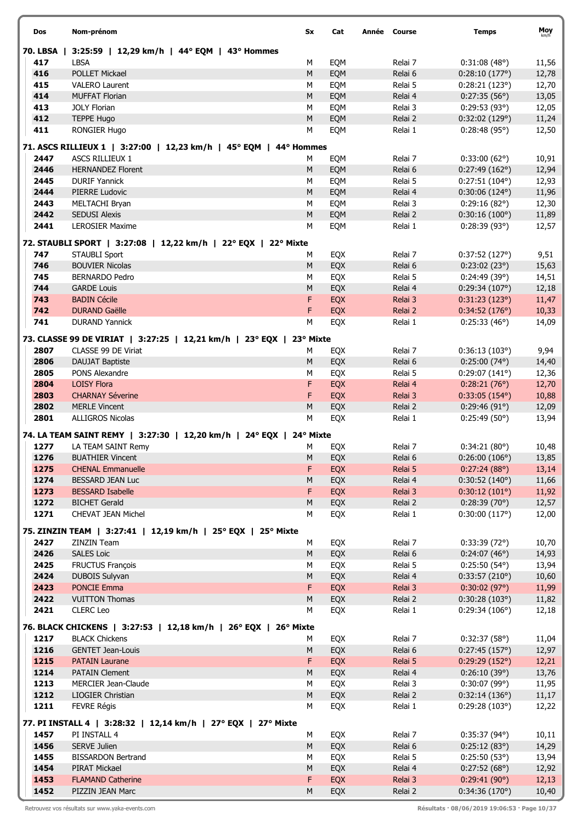| Dos      | Nom-prénom                                                        | Sx        | Cat        | Année Course | <b>Temps</b>           | Moy   |
|----------|-------------------------------------------------------------------|-----------|------------|--------------|------------------------|-------|
| 70. LBSA | 3:25:59   12,29 km/h   44° EQM   43° Hommes                       |           |            |              |                        |       |
| 417      | <b>LBSA</b>                                                       | М         | EQM        | Relai 7      | 0:31:08(48°)           | 11,56 |
| 416      | <b>POLLET Mickael</b>                                             | ${\sf M}$ | EQM        | Relai 6      | 0:28:10(177°)          | 12,78 |
| 415      | <b>VALERO Laurent</b>                                             | М         | EQM        | Relai 5      | 0:28:21(123°)          | 12,70 |
| 414      | <b>MUFFAT Florian</b>                                             | ${\sf M}$ | EQM        | Relai 4      | 0:27:35(56°)           | 13,05 |
| 413      | <b>JOLY Florian</b>                                               | M         | EQM        | Relai 3      | 0:29:53(93°)           | 12,05 |
| 412      | TEPPE Hugo                                                        | ${\sf M}$ | EQM        | Relai 2      | 0:32:02(129°)          | 11,24 |
| 411      | RONGIER Hugo                                                      | M         | EQM        | Relai 1      | 0:28:48(95°)           | 12,50 |
|          | 71. ASCS RILLIEUX 1   3:27:00   12,23 km/h   45° EQM   44° Hommes |           |            |              |                        |       |
| 2447     | <b>ASCS RILLIEUX 1</b>                                            | М         | EQM        | Relai 7      | 0:33:00(62°)           | 10,91 |
| 2446     | <b>HERNANDEZ Florent</b>                                          | M         | EQM        | Relai 6      | 0:27:49(162°)          | 12,94 |
| 2445     | <b>DURIF Yannick</b>                                              | М         | EQM        | Relai 5      | 0:27:51(104°)          | 12,93 |
| 2444     | PIERRE Ludovic                                                    | ${\sf M}$ | EQM        | Relai 4      | $0:30:06(124^{\circ})$ | 11,96 |
| 2443     | MELTACHI Bryan                                                    | M         | EQM        | Relai 3      | 0:29:16(82°)           | 12,30 |
| 2442     | <b>SEDUSI Alexis</b>                                              | ${\sf M}$ | EQM        | Relai 2      | 0:30:16(100°)          | 11,89 |
| 2441     | <b>LEROSIER Maxime</b>                                            | M         | EQM        | Relai 1      | 0:28:39(93°)           | 12,57 |
|          |                                                                   |           |            |              |                        |       |
|          | 72. STAUBLI SPORT   3:27:08   12,22 km/h   22° EQX  <br>22° Mixte |           |            |              |                        |       |
| 747      | <b>STAUBLI Sport</b>                                              | М         | EQX        | Relai 7      | 0:37:52(127°)          | 9,51  |
| 746      | <b>BOUVIER Nicolas</b>                                            | M         | EQX        | Relai 6      | 0:23:02(23°)           | 15,63 |
| 745      | <b>BERNARDO Pedro</b>                                             | М         | EQX        | Relai 5      | 0:24:49(39°)           | 14,51 |
| 744      | <b>GARDE Louis</b>                                                | M         | EQX        | Relai 4      | 0:29:34(107°)          | 12,18 |
| 743      | <b>BADIN Cécile</b>                                               | F         | EQX        | Relai 3      | 0:31:23(123°)          | 11,47 |
| 742      | <b>DURAND Gaëlle</b>                                              | F         | EQX        | Relai 2      | 0:34:52(176°)          | 10,33 |
| 741      | <b>DURAND Yannick</b>                                             | M         | EQX        | Relai 1      | 0:25:33(46°)           | 14,09 |
|          |                                                                   |           |            |              |                        |       |
|          | 73. CLASSE 99 DE VIRIAT   3:27:25   12,21 km/h   23° EQX          | 23° Mixte |            |              |                        |       |
| 2807     | CLASSE 99 DE Viriat                                               | М         | EQX        | Relai 7      | 0:36:13(103°)          | 9,94  |
| 2806     | <b>DAUJAT Baptiste</b>                                            | ${\sf M}$ | EQX        | Relai 6      | $0:25:00(74^{\circ})$  | 14,40 |
| 2805     | PONS Alexandre                                                    | M         | EQX        | Relai 5      | 0:29:07(141°)          | 12,36 |
| 2804     | <b>LOISY Flora</b>                                                | F         | <b>EQX</b> | Relai 4      | 0:28:21(76°)           | 12,70 |
| 2803     | <b>CHARNAY Séverine</b>                                           | F         | <b>EQX</b> | Relai 3      | $0:33:05(154^{\circ})$ | 10,88 |
| 2802     | <b>MERLE Vincent</b>                                              | ${\sf M}$ | EQX        | Relai 2      | 0:29:46(91°)           | 12,09 |
| 2801     | <b>ALLIGROS Nicolas</b>                                           | М         | EQX        | Relai 1      | 0:25:49(50°)           | 13,94 |
|          | 74. LA TEAM SAINT REMY   3:27:30   12,20 km/h   24° EQX           | 24° Mixte |            |              |                        |       |
| 1277     | LA TEAM SAINT Remv                                                | М         | EQX        | Relai 7      | 0:34:21(80°)           | 10,48 |
| 1276     | <b>BUATHIER Vincent</b>                                           | М         | EQX        | Relai 6      | 0:26:00(106°)          | 13,85 |
| 1275     | <b>CHENAL Emmanuelle</b>                                          | F         | <b>EQX</b> | Relai 5      | 0:27:24(88°)           | 13,14 |
| 1274     | BESSARD JEAN Luc                                                  | M         | EQX        | Relai 4      | 0:30:52(140°)          | 11,66 |
| 1273     | <b>BESSARD Isabelle</b>                                           | F         | <b>EQX</b> | Relai 3      | 0:30:12(101°)          |       |
| 1272     | <b>BICHET Gerald</b>                                              | M         |            | Relai 2      | 0:28:39(70°)           | 11,92 |
| 1271     |                                                                   |           | EQX        |              |                        | 12,57 |
|          | CHEVAT JEAN Michel                                                | М         | EQX        | Relai 1      | 0:30:00(117°)          | 12,00 |
|          | 75. ZINZIN TEAM   3:27:41   12,19 km/h   25° EQX   25° Mixte      |           |            |              |                        |       |
| 2427     | ZINZIN Team                                                       | M         | EQX        | Relai 7      | 0:33:39(72°)           | 10,70 |
| 2426     | <b>SALES Loic</b>                                                 | M         | EQX        | Relai 6      | 0:24:07(46°)           | 14,93 |
| 2425     | FRUCTUS François                                                  | M         | EQX        | Relai 5      | $0:25:50(54^{\circ})$  | 13,94 |
| 2424     | <b>DUBOIS Sulyvan</b>                                             | M         | EQX        | Relai 4      | 0:33:57(210°)          | 10,60 |
| 2423     | <b>PONCIE Emma</b>                                                | F         | EQX        | Relai 3      | 0:30:02(97°)           | 11,99 |
| 2422     | <b>VUITTON Thomas</b>                                             | M         | EQX        | Relai 2      | 0:30:28(103°)          | 11,82 |
| 2421     | <b>CLERC</b> Leo                                                  | М         | EQX        | Relai 1      | 0:29:34(106°)          | 12,18 |
|          |                                                                   |           |            |              |                        |       |
|          | 76. BLACK CHICKENS   3:27:53   12,18 km/h   26° EQX   26° Mixte   |           |            |              |                        |       |
| 1217     | <b>BLACK Chickens</b>                                             | М         | EQX        | Relai 7      | 0:32:37(58°)           | 11,04 |
| 1216     | <b>GENTET Jean-Louis</b>                                          | M         | EQX        | Relai 6      | 0:27:45(157°)          | 12,97 |
| 1215     | <b>PATAIN Laurane</b>                                             | F         | EQX        | Relai 5      | 0:29:29(152°)          | 12,21 |
| 1214     | <b>PATAIN Clement</b>                                             | M         | EQX        | Relai 4      | 0:26:10(39°)           | 13,76 |
| 1213     | MERCIER Jean-Claude                                               | M         | EQX        | Relai 3      | 0:30:07(99°)           | 11,95 |
| 1212     | <b>LIOGIER Christian</b>                                          | M         | EQX        | Relai 2      | 0:32:14(136°)          | 11,17 |
| 1211     | <b>FEVRE Régis</b>                                                | М         | EQX        | Relai 1      | 0:29:28(103°)          | 12,22 |
|          | 77. PI INSTALL 4   3:28:32   12,14 km/h   27° EQX   27° Mixte     |           |            |              |                        |       |
| 1457     | PI INSTALL 4                                                      | М         | EQX        | Relai 7      | $0:35:37(94^{\circ})$  | 10,11 |
| 1456     | <b>SERVE Julien</b>                                               |           |            |              |                        |       |
|          |                                                                   | M         | EQX        | Relai 6      | 0:25:12(83°)           | 14,29 |
| 1455     | <b>BISSARDON Bertrand</b>                                         | M         | EQX        | Relai 5      | 0:25:50(53°)           | 13,94 |
| 1454     | PIRAT Mickael                                                     | M         | EQX        | Relai 4      | 0:27:52(68°)           | 12,92 |
| 1453     | <b>FLAMAND Catherine</b>                                          | F         | <b>EQX</b> | Relai 3      | 0:29:41(90°)           | 12,13 |
| 1452     | PIZZIN JEAN Marc                                                  | M         | EQX        | Relai 2      | 0:34:36(170°)          | 10,40 |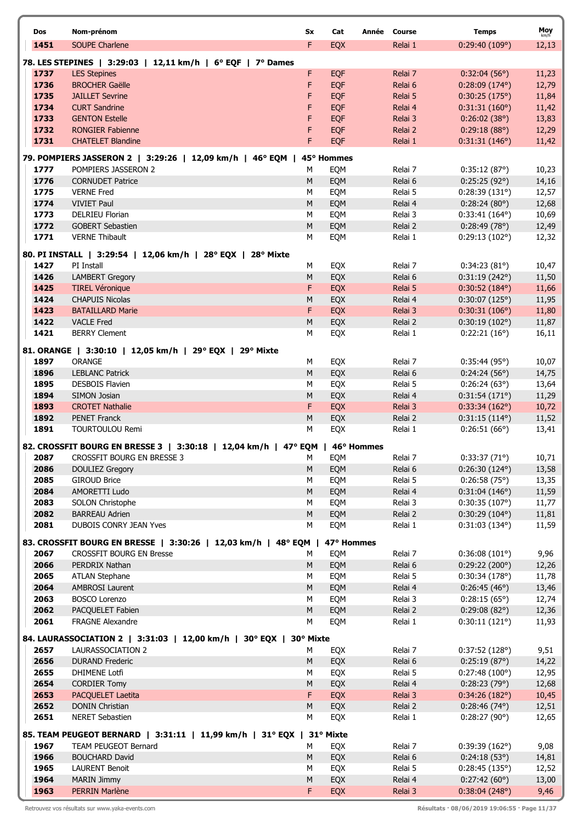|  | Dos  | Nom-prénom                                                                         | Sx        | Cat               | <b>Course</b><br>Année | <b>Temps</b>                  | Moy           |
|--|------|------------------------------------------------------------------------------------|-----------|-------------------|------------------------|-------------------------------|---------------|
|  | 1451 | <b>SOUPE Charlene</b>                                                              | F.        | EQX               | Relai 1                | 0:29:40(109°)                 | km/h<br>12,13 |
|  |      |                                                                                    |           |                   |                        |                               |               |
|  | 1737 | 78. LES STEPINES   3:29:03   12,11 km/h   6° EQF   7° Dames<br><b>LES Stepines</b> | F         | <b>EQF</b>        | Relai 7                | 0:32:04(56)                   | 11,23         |
|  | 1736 | <b>BROCHER Gaëlle</b>                                                              | F         | <b>EQF</b>        | Relai 6                | $0:28:09(174^{\circ})$        | 12,79         |
|  | 1735 | <b>JAILLET Sevrine</b>                                                             | F         | <b>EQF</b>        | Relai 5                | 0:30:25(175°)                 | 11,84         |
|  | 1734 | <b>CURT Sandrine</b>                                                               | F         | <b>EQF</b>        | Relai 4                | 0:31:31(160°)                 | 11,42         |
|  | 1733 | <b>GENTON Estelle</b>                                                              | F         | <b>EQF</b>        | Relai 3                | 0:26:02(38°)                  | 13,83         |
|  | 1732 | <b>RONGIER Fabienne</b>                                                            | F         | <b>EQF</b>        | Relai 2                | 0:29:18(88)                   | 12,29         |
|  | 1731 | <b>CHATELET Blandine</b>                                                           | F         | <b>EQF</b>        | Relai 1                | 0:31:31(146°)                 | 11,42         |
|  |      |                                                                                    |           |                   |                        |                               |               |
|  | 1777 | 79. POMPIERS JASSERON 2   3:29:26   12,09 km/h   46° EQM  <br>POMPIERS JASSERON 2  | М         | 45° Hommes<br>EQM | Relai 7                | 0:35:12(87°)                  | 10,23         |
|  | 1776 | <b>CORNUDET Patrice</b>                                                            | M         | EQM               | Relai 6                | 0:25:25(92°)                  | 14,16         |
|  | 1775 | <b>VERNE Fred</b>                                                                  | М         | EQM               | Relai 5                | 0:28:39(131°)                 | 12,57         |
|  | 1774 | <b>VIVIET Paul</b>                                                                 | M         | EQM               | Relai 4                | 0:28:24(80°)                  | 12,68         |
|  | 1773 | <b>DELRIEU Florian</b>                                                             | M         | EQM               | Relai 3                | $0:33:41(164^{\circ})$        | 10,69         |
|  | 1772 | <b>GOBERT Sebastien</b>                                                            | ${\sf M}$ | EQM               | Relai 2                | 0:28:49(78°)                  | 12,49         |
|  | 1771 | <b>VERNE Thibault</b>                                                              | M         | EQM               | Relai 1                | 0:29:13(102°)                 | 12,32         |
|  |      |                                                                                    |           |                   |                        |                               |               |
|  | 1427 | 80. PI INSTALL   3:29:54   12,06 km/h   28° EQX   28° Mixte<br>PI Install          | М         | EQX               | Relai 7                |                               | 10,47         |
|  | 1426 | <b>LAMBERT Gregory</b>                                                             | ${\sf M}$ | EQX               | Relai 6                | 0:34:23(81°)<br>0:31:19(242°) | 11,50         |
|  | 1425 | <b>TIREL Véronique</b>                                                             | F         | <b>EQX</b>        | Relai 5                | $0:30:52(184^{\circ})$        | 11,66         |
|  | 1424 | <b>CHAPUIS Nicolas</b>                                                             | M         | EQX               | Relai 4                | 0:30:07(125°)                 | 11,95         |
|  | 1423 | <b>BATAILLARD Marie</b>                                                            | F         | <b>EQX</b>        | Relai 3                | 0:30:31(106°)                 | 11,80         |
|  | 1422 | <b>VACLE Fred</b>                                                                  | ${\sf M}$ | EQX               | Relai 2                | 0:30:19(102°)                 | 11,87         |
|  | 1421 | <b>BERRY Clement</b>                                                               | М         | EQX               | Relai 1                | 0:22:21(16°)                  | 16,11         |
|  |      |                                                                                    |           |                   |                        |                               |               |
|  | 1897 | 81. ORANGE   3:30:10   12,05 km/h   29° EQX   29° Mixte<br>ORANGE                  | М         | EQX               | Relai 7                | 0:35:44(95)                   | 10,07         |
|  | 1896 | <b>LEBLANC Patrick</b>                                                             | M         | EQX               | Relai 6                | 0:24:24(56°)                  | 14,75         |
|  | 1895 | <b>DESBOIS Flavien</b>                                                             | M         | EQX               | Relai 5                | 0:26:24(63°)                  | 13,64         |
|  | 1894 | <b>SIMON Josian</b>                                                                | ${\sf M}$ | EQX               | Relai 4                | 0:31:54(171°)                 | 11,29         |
|  | 1893 | <b>CROTET Nathalie</b>                                                             | F         | EQX               | Relai 3                | 0:33:34(162°)                 | 10,72         |
|  | 1892 | <b>PENET Franck</b>                                                                | M         | EQX               | Relai 2                | $0:31:15(114^{\circ})$        | 11,52         |
|  | 1891 | <b>TOURTOULOU Remi</b>                                                             | M         | EQX               | Relai 1                | 0:26:51(66)                   | 13,41         |
|  |      | 82. CROSSFIT BOURG EN BRESSE 3   3:30:18   12,04 km/h   47° EQM   46° Hommes       |           |                   |                        |                               |               |
|  | 2087 | CROSSFIT BOURG EN BRESSE 3                                                         | м         | EQM               | Relai 7                | 0:33:37(71°)                  | 10,71         |
|  | 2086 | <b>DOULIEZ Gregory</b>                                                             | M         | EQM               | Relai 6                | $0:26:30(124^{\circ})$        | 13,58         |
|  | 2085 | <b>GIROUD Brice</b>                                                                | M         | EQM               | Relai 5                | 0:26:58(75)                   | 13,35         |
|  | 2084 | AMORETTI Ludo                                                                      | ${\sf M}$ | EQM               | Relai 4                | 0:31:04(146°)                 | 11,59         |
|  | 2083 | SOLON Christophe                                                                   | M         | EQM               | Relai 3                | 0:30:35(107°)                 | 11,77         |
|  | 2082 | <b>BARREAU Adrien</b>                                                              | M         | EQM               | Relai 2                | 0:30:29(104°)                 | 11,81         |
|  | 2081 | DUBOIS CONRY JEAN Yves                                                             | M         | EQM               | Relai 1                | 0:31:03(134°)                 | 11,59         |
|  |      | 83. CROSSFIT BOURG EN BRESSE   3:30:26   12,03 km/h   48° EQM                      |           | 47° Hommes        |                        |                               |               |
|  | 2067 | <b>CROSSFIT BOURG EN Bresse</b>                                                    | м         | EQM               | Relai 7                | 0:36:08(101°)                 | 9,96          |
|  | 2066 | PERDRIX Nathan                                                                     | M         | EQM               | Relai 6                | 0:29:22(200°)                 | 12,26         |
|  | 2065 | <b>ATLAN Stephane</b>                                                              | М         | EQM               | Relai 5                | 0:30:34(178°)                 | 11,78         |
|  | 2064 | <b>AMBROSI Laurent</b>                                                             | ${\sf M}$ | EQM               | Relai 4                | $0:26:45(46^{\circ})$         | 13,46         |
|  | 2063 | <b>BOSCO Lorenzo</b>                                                               | M         | EQM               | Relai 3                | $0:28:15(65^{\circ})$         | 12,74         |
|  | 2062 | PACQUELET Fabien                                                                   | ${\sf M}$ | EQM               | Relai 2                | 0:29:08(82°)                  | 12,36         |
|  | 2061 | <b>FRAGNE Alexandre</b>                                                            | M         | EQM               | Relai 1                | 0:30:11(121°)                 | 11,93         |
|  |      | 84. LAURASSOCIATION 2   3:31:03   12,00 km/h   30° EQX   30° Mixte                 |           |                   |                        |                               |               |
|  | 2657 | LAURASSOCIATION 2                                                                  | М         | EQX               | Relai 7                | 0:37:52(128°)                 | 9,51          |
|  | 2656 | <b>DURAND Frederic</b>                                                             | ${\sf M}$ | EQX               | Relai 6                | 0:25:19(87°)                  | 14,22         |
|  | 2655 | <b>DHIMENE Lotfi</b>                                                               | M         | EQX               | Relai 5                | 0:27:48(100°)                 | 12,95         |
|  | 2654 | <b>CORDIER Tomy</b>                                                                | M         | EQX               | Relai 4                | 0:28:23(79°)                  | 12,68         |
|  | 2653 | PACQUELET Laetita                                                                  | F         | EQX               | Relai 3                | 0:34:26(182°)                 | 10,45         |
|  | 2652 | <b>DONIN Christian</b>                                                             | M         | EQX               | Relai 2                | $0:28:46(74^{\circ})$         | 12,51         |
|  | 2651 | <b>NERET Sebastien</b>                                                             | M         | EQX               | Relai 1                | 0:28:27(90°)                  | 12,65         |
|  |      | 85. TEAM PEUGEOT BERNARD   3:31:11   11,99 km/h   31° EQX   31° Mixte              |           |                   |                        |                               |               |
|  | 1967 | <b>TEAM PEUGEOT Bernard</b>                                                        | М         | EQX               | Relai 7                | 0:39:39(162°)                 | 9,08          |
|  | 1966 | <b>BOUCHARD David</b>                                                              | M         | EQX               | Relai 6                | 0:24:18(53)                   | 14,81         |
|  | 1965 | <b>LAURENT Benoit</b>                                                              | M         | EQX               | Relai 5                | 0:28:45(135°)                 | 12,52         |
|  | 1964 | <b>MARIN Jimmy</b>                                                                 | ${\sf M}$ | EQX               | Relai 4                | 0:27:42(60°)                  | 13,00         |
|  | 1963 | PERRIN Marlène                                                                     | F.        | <b>EQX</b>        | Relai 3                | 0:38:04(248°)                 | 9,46          |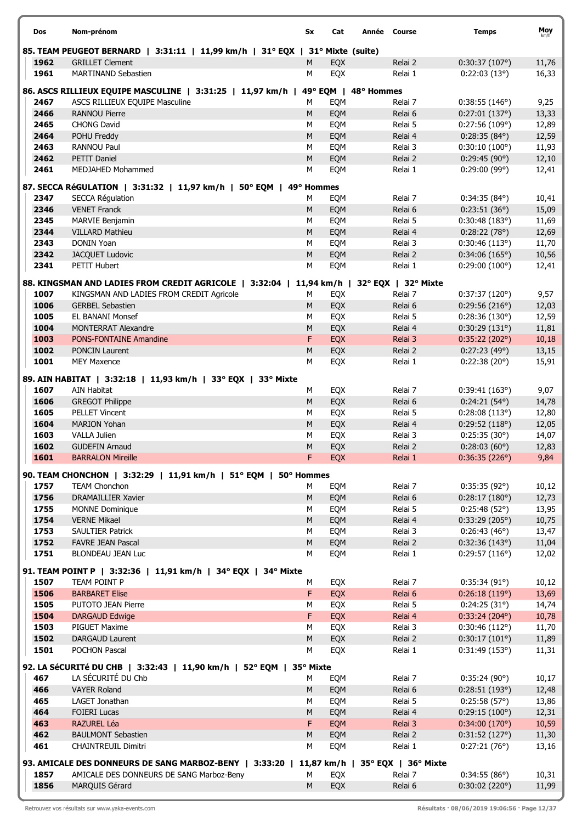| Dos  | Nom-prénom                                                                                | Sx         | Cat     | Année Course | <b>Temps</b>           | Moy   |
|------|-------------------------------------------------------------------------------------------|------------|---------|--------------|------------------------|-------|
|      | 85. TEAM PEUGEOT BERNARD   3:31:11   11,99 km/h   31° EQX   31° Mixte (suite)             |            |         |              |                        |       |
| 1962 | <b>GRILLET Clement</b>                                                                    | м          | EQX     | Relai 2      | 0:30:37(107°)          | 11,76 |
| 1961 | <b>MARTINAND Sebastien</b>                                                                | M          | EQX     | Relai 1      | 0:22:03(13°)           | 16,33 |
|      | 86. ASCS RILLIEUX EQUIPE MASCULINE   3:31:25   11,97 km/h                                 |            | 49° EQM | 48° Hommes   |                        |       |
| 2467 | ASCS RILLIEUX EQUIPE Masculine                                                            | М          | EQM     | Relai 7      | 0:38:55(146°)          | 9,25  |
| 2466 | <b>RANNOU Pierre</b>                                                                      | M          | EQM     | Relai 6      | 0:27:01(137°)          | 13,33 |
| 2465 | <b>CHONG David</b>                                                                        | M          | EQM     | Relai 5      | 0:27:56(109°)          | 12,89 |
| 2464 | POHU Freddy                                                                               | M          | EQM     | Relai 4      | $0:28:35(84^{\circ})$  | 12,59 |
| 2463 | <b>RANNOU Paul</b>                                                                        | M          | EQM     | Relai 3      | 0:30:10(100°)          | 11,93 |
| 2462 | <b>PETIT Daniel</b>                                                                       | ${\sf M}$  | EQM     | Relai 2      | 0:29:45(90°)           | 12,10 |
| 2461 | <b>MEDJAHED Mohammed</b>                                                                  | M          | EQM     | Relai 1      | 0:29:00(99°)           | 12,41 |
|      | 87. SECCA RéGULATION   3:31:32   11,97 km/h   50° EQM   49° Hommes                        |            |         |              |                        |       |
| 2347 | <b>SECCA Régulation</b>                                                                   | М          | EQM     | Relai 7      | $0:34:35(84^{\circ})$  | 10,41 |
| 2346 | <b>VENET Franck</b>                                                                       | M          | EQM     | Relai 6      | 0:23:51(36°)           | 15,09 |
| 2345 | MARVIE Benjamin                                                                           | M          | EQM     | Relai 5      | 0:30:48(183°)          | 11,69 |
| 2344 | <b>VILLARD Mathieu</b>                                                                    | ${\sf M}$  | EQM     | Relai 4      | 0:28:22(78°)           | 12,69 |
| 2343 | DONIN Yoan                                                                                | M          | EQM     | Relai 3      | 0:30:46(113°)          | 11,70 |
| 2342 | <b>JACQUET Ludovic</b>                                                                    | ${\sf M}$  | EQM     | Relai 2      | 0:34:06(165°)          | 10,56 |
| 2341 | PETIT Hubert                                                                              | M          | EQM     | Relai 1      | $0:29:00(100^{\circ})$ | 12,41 |
|      | 88. KINGSMAN AND LADIES FROM CREDIT AGRICOLE   3:32:04   11,94 km/h   32° EQX   32° Mixte |            |         |              |                        |       |
| 1007 | KINGSMAN AND LADIES FROM CREDIT Agricole                                                  | M          | EQX     | Relai 7      | 0:37:37(120°)          | 9,57  |
| 1006 | <b>GERBEL Sebastien</b>                                                                   | M          | EQX     | Relai 6      | 0:29:56(216°)          | 12,03 |
| 1005 | <b>EL BANANI Monsef</b>                                                                   | M          | EQX     | Relai 5      | 0:28:36(130°)          | 12,59 |
| 1004 | <b>MONTERRAT Alexandre</b>                                                                | M          | EQX     | Relai 4      | 0:30:29(131°)          | 11,81 |
| 1003 | <b>PONS-FONTAINE Amandine</b>                                                             | F          | EQX     | Relai 3      | 0:35:22(202°)          | 10,18 |
| 1002 | <b>PONCIN Laurent</b>                                                                     | ${\sf M}$  | EQX     | Relai 2      | 0:27:23(49°)           | 13,15 |
| 1001 | <b>MEY Maxence</b>                                                                        | M          | EQX     | Relai 1      | 0:22:38(20°)           | 15,91 |
|      | 89. AIN HABITAT   3:32:18   11,93 km/h   33° EQX   33° Mixte                              |            |         |              |                        |       |
| 1607 | <b>AIN Habitat</b>                                                                        | М          | EQX     | Relai 7      | 0:39:41(163°)          | 9,07  |
| 1606 | <b>GREGOT Philippe</b>                                                                    | ${\sf M}$  | EQX     | Relai 6      | $0:24:21(54^{\circ})$  | 14,78 |
| 1605 | <b>PELLET Vincent</b>                                                                     | M          | EQX     | Relai 5      | 0:28:08(113°)          | 12,80 |
| 1604 | <b>MARION Yohan</b>                                                                       | M          | EQX     | Relai 4      | 0:29:52(118°)          | 12,05 |
| 1603 | VALLA Julien                                                                              | M          | EQX     | Relai 3      | 0:25:35(30°)           | 14,07 |
| 1602 | <b>GUDEFIN Arnaud</b>                                                                     | M          | EQX     | Relai 2      | 0:28:03(60°)           | 12,83 |
| 1601 | <b>BARRALON Mireille</b>                                                                  | F.         | EQX     | Relai 1      | 0:36:35(226°)          | 9,84  |
|      | 90. TEAM CHONCHON   3:32:29   11,91 km/h   51° EQM                                        | 50° Hommes |         |              |                        |       |
| 1757 | <b>TEAM Chonchon</b>                                                                      | м          | EQM     | Relai 7      | 0:35:35(92°)           | 10,12 |
| 1756 | <b>DRAMAILLIER Xavier</b>                                                                 | ${\sf M}$  | EQM     | Relai 6      | 0:28:17(180°)          | 12,73 |
| 1755 | <b>MONNE Dominique</b>                                                                    | М          | EQM     | Relai 5      | 0:25:48(52°)           | 13,95 |
| 1754 | <b>VERNE Mikael</b>                                                                       | M          | EQM     | Relai 4      | 0:33:29(205°)          | 10,75 |
| 1753 | <b>SAULTIER Patrick</b>                                                                   | M          | EQM     | Relai 3      | 0:26:43(46°)           | 13,47 |
| 1752 | <b>FAVRE JEAN Pascal</b>                                                                  | ${\sf M}$  | EQM     | Relai 2      | 0:32:36(143°)          | 11,04 |
| 1751 | <b>BLONDEAU JEAN Luc</b>                                                                  | М          | EQM     | Relai 1      | 0:29:57(116°)          | 12,02 |
|      | 91. TEAM POINT P   3:32:36   11,91 km/h   34° EQX                                         | 34° Mixte  |         |              |                        |       |
| 1507 | TEAM POINT P                                                                              | М          | EQX     | Relai 7      | 0:35:34(91°)           | 10,12 |
| 1506 | <b>BARBARET Elise</b>                                                                     | F.         | EQX     | Relai 6      | 0:26:18(119°)          | 13,69 |
| 1505 | PUTOTO JEAN Pierre                                                                        | M          | EQX     | Relai 5      | 0:24:25(31°)           | 14,74 |
| 1504 | <b>DARGAUD Edwige</b>                                                                     | F          | EQX     | Relai 4      | 0:33:24(204°)          | 10,78 |
| 1503 | <b>PIGUET Maxime</b>                                                                      | M          | EQX     | Relai 3      | 0:30:46(112°)          | 11,70 |
| 1502 | DARGAUD Laurent                                                                           | ${\sf M}$  | EQX     | Relai 2      | 0:30:17(101°)          | 11,89 |
| 1501 | <b>POCHON Pascal</b>                                                                      | М          | EQX     | Relai 1      | 0:31:49(153°)          | 11,31 |
|      | 92. LA SéCURITé DU CHB   3:32:43   11,90 km/h   52° EQM                                   | 35° Mixte  |         |              |                        |       |
| 467  | LA SÉCURITÉ DU Chb                                                                        | м          | EQM     | Relai 7      | 0:35:24(90°)           | 10,17 |
| 466  | <b>VAYER Roland</b>                                                                       | M          | EQM     | Relai 6      | 0:28:51(193°)          | 12,48 |
| 465  | LAGET Jonathan                                                                            | M          | EQM     | Relai 5      | 0:25:58(57°)           | 13,86 |
| 464  | <b>FOIERI Lucas</b>                                                                       | ${\sf M}$  | EQM     | Relai 4      | 0:29:15(100°)          | 12,31 |
| 463  | <b>RAZUREL Léa</b>                                                                        | F          | EQM     | Relai 3      | 0:34:00(170°)          | 10,59 |
| 462  | <b>BAULMONT Sebastien</b>                                                                 | ${\sf M}$  | EQM     | Relai 2      | 0:31:52(127°)          | 11,30 |
| 461  | <b>CHAINTREUIL Dimitri</b>                                                                | M          | EQM     | Relai 1      | 0:27:21(76°)           | 13,16 |
|      | 93. AMICALE DES DONNEURS DE SANG MARBOZ-BENY   3:33:20   11,87 km/h   35° EQX   36° Mixte |            |         |              |                        |       |
| 1857 | AMICALE DES DONNEURS DE SANG Marboz-Beny                                                  | M          | EQX     | Relai 7      | 0:34:55(86°)           | 10,31 |
| 1856 | MARQUIS Gérard                                                                            | ${\sf M}$  | EQX     | Relai 6      | 0:30:02(220°)          | 11,99 |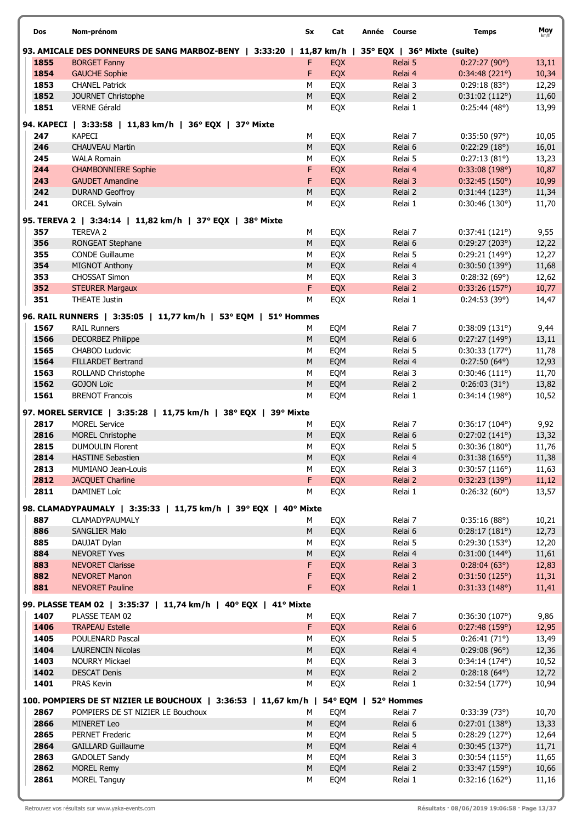| Dos  | Nom-prénom                                                          | Sx        | Cat        | Année Course                | <b>Temps</b>           | Moy   |
|------|---------------------------------------------------------------------|-----------|------------|-----------------------------|------------------------|-------|
|      | 93. AMICALE DES DONNEURS DE SANG MARBOZ-BENY   3:33:20   11,87 km/h |           |            | 35° EQX   36° Mixte (suite) |                        |       |
| 1855 | <b>BORGET Fanny</b>                                                 | F         | EQX        | Relai 5                     | 0:27:27(90°)           | 13,11 |
| 1854 | <b>GAUCHE Sophie</b>                                                | F         | EQX        | Relai 4                     | 0:34:48(221°)          | 10,34 |
| 1853 | <b>CHANEL Patrick</b>                                               | M         | EQX        | Relai 3                     | 0:29:18(83°)           | 12,29 |
| 1852 | JOURNET Christophe                                                  | ${\sf M}$ | EQX        | Relai 2                     | 0:31:02(112°)          | 11,60 |
| 1851 | <b>VERNE Gérald</b>                                                 | M         | EQX        | Relai 1                     | 0:25:44(48°)           | 13,99 |
|      | 94. KAPECI   3:33:58   11,83 km/h   36° EQX   37° Mixte             |           |            |                             |                        |       |
| 247  | <b>KAPECI</b>                                                       | М         | EQX        | Relai 7                     | 0:35:50(97°)           | 10,05 |
| 246  | <b>CHAUVEAU Martin</b>                                              | ${\sf M}$ | EQX        | Relai 6                     | 0:22:29(18°)           | 16,01 |
| 245  | <b>WALA Romain</b>                                                  | M         | EQX        | Relai 5                     | 0:27:13(81°)           | 13,23 |
| 244  | <b>CHAMBONNIERE Sophie</b>                                          | F         | EQX        | Relai 4                     | 0:33:08(198°)          | 10,87 |
| 243  | <b>GAUDET Amandine</b>                                              | F         | EQX        | Relai 3                     | 0:32:45(150°)          | 10,99 |
| 242  | <b>DURAND Geoffroy</b>                                              | M         | EQX        | Relai 2                     | 0:31:44(123°)          | 11,34 |
| 241  | <b>ORCEL Sylvain</b>                                                | M         | EQX        | Relai 1                     | 0:30:46(130°)          | 11,70 |
|      | 95. TEREVA 2   3:34:14   11,82 km/h   37° EQX   38° Mixte           |           |            |                             |                        |       |
| 357  | <b>TEREVA 2</b>                                                     | М         | EQX        | Relai 7                     | 0:37:41(121°)          | 9,55  |
| 356  | RONGEAT Stephane                                                    | ${\sf M}$ | EQX        | Relai 6                     | 0:29:27(203°)          | 12,22 |
| 355  | <b>CONDE Guillaume</b>                                              | M         | EQX        | Relai 5                     | 0:29:21 (149°)         | 12,27 |
| 354  | MIGNOT Anthony                                                      | ${\sf M}$ | EQX        | Relai 4                     | 0:30:50(139°)          | 11,68 |
| 353  | <b>CHOSSAT Simon</b>                                                | M         | EQX        | Relai 3                     | 0:28:32(69°)           | 12,62 |
| 352  | <b>STEURER Margaux</b>                                              | F         | EQX        | Relai 2                     | 0:33:26(157°)          | 10,77 |
| 351  | <b>THEATE Justin</b>                                                | M         | EQX        | Relai 1                     | 0:24:53(39°)           | 14,47 |
|      | 96. RAIL RUNNERS   3:35:05   11,77 km/h   53° EQM   51° Hommes      |           |            |                             |                        |       |
| 1567 | <b>RAIL Runners</b>                                                 | М         | EQM        | Relai 7                     | 0:38:09(131°)          | 9,44  |
| 1566 | <b>DECORBEZ Philippe</b>                                            | M         | EQM        | Relai 6                     | 0:27:27(149°)          | 13,11 |
| 1565 | CHABOD Ludovic                                                      | M         | EQM        | Relai 5                     | 0:30:33(177°)          | 11,78 |
| 1564 | <b>FILLARDET Bertrand</b>                                           | ${\sf M}$ | EQM        | Relai 4                     | $0:27:50(64^{\circ})$  | 12,93 |
| 1563 | ROLLAND Christophe                                                  | M         | EQM        | Relai 3                     | 0:30:46(111°)          | 11,70 |
| 1562 | <b>GOJON Loïc</b>                                                   | ${\sf M}$ | EQM        | Relai 2                     | 0:26:03(31°)           | 13,82 |
| 1561 | <b>BRENOT Francois</b>                                              | M         | EQM        | Relai 1                     | 0:34:14(198°)          | 10,52 |
|      | 97. MOREL SERVICE   3:35:28   11,75 km/h   38° EQX   39° Mixte      |           |            |                             |                        |       |
| 2817 | <b>MOREL Service</b>                                                | М         | EQX        | Relai 7                     | 0:36:17(104°)          | 9,92  |
| 2816 | <b>MOREL Christophe</b>                                             | M         | EQX        | Relai 6                     | 0:27:02(141°)          | 13,32 |
| 2815 | <b>DUMOULIN Florent</b>                                             | М         | EQX        | Relai 5                     | 0:30:36(180°)          | 11,76 |
| 2814 | <b>HASTINE Sebastien</b>                                            | M         | EQX        | Relai 4                     | 0:31:38(165°)          | 11,38 |
| 2813 | MUMIANO Jean-Louis                                                  | М         | EQX        | Relai 3                     | 0:30:57(116°)          | 11,63 |
| 2812 | <b>JACQUET Charline</b>                                             | F.        | EQX        | Relai 2                     | 0:32:23(139°)          | 11,12 |
| 2811 | DAMINET Loïc                                                        | М         | EQX        | Relai 1                     | 0:26:32(60°)           | 13,57 |
|      | 98. CLAMADYPAUMALY   3:35:33   11,75 km/h   39° EQX   40° Mixte     |           |            |                             |                        |       |
| 887  | CLAMADYPAUMALY                                                      | М         | EQX        | Relai 7                     | 0:35:16(88°)           | 10,21 |
| 886  | SANGLIER Malo                                                       | M         | EQX        | Relai 6                     | 0:28:17(181°)          | 12,73 |
| 885  | DAUJAT Dylan                                                        | М         | EQX        | Relai 5                     | 0:29:30(153°)          | 12,20 |
| 884  | <b>NEVORET Yves</b>                                                 | M         | EQX        | Relai 4                     | $0:31:00(144^{\circ})$ | 11,61 |
| 883  | <b>NEVORET Clarisse</b>                                             | F         | <b>EQX</b> | Relai 3                     | 0:28:04(63)            | 12,83 |
| 882  | <b>NEVORET Manon</b>                                                | F         | <b>EQX</b> | Relai 2                     | 0:31:50(125°)          | 11,31 |
| 881  | <b>NEVORET Pauline</b>                                              | F         | EQX        | Relai 1                     | 0:31:33(148°)          | 11,41 |
|      | 99. PLASSE TEAM 02   3:35:37   11,74 km/h   40° EQX   41° Mixte     |           |            |                             |                        |       |
| 1407 | PLASSE TEAM 02                                                      | м         | EQX        | Relai 7                     | 0:36:30(107°)          | 9,86  |
| 1406 | <b>TRAPEAU Estelle</b>                                              | F.        | EQX        | Relai 6                     | 0:27:48(159°)          | 12,95 |
| 1405 | POULENARD Pascal                                                    | М         | EQX        | Relai 5                     | 0:26:41(71°)           | 13,49 |
| 1404 | <b>LAURENCIN Nicolas</b>                                            | M         | EQX        | Relai 4                     | 0:29:08(96°)           | 12,36 |
| 1403 | <b>NOURRY Mickael</b>                                               | M         | EQX        | Relai 3                     | $0:34:14(174^{\circ})$ | 10,52 |
| 1402 | <b>DESCAT Denis</b>                                                 | ${\sf M}$ | EQX        | Relai 2                     | $0:28:18(64^{\circ})$  | 12,72 |
| 1401 | PRAS Kevin                                                          | M         | EQX        | Relai 1                     | 0:32:54(177°)          | 10,94 |
|      | 100. POMPIERS DE ST NIZIER LE BOUCHOUX   3:36:53   11,67 km/h       |           |            | 54° EQM   52° Hommes        |                        |       |
| 2867 | POMPIERS DE ST NIZIER LE Bouchoux                                   | М         | EQM        | Relai 7                     | 0:33:39(73)            | 10,70 |
| 2866 | <b>MINERET Leo</b>                                                  | M         | EQM        | Relai 6                     | 0:27:01(138°)          | 13,33 |
| 2865 | <b>PERNET Frederic</b>                                              | М         | EQM        | Relai 5                     | 0:28:29(127°)          | 12,64 |
| 2864 | <b>GAILLARD Guillaume</b>                                           | ${\sf M}$ | EQM        | Relai 4                     | 0:30:45(137°)          | 11,71 |
| 2863 | GADOLET Sandy                                                       | M         | EQM        | Relai 3                     | 0:30:54(115°)          | 11,65 |
| 2862 | <b>MOREL Remy</b>                                                   | M         | EQM        | Relai 2                     | 0:33:47(159°)          | 10,66 |
| 2861 | <b>MOREL Tanguy</b>                                                 | М         | EQM        | Relai 1                     | 0:32:16(162°)          | 11,16 |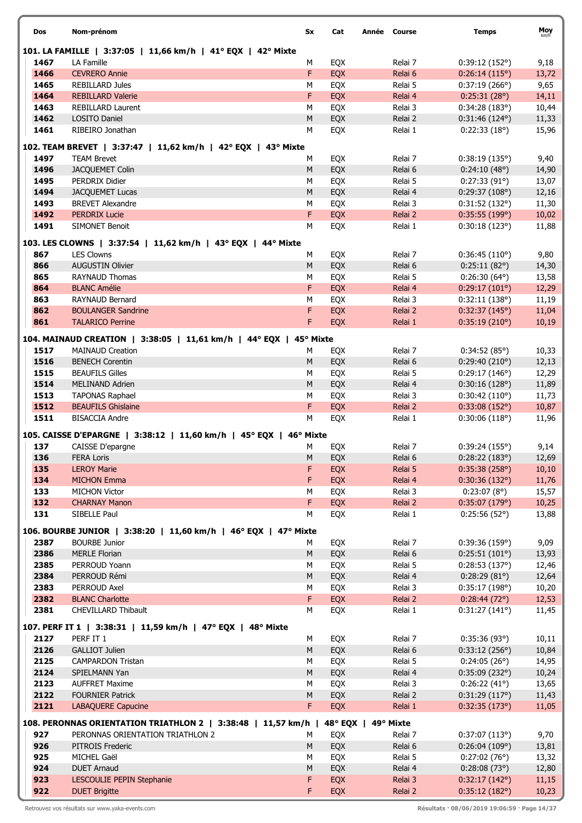| Dos          | Nom-prénom                                                                         | Sx        | Cat        | Année Course |                    | <b>Temps</b>                  | Moy            |
|--------------|------------------------------------------------------------------------------------|-----------|------------|--------------|--------------------|-------------------------------|----------------|
|              | 101. LA FAMILLE   3:37:05   11,66 km/h   41° EQX   42° Mixte                       |           |            |              |                    |                               |                |
| 1467         | LA Famille                                                                         | М         | EQX        |              | Relai 7            | 0:39:12(152°)                 | 9,18           |
| 1466         | <b>CEVRERO Annie</b>                                                               | F         | EQX        |              | Relai 6            | 0:26:14(115°)                 | 13,72          |
| 1465         | <b>REBILLARD Jules</b>                                                             | М         | EQX        |              | Relai 5            | 0:37:19(266°)                 | 9,65           |
| 1464         | <b>REBILLARD Valerie</b>                                                           | F         | EQX        |              | Relai 4            | 0:25:31(28°)                  | 14,11          |
| 1463         | <b>REBILLARD Laurent</b>                                                           | М         | EQX        |              | Relai 3            | 0:34:28(183°)                 | 10,44          |
| 1462         | LOSITO Daniel                                                                      | ${\sf M}$ | EQX        |              | Relai 2            | $0:31:46(124^{\circ})$        | 11,33          |
| 1461         | RIBEIRO Jonathan                                                                   | М         | EQX        |              | Relai 1            | 0:22:33(18°)                  | 15,96          |
|              | 102. TEAM BREVET   3:37:47   11,62 km/h   42° EQX   43° Mixte                      |           |            |              |                    |                               |                |
| 1497         | <b>TEAM Brevet</b>                                                                 | М         | EQX        |              | Relai 7            | 0:38:19(135°)                 | 9,40           |
| 1496         | JACQUEMET Colin                                                                    | M         | EQX        |              | Relai 6            | 0:24:10(48°)                  | 14,90          |
| 1495         | PERDRIX Didier                                                                     | М         | EQX        |              | Relai 5            | 0:27:33(91°)                  | 13,07          |
| 1494         | <b>JACQUEMET Lucas</b>                                                             | M         | EQX        |              | Relai 4            | 0:29:37(108°)                 | 12,16          |
| 1493         | <b>BREVET Alexandre</b>                                                            | М         | EQX        |              | Relai 3            | 0:31:52(132°)                 | 11,30          |
| 1492         | <b>PERDRIX Lucie</b>                                                               | F         | EQX        |              | Relai 2            | 0:35:55(199°)                 | 10,02          |
| 1491         | <b>SIMONET Benoit</b>                                                              | M         | EQX        |              | Relai 1            | 0:30:18(123°)                 | 11,88          |
|              | 103. LES CLOWNS   3:37:54   11,62 km/h   43° EQX   44° Mixte                       |           |            |              |                    |                               |                |
| 867          | <b>LES Clowns</b>                                                                  | М         | EQX        |              | Relai 7            | 0:36:45(110°)                 | 9,80           |
| 866          | <b>AUGUSTIN Olivier</b>                                                            | ${\sf M}$ | EQX        |              | Relai 6            | 0:25:11(82°)                  | 14,30          |
| 865          | <b>RAYNAUD Thomas</b>                                                              | М         | EQX        |              | Relai 5            | $0:26:30(64^{\circ})$         | 13,58          |
| 864          | <b>BLANC Amélie</b>                                                                | F         | EQX        |              | Relai 4            | 0:29:17(101°)                 | 12,29          |
| 863          | <b>RAYNAUD Bernard</b>                                                             | М         | EQX        |              | Relai 3            | 0:32:11(138°)                 | 11,19          |
| 862          | <b>BOULANGER Sandrine</b>                                                          | F         | EQX        |              | Relai 2            | 0:32:37(145°)                 | 11,04          |
| 861          | <b>TALARICO Perrine</b>                                                            | F         | EQX        |              | Relai 1            | 0:35:19(210°)                 | 10,19          |
|              | 104. MAINAUD CREATION   3:38:05   11,61 km/h   44° EQX   45° Mixte                 |           |            |              |                    |                               |                |
| 1517         | <b>MAINAUD Creation</b>                                                            | М         | <b>EQX</b> |              | Relai 7            | 0:34:52(85°)                  | 10,33          |
| 1516         | <b>BENECH Corentin</b>                                                             | M         | EQX        |              | Relai 6            | 0:29:40(210°)                 | 12,13          |
| 1515         | <b>BEAUFILS Gilles</b>                                                             | М         | EQX        |              | Relai 5            | 0:29:17(146°)                 | 12,29          |
| 1514         | <b>MELINAND Adrien</b>                                                             | ${\sf M}$ | EQX        |              | Relai 4            | 0:30:16(128°)                 | 11,89          |
| 1513         | <b>TAPONAS Raphael</b>                                                             | M         | EQX        |              | Relai 3            | 0:30:42(110°)                 | 11,73          |
| 1512         | <b>BEAUFILS Ghislaine</b>                                                          | F         | EQX        |              | Relai 2            | 0:33:08(152°)                 | 10,87          |
| 1511         | <b>BISACCIA Andre</b>                                                              | М         | EQX        |              | Relai 1            | 0:30:06(118°)                 | 11,96          |
|              | 105. CAISSE D'EPARGNE   3:38:12   11,60 km/h   45° EQX                             | 46° Mixte |            |              |                    |                               |                |
| 137          | CAISSE D'epargne                                                                   | М         | EQX        |              | Relai 7            | 0:39:24(155°)                 | 9,14           |
| 136          | <b>FERA Loris</b>                                                                  | М         | <b>EOX</b> |              | Relai 6            | 0:28:22(183°)                 | 12,69          |
| 135          | <b>LEROY Marie</b>                                                                 | F         | EQX        |              | Relai 5            | 0:35:38(258°)                 | 10,10          |
| 134          | <b>MICHON Emma</b>                                                                 | F         | EQX        |              | Relai 4            | 0:30:36(132°)                 | 11,76          |
| 133          | <b>MICHON Victor</b>                                                               | М         | EQX        |              | Relai 3            | 0:23:07(8°)                   | 15,57          |
| 132          | <b>CHARNAY Manon</b>                                                               | F         | EQX        |              | Relai 2            | 0:35:07(179°)                 | 10,25          |
| 131          | SIBELLE Paul                                                                       | М         | EQX        |              | Relai 1            | 0:25:56(52°)                  | 13,88          |
|              | 106. BOURBE JUNIOR   3:38:20   11,60 km/h   46° EQX   47° Mixte                    |           |            |              |                    |                               |                |
| 2387         | <b>BOURBE Junior</b>                                                               | м         | EQX        |              | Relai 7            | 0:39:36(159°)                 | 9,09           |
| 2386         | <b>MERLE Florian</b>                                                               | M         | EQX        |              | Relai 6            | 0:25:51(101°)                 | 13,93          |
| 2385         | PERROUD Yoann                                                                      | М         | EQX        |              | Relai 5            | 0:28:53(137°)                 | 12,46          |
| 2384         | PERROUD Rémi                                                                       | M         | EQX        |              | Relai 4            | 0:28:29(81°)                  | 12,64          |
| 2383         | PERROUD Axel                                                                       | М         | EQX        |              | Relai 3            | 0:35:17(198°)                 | 10,20          |
| 2382         | <b>BLANC Charlotte</b>                                                             | F.        | EQX        |              | Relai 2            | 0:28:44(72°)                  | 12,53          |
| 2381         | CHEVILLARD Thibault                                                                | М         | EQX        |              | Relai 1            | 0:31:27(141°)                 | 11,45          |
|              |                                                                                    |           |            |              |                    |                               |                |
|              | 107. PERF IT 1   3:38:31   11,59 km/h   47° EQX   48° Mixte                        |           |            |              |                    |                               |                |
| 2127         | PERF IT 1                                                                          | М         | EQX        |              | Relai 7            | 0:35:36(93°)                  | 10,11          |
| 2126<br>2125 | <b>GALLIOT Julien</b>                                                              | M<br>М    | EQX        |              | Relai 6<br>Relai 5 | 0:33:12(256°)<br>0:24:05(26°) | 10,84          |
| 2124         | <b>CAMPARDON Tristan</b><br>SPIELMANN Yan                                          | M         | EQX<br>EQX |              | Relai 4            | 0:35:09(232°)                 | 14,95          |
| 2123         | <b>AUFFRET Maxime</b>                                                              | М         | EQX        |              | Relai 3            | 0:26:22(41°)                  | 10,24<br>13,65 |
| 2122         | <b>FOURNIER Patrick</b>                                                            | M         | EQX        |              | Relai 2            | 0:31:29(117°)                 | 11,43          |
| 2121         | <b>LABAQUERE Capucine</b>                                                          | F.        | EQX        |              | Relai 1            | 0:32:35(173°)                 | 11,05          |
|              |                                                                                    |           |            |              |                    |                               |                |
|              | 108. PERONNAS ORIENTATION TRIATHLON 2   3:38:48   11,57 km/h   48° EQX   49° Mixte |           |            |              |                    |                               |                |
| 927          | PERONNAS ORIENTATION TRIATHLON 2                                                   | м         | EQX        |              | Relai 7            | 0:37:07(113°)                 | 9,70           |
| 926          | PITROIS Frederic                                                                   | M         | EQX        |              | Relai 6            | 0:26:04(109°)                 | 13,81          |
| 925          | MICHEL Gaël                                                                        | М         | EQX        |              | Relai 5            | 0:27:02(76°)                  | 13,32          |
| 924          | <b>DUET Arnaud</b>                                                                 | M         | EQX        |              | Relai 4            | 0:28:08(73°)                  | 12,80          |
| 923<br>922   | LESCOULIE PEPIN Stephanie<br><b>DUET Brigitte</b>                                  | F<br>F    | <b>EQX</b> |              | Relai 3<br>Relai 2 | 0:32:17(142°)                 | 11,15          |
|              |                                                                                    |           | EQX        |              |                    | 0:35:12(182°)                 | 10,23          |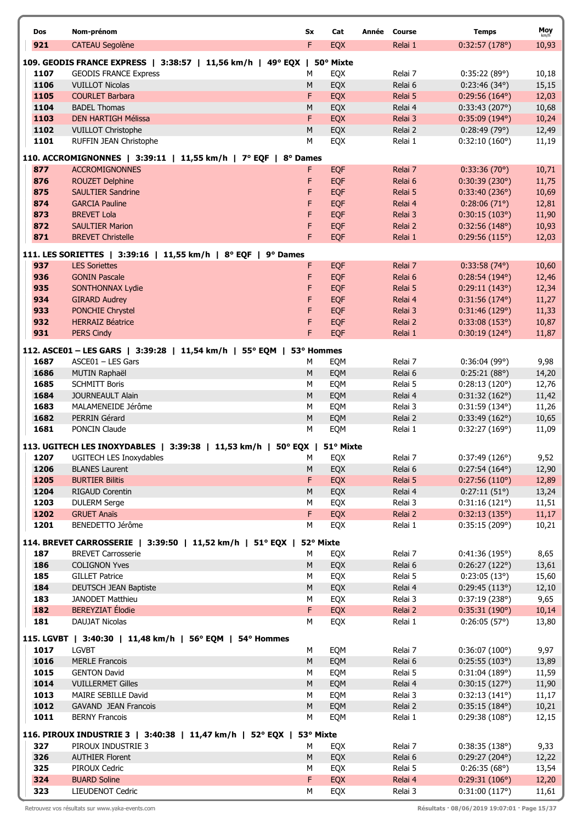|      |                                                                           |           |            |              |         |                        | Moy   |
|------|---------------------------------------------------------------------------|-----------|------------|--------------|---------|------------------------|-------|
| Dos  | Nom-prénom                                                                | Sx        | Cat        | Année Course |         | <b>Temps</b>           | km/h  |
| 921  | <b>CATEAU Segolène</b>                                                    | F         | <b>EQX</b> |              | Relai 1 | 0:32:57(178°)          | 10,93 |
|      | 109. GEODIS FRANCE EXPRESS   3:38:57   11,56 km/h   49° EQX   50° Mixte   |           |            |              |         |                        |       |
| 1107 | <b>GEODIS FRANCE Express</b>                                              | М         | EQX        |              | Relai 7 | 0:35:22(89°)           | 10,18 |
| 1106 | <b>VUILLOT Nicolas</b>                                                    | M         | EQX        |              | Relai 6 | 0:23:46(34°)           | 15,15 |
| 1105 | <b>COURLET Barbara</b>                                                    | F         | EQX        |              | Relai 5 | $0:29:56(164^{\circ})$ | 12,03 |
| 1104 | <b>BADEL Thomas</b>                                                       | M         | EQX        |              | Relai 4 | 0:33:43(207°)          | 10,68 |
| 1103 | <b>DEN HARTIGH Mélissa</b>                                                | F         | EQX        |              | Relai 3 | 0:35:09(194°)          | 10,24 |
| 1102 | <b>VUILLOT Christophe</b>                                                 | M         | EQX        |              | Relai 2 | 0:28:49(79°)           | 12,49 |
| 1101 | RUFFIN JEAN Christophe                                                    | М         | EQX        |              | Relai 1 | 0:32:10(160°)          | 11,19 |
|      |                                                                           |           |            |              |         |                        |       |
|      | 110. ACCROMIGNONNES   3:39:11   11,55 km/h   7° EQF   8° Dames            |           |            |              |         |                        |       |
| 877  | <b>ACCROMIGNONNES</b>                                                     | F.        | <b>EQF</b> |              | Relai 7 | 0:33:36(70)            | 10,71 |
| 876  | <b>ROUZET Delphine</b>                                                    | F         | <b>EQF</b> |              | Relai 6 | 0:30:39(230°)          | 11,75 |
| 875  | <b>SAULTIER Sandrine</b>                                                  | F         | <b>EQF</b> |              | Relai 5 | 0:33:40(236°)          | 10,69 |
| 874  | <b>GARCIA Pauline</b>                                                     | F         | <b>EQF</b> |              | Relai 4 | $0:28:06(71^{\circ})$  | 12,81 |
| 873  | <b>BREVET Lola</b>                                                        | F         | <b>EQF</b> |              | Relai 3 | 0:30:15(103°)          | 11,90 |
| 872  | <b>SAULTIER Marion</b>                                                    | F         | EQF        |              | Relai 2 | 0:32:56(148°)          | 10,93 |
| 871  | <b>BREVET Christelle</b>                                                  | F.        | EQF        |              | Relai 1 | 0:29:56(115°)          | 12,03 |
|      | 111. LES SORIETTES   3:39:16   11,55 km/h   8° EQF   9° Dames             |           |            |              |         |                        |       |
| 937  | <b>LES Soriettes</b>                                                      | F.        | <b>EQF</b> |              | Relai 7 | $0:33:58(74^{\circ})$  | 10,60 |
| 936  | <b>GONIN Pascale</b>                                                      | F         | EQF        |              | Relai 6 | 0:28:54(194°)          | 12,46 |
| 935  | <b>SONTHONNAX Lydie</b>                                                   | F         | <b>EQF</b> |              | Relai 5 | 0:29:11(143°)          | 12,34 |
| 934  | <b>GIRARD Audrey</b>                                                      | F         | <b>EQF</b> |              | Relai 4 | 0:31:56(174°)          | 11,27 |
| 933  | PONCHIE Chrystel                                                          | F         | EQF        |              | Relai 3 | 0:31:46(129°)          | 11,33 |
| 932  | <b>HERRAIZ Béatrice</b>                                                   | F         | <b>EQF</b> |              | Relai 2 | 0:33:08(153°)          | 10,87 |
| 931  | <b>PERS Cindy</b>                                                         | F         | EQF        |              | Relai 1 | $0:30:19(124^{\circ})$ | 11,87 |
|      |                                                                           |           |            |              |         |                        |       |
|      | 112. ASCE01 - LES GARS   3:39:28   11,54 km/h   55° EQM   53° Hommes      |           |            |              |         |                        |       |
| 1687 | ASCE01 - LES Gars                                                         | м         | EQM        |              | Relai 7 | 0:36:04(99°)           | 9,98  |
| 1686 | MUTIN Raphaël                                                             | M         | EQM        |              | Relai 6 | 0:25:21(88°)           | 14,20 |
| 1685 | <b>SCHMITT Boris</b>                                                      | М         | EQM        |              | Relai 5 | 0:28:13(120°)          | 12,76 |
| 1684 | <b>JOURNEAULT Alain</b>                                                   | M         | EQM        |              | Relai 4 | 0:31:32(162°)          | 11,42 |
| 1683 | MALAMENEIDE Jérôme                                                        | М         | EQM        |              | Relai 3 | 0:31:59(134°)          | 11,26 |
| 1682 | PERRIN Gérard                                                             | ${\sf M}$ | EQM        |              | Relai 2 | 0:33:49(162°)          | 10,65 |
| 1681 | <b>PONCIN Claude</b>                                                      | M         | EQM        |              | Relai 1 | 0:32:27(169°)          | 11,09 |
|      | 113. UGITECH LES INOXYDABLES   3:39:38   11,53 km/h   50° EQX   51° Mixte |           |            |              |         |                        |       |
| 1207 | UGITECH LES Inoxydables                                                   | M         | EQX        |              | Relai 7 | 0:37:49(126°)          | 9,52  |
| 1206 | <b>BLANES Laurent</b>                                                     | M         | EQX        |              | Relai 6 | $0:27:54(164^{\circ})$ | 12,90 |
| 1205 | <b>BURTIER Bilitis</b>                                                    | F         | EQX        |              | Relai 5 | 0:27:56(110°)          | 12,89 |
| 1204 | RIGAUD Corentin                                                           | M         | EQX        |              | Relai 4 | 0:27:11(51°)           | 13,24 |
| 1203 | <b>DULERM Serge</b>                                                       | M         | EQX        |              | Relai 3 | 0:31:16(121°)          | 11,51 |
| 1202 | <b>GRUET Anaïs</b>                                                        | F         | <b>EQX</b> |              | Relai 2 | 0:32:13(135°)          | 11,17 |
| 1201 | BENEDETTO Jérôme                                                          | М         | EQX        |              | Relai 1 | 0:35:15(209°)          | 10,21 |
|      | 114. BREVET CARROSSERIE   3:39:50   11,52 km/h   51° EQX   52° Mixte      |           |            |              |         |                        |       |
| 187  | <b>BREVET Carrosserie</b>                                                 | м         | EQX        |              | Relai 7 | 0:41:36(195°)          | 8,65  |
| 186  | <b>COLIGNON Yves</b>                                                      | M         | EQX        |              | Relai 6 | 0:26:27(122°)          | 13,61 |
| 185  | <b>GILLET Patrice</b>                                                     | М         | EQX        |              | Relai 5 | 0:23:05(13°)           | 15,60 |
| 184  | <b>DEUTSCH JEAN Baptiste</b>                                              | M         | EQX        |              | Relai 4 | 0:29:45(113°)          | 12,10 |
| 183  | JANODET Matthieu                                                          | M         | EQX        |              | Relai 3 | 0:37:19(238°)          | 9,65  |
| 182  | <b>BEREYZIAT</b> Élodie                                                   | F.        | EQX        |              | Relai 2 | 0:35:31(190°)          | 10,14 |
| 181  | <b>DAUJAT Nicolas</b>                                                     | М         | EQX        |              | Relai 1 | 0:26:05(57°)           | 13,80 |
|      |                                                                           |           |            |              |         |                        |       |
|      | 115. LGVBT   3:40:30   11,48 km/h   56° EQM   54° Hommes                  |           |            |              |         |                        |       |
| 1017 | <b>LGVBT</b>                                                              | М         | EQM        |              | Relai 7 | 0:36:07(100°)          | 9,97  |
| 1016 | <b>MERLE Francois</b>                                                     | M         | EQM        |              | Relai 6 | 0:25:55(103°)          | 13,89 |
| 1015 | <b>GENTON David</b>                                                       | М         | EQM        |              | Relai 5 | 0:31:04(189°)          | 11,59 |
| 1014 | <b>VUILLERMET Gilles</b>                                                  | M         | EQM        |              | Relai 4 | 0:30:15(127°)          | 11,90 |
| 1013 | MAIRE SEBILLE David                                                       | М         | EQM        |              | Relai 3 | 0:32:13(141°)          | 11,17 |
| 1012 | <b>GAVAND JEAN Francois</b>                                               | M         | EQM        |              | Relai 2 | $0:35:15(184^{\circ})$ | 10,21 |
| 1011 | <b>BERNY Francois</b>                                                     | М         | EQM        |              | Relai 1 | 0:29:38(108°)          | 12,15 |
|      | 116. PIROUX INDUSTRIE 3   3:40:38   11,47 km/h   52° EQX   53° Mixte      |           |            |              |         |                        |       |
| 327  | PIROUX INDUSTRIE 3                                                        | М         | EQX        |              | Relai 7 | 0:38:35(138°)          | 9,33  |
| 326  | <b>AUTHIER Florent</b>                                                    | M         | EQX        |              | Relai 6 | 0:29:27(204°)          | 12,22 |
| 325  | PIROUX Cedric                                                             | М         | EQX        |              | Relai 5 | 0:26:35(68°)           | 13,54 |
| 324  | <b>BUARD Soline</b>                                                       | F.        | EQX        |              | Relai 4 | 0:29:31(106°)          | 12,20 |
| 323  | LIEUDENOT Cedric                                                          | М         | EQX        |              | Relai 3 | 0:31:00(117°)          | 11,61 |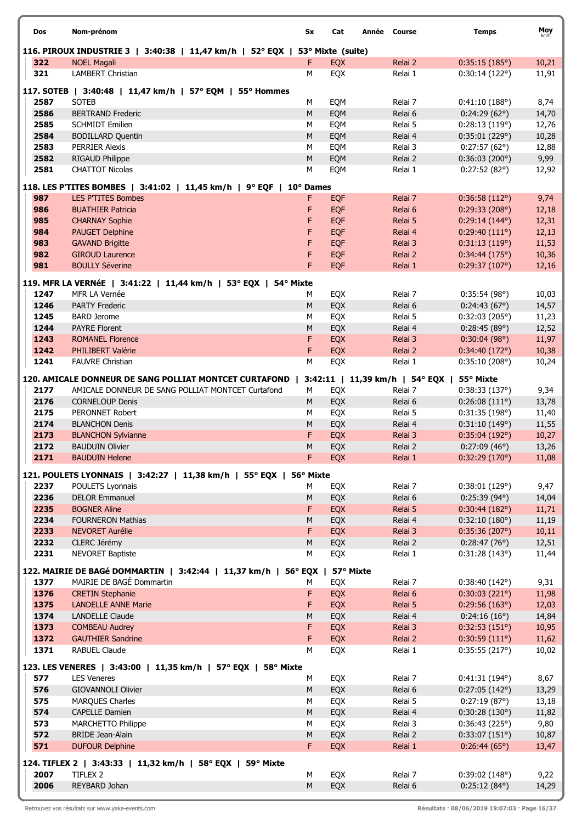| Dos          | Nom-prénom                                                                   | Sx        | Cat        | Année Course                   | <b>Temps</b>           | Moy   |
|--------------|------------------------------------------------------------------------------|-----------|------------|--------------------------------|------------------------|-------|
|              | 116. PIROUX INDUSTRIE 3   3:40:38   11,47 km/h   52° EQX   53° Mixte (suite) |           |            |                                |                        |       |
| 322          | <b>NOEL Magali</b>                                                           | F         | <b>EQX</b> | Relai 2                        | 0:35:15(185°)          | 10,21 |
| 321          | <b>LAMBERT Christian</b>                                                     | M         | EQX        | Relai 1                        | 0:30:14(122°)          | 11,91 |
|              |                                                                              |           |            |                                |                        |       |
|              | 117. SOTEB   3:40:48   11,47 km/h   57° EQM   55° Hommes                     |           |            |                                |                        |       |
| 2587         | <b>SOTEB</b>                                                                 | М         | EQM        | Relai 7                        | 0:41:10(188°)          | 8,74  |
| 2586         | <b>BERTRAND Frederic</b>                                                     | ${\sf M}$ | EQM        | Relai 6                        | 0:24:29(62°)           | 14,70 |
| 2585<br>2584 | <b>SCHMIDT Emilien</b>                                                       | M<br>M    | EQM        | Relai 5                        | 0:28:13(119°)          | 12,76 |
|              | <b>BODILLARD Quentin</b><br><b>PERRIER Alexis</b>                            |           | EQM        | Relai 4                        | 0:35:01(229°)          | 10,28 |
| 2583         |                                                                              | M         | EQM        | Relai 3                        | $0:27:57(62^{\circ})$  | 12,88 |
| 2582<br>2581 | <b>RIGAUD Philippe</b><br><b>CHATTOT Nicolas</b>                             | ${\sf M}$ | EQM        | Relai 2                        | 0:36:03(200°)          | 9,99  |
|              |                                                                              | М         | EQM        | Relai 1                        | 0:27:52(82°)           | 12,92 |
|              | 118. LES P'TITES BOMBES   3:41:02   11,45 km/h   9° EQF   10° Dames          |           |            |                                |                        |       |
| 987          | <b>LES P'TITES Bombes</b>                                                    | F.        | <b>EQF</b> | Relai 7                        | 0:36:58(112°)          | 9,74  |
| 986          | <b>BUATHIER Patricia</b>                                                     | F         | <b>EQF</b> | Relai 6                        | 0:29:33(208°)          | 12,18 |
| 985          | <b>CHARNAY Sophie</b>                                                        | F         | <b>EQF</b> | Relai 5                        | $0:29:14(144^{\circ})$ | 12,31 |
| 984          | <b>PAUGET Delphine</b>                                                       | F         | <b>EQF</b> | Relai 4                        | 0:29:40(111°)          | 12,13 |
| 983          | <b>GAVAND Brigitte</b>                                                       | F         | <b>EQF</b> | Relai 3                        | 0:31:13(119°)          | 11,53 |
| 982          | <b>GIROUD Laurence</b>                                                       | F         | <b>EQF</b> | Relai 2                        | 0:34:44(175°)          | 10,36 |
| 981          | <b>BOULLY Séverine</b>                                                       | F         | <b>EQF</b> | Relai 1                        | 0:29:37(107°)          | 12,16 |
|              | 119. MFR LA VERNéE   3:41:22   11,44 km/h   53° EQX  <br>54° Mixte           |           |            |                                |                        |       |
| 1247         | MFR LA Vernée                                                                | м         | EQX        | Relai 7                        | 0:35:54(98°)           | 10,03 |
| 1246         | <b>PARTY Frederic</b>                                                        | ${\sf M}$ | EQX        | Relai 6                        | 0:24:43(67°)           | 14,57 |
| 1245         | <b>BARD Jerome</b>                                                           | M         | EQX        | Relai 5                        | 0:32:03(205°)          | 11,23 |
| 1244         | <b>PAYRE Florent</b>                                                         | M         | EQX        | Relai 4                        | 0:28:45(89°)           | 12,52 |
| 1243         | <b>ROMANEL Florence</b>                                                      | F         | <b>EQX</b> | Relai 3                        | 0:30:04(98°)           | 11,97 |
| 1242         | PHILIBERT Valérie                                                            | F         | <b>EQX</b> | Relai 2                        | 0:34:40(172°)          | 10,38 |
| 1241         | <b>FAUVRE Christian</b>                                                      | M         | EQX        | Relai 1                        | 0:35:10(208°)          | 10,24 |
|              |                                                                              |           |            |                                |                        |       |
|              | 120. AMICALE DONNEUR DE SANG POLLIAT MONTCET CURTAFOND                       |           |            | 3:42:11   11,39 km/h   54° EQX | 55° Mixte              |       |
| 2177         | AMICALE DONNEUR DE SANG POLLIAT MONTCET Curtafond                            | М         | EQX        | Relai 7                        | 0:38:33(137°)          | 9,34  |
| 2176         | <b>CORNELOUP Denis</b>                                                       | M         | EQX        | Relai 6                        | $0:26:08(111^{\circ})$ | 13,78 |
| 2175         | PERONNET Robert                                                              | M         | EQX        | Relai 5                        | 0:31:35(198°)          | 11,40 |
| 2174         | <b>BLANCHON Denis</b>                                                        | M         | EQX        | Relai 4                        | 0:31:10(149°)          | 11,55 |
| 2173         | <b>BLANCHON Sylvianne</b>                                                    | F         | EQX        | Relai 3                        | 0:35:04(192°)          | 10,27 |
| 2172         | <b>BAUDUIN Olivier</b>                                                       | ${\sf M}$ | EQX        | Relai 2                        | 0:27:09(46°)           | 13,26 |
| 2171         | <b>BAUDUIN Helene</b>                                                        | F         | EQX        | Relai 1                        | 0:32:29(170°)          | 11,08 |
|              | 121. POULETS LYONNAIS   3:42:27   11,38 km/h   55° EQX   56° Mixte           |           |            |                                |                        |       |
| 2237         | POULETS Lyonnais                                                             | М         | EQX        | Relai 7                        | 0:38:01(129°)          | 9,47  |
| 2236         | <b>DELOR Emmanuel</b>                                                        | ${\sf M}$ | EQX        | Relai 6                        | 0:25:39(94°)           | 14,04 |
| 2235         | <b>BOGNER Aline</b>                                                          | F         | EQX        | Relai 5                        | 0:30:44(182°)          | 11,71 |
| 2234         | <b>FOURNERON Mathias</b>                                                     | M         | EQX        | Relai 4                        | 0:32:10(180°)          | 11,19 |
| 2233         | <b>NEVORET Aurélie</b>                                                       | F         | <b>EQX</b> | Relai 3                        | 0:35:36(207°)          | 10,11 |
| 2232         | CLERC Jérémy                                                                 | M         | EQX        | Relai 2                        | 0:28:47(76)            | 12,51 |
| 2231         | <b>NEVORET Baptiste</b>                                                      | М         | EQX        | Relai 1                        | 0:31:28(143°)          | 11,44 |
|              |                                                                              |           |            |                                |                        |       |
|              | 122. MAIRIE DE BAGé DOMMARTIN   3:42:44   11,37 km/h   56° EQX               |           | 57° Mixte  |                                |                        |       |
| 1377         | MAIRIE DE BAGÉ Dommartin                                                     | M         | EQX        | Relai 7                        | 0:38:40(142°)          | 9,31  |
| 1376         | <b>CRETIN Stephanie</b>                                                      | F         | EQX        | Relai 6                        | 0:30:03(221°)          | 11,98 |
| 1375         | <b>LANDELLE ANNE Marie</b>                                                   | F         | EQX        | Relai 5                        | 0:29:56(163°)          | 12,03 |
| 1374         | <b>LANDELLE Claude</b>                                                       | ${\sf M}$ | EQX        | Relai 4                        | 0:24:16(16°)           | 14,84 |
| 1373         | <b>COMBEAU Audrey</b>                                                        | F         | EQX        | Relai 3                        | 0:32:53(151°)          | 10,95 |
| 1372         | <b>GAUTHIER Sandrine</b>                                                     | F         | EQX        | Relai 2                        | 0:30:59(111°)          | 11,62 |
| 1371         | <b>RABUEL Claude</b>                                                         | M         | EQX        | Relai 1                        | 0:35:55(217°)          | 10,02 |
|              | 123. LES VENERES   3:43:00   11,35 km/h   57° EQX   58° Mixte                |           |            |                                |                        |       |
| 577          | <b>LES Veneres</b>                                                           | м         | EQX        | Relai 7                        | 0:41:31(194°)          | 8,67  |
| 576          | <b>GIOVANNOLI Olivier</b>                                                    | ${\sf M}$ | EQX        | Relai 6                        | 0:27:05(142°)          | 13,29 |
| 575          | <b>MARQUES Charles</b>                                                       | M         | EQX        | Relai 5                        | 0:27:19(87°)           | 13,18 |
| 574          | <b>CAPELLE Damien</b>                                                        | M         | EQX        | Relai 4                        | 0:30:28(130°)          | 11,82 |
| 573          | <b>MARCHETTO Philippe</b>                                                    | M         | EQX        | Relai 3                        | 0:36:43(225°)          | 9,80  |
| 572          | <b>BRIDE Jean-Alain</b>                                                      | M         | EQX        | Relai 2                        | 0:33:07(151°)          | 10,87 |
| 571          | <b>DUFOUR Delphine</b>                                                       | F.        | EQX        | Relai 1                        | 0:26:44(65°)           | 13,47 |
|              |                                                                              |           |            |                                |                        |       |
|              | 124. TIFLEX 2   3:43:33   11,32 km/h   58° EQX   59° Mixte                   |           |            |                                |                        |       |
| 2007         | TIFLEX 2                                                                     | М         | EQX        | Relai 7                        | 0:39:02(148°)          | 9,22  |
| 2006         | REYBARD Johan                                                                | ${\sf M}$ | EQX        | Relai 6                        | $0:25:12(84^{\circ})$  | 14,29 |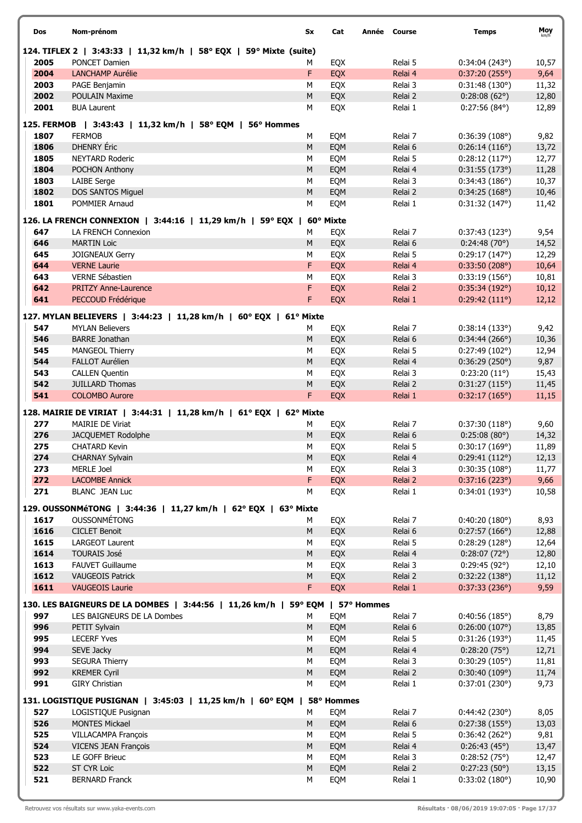| Dos          | Nom-prénom                                                                    | Sx             | Cat        | Année Course       | <b>Temps</b>                   | Moy            |
|--------------|-------------------------------------------------------------------------------|----------------|------------|--------------------|--------------------------------|----------------|
|              | 124. TIFLEX 2   3:43:33   11,32 km/h   58° EQX   59° Mixte (suite)            |                |            |                    |                                |                |
| 2005         | PONCET Damien                                                                 | м              | EQX        | Relai 5            | 0:34:04(243°)                  | 10,57          |
| 2004         | <b>LANCHAMP Aurélie</b>                                                       | F              | <b>EQX</b> | Relai 4            | 0:37:20(255°)                  | 9,64           |
| 2003         | PAGE Benjamin                                                                 | M              | EQX        | Relai 3            | 0:31:48(130°)                  | 11,32          |
| 2002<br>2001 | <b>POULAIN Maxime</b><br><b>BUA Laurent</b>                                   | ${\sf M}$<br>M | EQX        | Relai 2            | $0:28:08(62^{\circ})$          | 12,80          |
|              |                                                                               |                | EQX        | Relai 1            | $0:27:56(84^{\circ})$          | 12,89          |
|              | 125. FERMOB   3:43:43   11,32 km/h   58° EQM   56° Hommes                     |                |            |                    |                                |                |
| 1807         | <b>FERMOB</b>                                                                 | M              | EQM        | Relai 7            | 0:36:39(108°)                  | 9,82           |
| 1806         | <b>DHENRY</b> Eric                                                            | M              | EQM        | Relai 6            | 0:26:14(116°)                  | 13,72          |
| 1805         | <b>NEYTARD Roderic</b>                                                        | M              | EQM        | Relai 5            | 0:28:12(117°)                  | 12,77          |
| 1804         | POCHON Anthony                                                                | M              | EQM        | Relai 4            | 0:31:55(173°)                  | 11,28          |
| 1803         | <b>LAIBE Serge</b>                                                            | M              | EQM        | Relai 3            | 0:34:43(186°)                  | 10,37          |
| 1802<br>1801 | DOS SANTOS Miguel<br>POMMIER Arnaud                                           | ${\sf M}$<br>M | EQM<br>EQM | Relai 2<br>Relai 1 | 0:34:25(168°)<br>0:31:32(147°) | 10,46<br>11,42 |
|              |                                                                               |                |            |                    |                                |                |
|              | 126. LA FRENCH CONNEXION   3:44:16   11,29 km/h   59° EQX                     |                | 60° Mixte  |                    |                                |                |
| 647          | LA FRENCH Connexion                                                           | м              | EQX        | Relai 7            | 0:37:43(123°)                  | 9,54           |
| 646          | <b>MARTIN Loic</b>                                                            | ${\sf M}$      | EQX        | Relai 6            | 0:24:48(70°)                   | 14,52          |
| 645          | JOIGNEAUX Gerry                                                               | M              | EQX        | Relai 5            | 0:29:17(147°)                  | 12,29          |
| 644          | <b>VERNE Laurie</b>                                                           | F.             | EQX        | Relai 4            | 0:33:50(208°)                  | 10,64          |
| 643          | VERNE Sébastien                                                               | М              | EQX        | Relai 3            | 0:33:19(156°)                  | 10,81          |
| 642<br>641   | <b>PRITZY Anne-Laurence</b>                                                   | F<br>F.        | <b>EQX</b> | Relai 2            | 0:35:34(192°)                  | 10,12          |
|              | PECCOUD Frédérique                                                            |                | EQX        | Relai 1            | 0:29:42(111°)                  | 12,12          |
|              | 127. MYLAN BELIEVERS   3:44:23   11,28 km/h   60° EQX   61° Mixte             |                |            |                    |                                |                |
| 547          | <b>MYLAN Believers</b>                                                        | М              | EQX        | Relai 7            | 0:38:14(133°)                  | 9,42           |
| 546          | <b>BARRE Jonathan</b>                                                         | M              | EQX        | Relai 6            | 0:34:44(266°)                  | 10,36          |
| 545          | MANGEOL Thierry                                                               | M              | EQX        | Relai 5            | 0:27:49(102°)                  | 12,94          |
| 544          | <b>FALLOT Aurélien</b>                                                        | ${\sf M}$      | EQX        | Relai 4            | 0:36:29(250°)                  | 9,87           |
| 543          | <b>CALLEN Quentin</b>                                                         | M              | EQX        | Relai 3            | $0:23:20(11^{\circ})$          | 15,43          |
| 542<br>541   | <b>JUILLARD Thomas</b><br><b>COLOMBO Aurore</b>                               | M<br>F         | EQX        | Relai 2<br>Relai 1 | 0:31:27(115°)                  | 11,45          |
|              |                                                                               |                | EQX        |                    | 0:32:17(165°)                  | 11,15          |
|              | 128. MAIRIE DE VIRIAT   3:44:31   11,28 km/h   61° EQX   62° Mixte            |                |            |                    |                                |                |
| 277          | <b>MAIRIE DE Viriat</b>                                                       | М              | EQX        | Relai 7            | 0:37:30(118°)                  | 9,60           |
| 276          | JACQUEMET Rodolphe                                                            | M              | EQX        | Relai 6            | 0:25:08(80°)                   | 14,32          |
| 275          | <b>CHATARD Kevin</b>                                                          | М              | EQX        | Relai 5            | 0:30:17(169°)                  | 11,89          |
| 274          | <b>CHARNAY Sylvain</b>                                                        | M              | EQX        | Relai 4            | 0:29:41(112°)                  | 12,13          |
| 273          | MERLE Joel                                                                    | М              | EQX        | Relai 3            | 0:30:35(108°)                  | 11,77          |
| 272<br>271   | <b>LACOMBE Annick</b>                                                         | F.<br>M        | EQX        | Relai 2<br>Relai 1 | 0:37:16(223°)                  | 9,66           |
|              | <b>BLANC JEAN Luc</b>                                                         |                | EQX        |                    | 0:34:01(193°)                  | 10,58          |
|              | 129. OUSSONMéTONG   3:44:36   11,27 km/h   62° EQX   63° Mixte                |                |            |                    |                                |                |
| 1617         | <b>OUSSONMÉTONG</b>                                                           | м              | EQX        | Relai 7            | 0:40:20(180°)                  | 8,93           |
| 1616         | <b>CICLET Benoit</b>                                                          | M              | EQX        | Relai 6            | 0:27:57(166°)                  | 12,88          |
| 1615         | <b>LARGEOT Laurent</b>                                                        | M              | EQX        | Relai 5            | 0:28:29(128°)                  | 12,64          |
| 1614         | <b>TOURAIS José</b>                                                           | ${\sf M}$      | EQX        | Relai 4            | $0:28:07(72^{\circ})$          | 12,80          |
| 1613         | <b>FAUVET Guillaume</b>                                                       | M              | EQX        | Relai 3            | 0:29:45(92°)                   | 12,10          |
| 1612         | <b>VAUGEOIS Patrick</b>                                                       | M              | EQX        | Relai 2            | 0:32:22(138°)                  | 11,12          |
| 1611         | <b>VAUGEOIS Laurie</b>                                                        | F.             | EQX        | Relai 1            | 0:37:33(236°)                  | 9,59           |
|              | 130. LES BAIGNEURS DE LA DOMBES   3:44:56   11,26 km/h   59° EQM   57° Hommes |                |            |                    |                                |                |
| 997          | LES BAIGNEURS DE LA Dombes                                                    | M              | EQM        | Relai 7            | 0:40:56(185°)                  | 8,79           |
| 996          | PETIT Sylvain                                                                 | M              | EQM        | Relai 6            | 0:26:00(107°)                  | 13,85          |
| 995          | <b>LECERF Yves</b>                                                            | M              | EQM        | Relai 5            | 0:31:26(193°)                  | 11,45          |
| 994          | SEVE Jacky                                                                    | ${\sf M}$      | EQM        | Relai 4            | 0:28:20(75°)                   | 12,71          |
| 993          | <b>SEGURA Thierry</b>                                                         | M              | EQM        | Relai 3            | 0:30:29(105°)                  | 11,81          |
| 992          | <b>KREMER Cyril</b>                                                           | M              | EQM        | Relai 2            | 0:30:40(109°)                  | 11,74          |
| 991          | <b>GIRY Christian</b>                                                         | М              | EQM        | Relai 1            | 0:37:01(230°)                  | 9,73           |
|              | 131. LOGISTIQUE PUSIGNAN   3:45:03   11,25 km/h   60° EQM                     |                | 58° Hommes |                    |                                |                |
| 527          | LOGISTIQUE Pusignan                                                           | М              | EQM        | Relai 7            | 0:44:42(230°)                  | 8,05           |
| 526          | <b>MONTES Mickael</b>                                                         | M              | EQM        | Relai 6            | 0:27:38(155°)                  | 13,03          |
| 525          | VILLACAMPA François                                                           | М              | EQM        | Relai 5            | 0:36:42(262°)                  | 9,81           |
| 524          | <b>VICENS JEAN François</b>                                                   | M              | EQM        | Relai 4            | 0:26:43(45°)                   | 13,47          |
| 523          | LE GOFF Brieuc                                                                | M              | EQM        | Relai 3            | 0:28:52(75°)                   | 12,47          |
| 522          | ST CYR Loic                                                                   | ${\sf M}$      | EQM        | Relai 2            | 0:27:23(50°)                   | 13,15          |
| 521          | <b>BERNARD Franck</b>                                                         | М              | EQM        | Relai 1            | 0:33:02(180°)                  | 10,90          |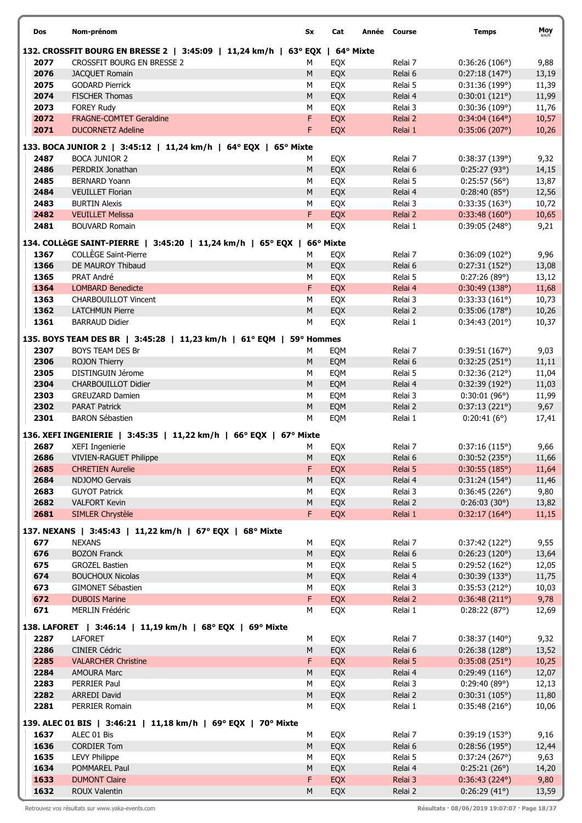| Dos  | Nom-prénom                                                                   | Sx         | Cat       | Année Course | <b>Temps</b>           | Moy   |
|------|------------------------------------------------------------------------------|------------|-----------|--------------|------------------------|-------|
|      | 132. CROSSFIT BOURG EN BRESSE 2   3:45:09   11,24 km/h   63° EQX   64° Mixte |            |           |              |                        |       |
| 2077 | CROSSFIT BOURG EN BRESSE 2                                                   | М          | EQX       | Relai 7      | 0:36:26(106°)          | 9,88  |
| 2076 | JACQUET Romain                                                               | M          | EQX       | Relai 6      | 0:27:18(147°)          | 13,19 |
| 2075 | <b>GODARD Pierrick</b>                                                       | М          | EQX       | Relai 5      | 0:31:36(199°)          | 11,39 |
| 2074 | <b>FISCHER Thomas</b>                                                        | ${\sf M}$  | EQX       | Relai 4      | 0:30:01(121°)          | 11,99 |
| 2073 | <b>FOREY Rudy</b>                                                            | М          | EQX       | Relai 3      | 0:30:36(109°)          | 11,76 |
| 2072 | FRAGNE-COMTET Geraldine                                                      | F          | EQX       | Relai 2      | $0:34:04(164^{\circ})$ | 10,57 |
| 2071 | <b>DUCORNETZ Adeline</b>                                                     | F          | EQX       | Relai 1      | 0:35:06(207°)          | 10,26 |
|      | 133. BOCA JUNIOR 2   3:45:12   11,24 km/h   64° EQX   65° Mixte              |            |           |              |                        |       |
| 2487 | <b>BOCA JUNIOR 2</b>                                                         | м          | EQX       | Relai 7      | 0:38:37(139°)          | 9,32  |
| 2486 | PERDRIX Jonathan                                                             | M          | EQX       | Relai 6      | 0:25:27(93°)           | 14,15 |
| 2485 | <b>BERNARD Yoann</b>                                                         | M          |           | Relai 5      |                        |       |
|      |                                                                              |            | EQX       |              | 0:25:57(56°)           | 13,87 |
| 2484 | <b>VEUILLET Florian</b>                                                      | M          | EQX       | Relai 4      | 0:28:40(85°)           | 12,56 |
| 2483 | <b>BURTIN Alexis</b>                                                         | М          | EQX       | Relai 3      | 0:33:35(163°)          | 10,72 |
| 2482 | <b>VEUILLET Melissa</b>                                                      | F          | EQX       | Relai 2      | 0:33:48(160°)          | 10,65 |
| 2481 | <b>BOUVARD Romain</b>                                                        | М          | EQX       | Relai 1      | 0:39:05(248°)          | 9,21  |
|      | 134. COLLèGE SAINT-PIERRE   3:45:20   11,24 km/h   65° EQX                   |            | 66° Mixte |              |                        |       |
| 1367 | <b>COLLÈGE Saint-Pierre</b>                                                  | М          | EQX       | Relai 7      | 0:36:09(102°)          | 9,96  |
| 1366 | DE MAUROY Thibaud                                                            | M          | EQX       | Relai 6      | 0:27:31(152°)          | 13,08 |
| 1365 | PRAT André                                                                   | М          | EQX       | Relai 5      | 0:27:26(89°)           | 13,12 |
| 1364 | <b>LOMBARD Benedicte</b>                                                     | F          | EQX       | Relai 4      | 0:30:49(138°)          | 11,68 |
| 1363 | <b>CHARBOUILLOT Vincent</b>                                                  | M          | EQX       | Relai 3      | 0:33:33(161°)          | 10,73 |
| 1362 | <b>LATCHMUN Pierre</b>                                                       | M          | EQX       | Relai 2      | 0:35:06(178°)          | 10,26 |
| 1361 | <b>BARRAUD Didier</b>                                                        | М          | EQX       | Relai 1      | 0:34:43(201°)          | 10,37 |
|      |                                                                              |            |           |              |                        |       |
|      | 135. BOYS TEAM DES BR   3:45:28   11,23 km/h   61° EQM                       | 59° Hommes |           |              |                        |       |
| 2307 | <b>BOYS TEAM DES Br</b>                                                      | М          | EQM       | Relai 7      | 0:39:51(167°)          | 9,03  |
| 2306 | ROJON Thierry                                                                | M          | EQM       | Relai 6      | 0:32:25(251°)          | 11,11 |
| 2305 | DISTINGUIN Jérome                                                            | M          | EQM       | Relai 5      | 0:32:36(212°)          | 11,04 |
| 2304 | <b>CHARBOUILLOT Didier</b>                                                   | M          | EQM       | Relai 4      | 0:32:39(192°)          | 11,03 |
| 2303 | <b>GREUZARD Damien</b>                                                       | M          | EQM       | Relai 3      | 0:30:01(96°)           | 11,99 |
| 2302 | <b>PARAT Patrick</b>                                                         | ${\sf M}$  | EQM       | Relai 2      | 0:37:13(221°)          | 9,67  |
| 2301 | <b>BARON Sébastien</b>                                                       | М          | EQM       | Relai 1      | 0:20:41(6°)            | 17,41 |
|      |                                                                              |            |           |              |                        |       |
|      | 136. XEFI INGENIERIE   3:45:35   11,22 km/h   66° EQX   67° Mixte            |            |           |              |                        |       |
| 2687 | <b>XEFI Ingenierie</b>                                                       | М          | EQX       | Relai 7      | 0:37:16(115°)          | 9,66  |
| 2686 | <b>VIVIEN-RAGUET Philippe</b>                                                | М          | EQX       | Relai 6      | 0:30:52(235°)          | 11,66 |
| 2685 | <b>CHRETIEN Aurelie</b>                                                      | F          | EQX       | Relai 5      | 0:30:55(185°)          | 11,64 |
| 2684 | NDJOMO Gervais                                                               | M          | EQX       | Relai 4      | $0:31:24(154^{\circ})$ | 11,46 |
| 2683 | <b>GUYOT Patrick</b>                                                         | М          | EQX       | Relai 3      | 0:36:45(226°)          | 9,80  |
| 2682 | <b>VALFORT Kevin</b>                                                         | M          | EQX       | Relai 2      | 0:26:03(30°)           | 13,82 |
| 2681 | SIMLER Chrystèle                                                             | F.         | EQX       | Relai 1      | $0:32:17(164^{\circ})$ | 11,15 |
|      | 137. NEXANS   3:45:43   11,22 km/h   67° EQX   68° Mixte                     |            |           |              |                        |       |
| 677  | <b>NEXANS</b>                                                                | М          | EQX       | Relai 7      | 0:37:42(122°)          | 9,55  |
| 676  | <b>BOZON Franck</b>                                                          | M          | EQX       | Relai 6      | 0:26:23(120°)          | 13,64 |
| 675  | <b>GROZEL Bastien</b>                                                        | М          | EQX       | Relai 5      | 0:29:52(162°)          | 12,05 |
| 674  | <b>BOUCHOUX Nicolas</b>                                                      | M          | EQX       | Relai 4      | 0:30:39(133°)          |       |
|      |                                                                              |            |           |              |                        | 11,75 |
| 673  | GIMONET Sébastien                                                            | М          | EQX       | Relai 3      | 0:35:53(212°)          | 10,03 |
| 672  | <b>DUBOIS Marine</b>                                                         | F          | EQX       | Relai 2      | 0:36:48(211°)          | 9,78  |
| 671  | MERLIN Frédéric                                                              | М          | EQX       | Relai 1      | 0:28:22(87°)           | 12,69 |
|      | 138. LAFORET   3:46:14   11,19 km/h   68° EQX   69° Mixte                    |            |           |              |                        |       |
| 2287 | <b>LAFORET</b>                                                               | М          | EQX       | Relai 7      | 0:38:37(140°)          | 9,32  |
| 2286 | <b>CINIER Cédric</b>                                                         | М          | EQX       | Relai 6      | 0:26:38(128°)          | 13,52 |
| 2285 | <b>VALARCHER Christine</b>                                                   | F          | EQX       | Relai 5      | 0:35:08(251°)          | 10,25 |
| 2284 | <b>AMOURA Marc</b>                                                           | M          | EQX       | Relai 4      | 0:29:49(116°)          | 12,07 |
| 2283 | PERRIER Paul                                                                 | М          | EQX       | Relai 3      | 0:29:40(89°)           | 12,13 |
| 2282 | <b>ARREDI David</b>                                                          | M          | EQX       | Relai 2      | 0:30:31(105°)          | 11,80 |
| 2281 | PERRIER Romain                                                               | М          | EQX       | Relai 1      | 0:35:48(216°)          | 10,06 |
|      |                                                                              |            |           |              |                        |       |
|      | 139. ALEC 01 BIS   3:46:21   11,18 km/h   69° EQX   70° Mixte                |            |           |              |                        |       |
| 1637 | ALEC 01 Bis                                                                  | М          | EQX       | Relai 7      | 0:39:19(153°)          | 9,16  |
| 1636 | <b>CORDIER Tom</b>                                                           | М          | EQX       | Relai 6      | 0:28:56(195°)          | 12,44 |
| 1635 | <b>LEVY Philippe</b>                                                         | М          | EQX       | Relai 5      | 0:37:24(267°)          | 9,63  |
| 1634 | POMMAREL Paul                                                                | M          | EQX       | Relai 4      | 0:25:21(26°)           | 14,20 |
| 1633 | <b>DUMONT Claire</b>                                                         | F          | EQX       | Relai 3      | 0:36:43(224°)          | 9,80  |
| 1632 | ROUX Valentin                                                                | М          | EQX       | Relai 2      | 0:26:29(41°)           | 13,59 |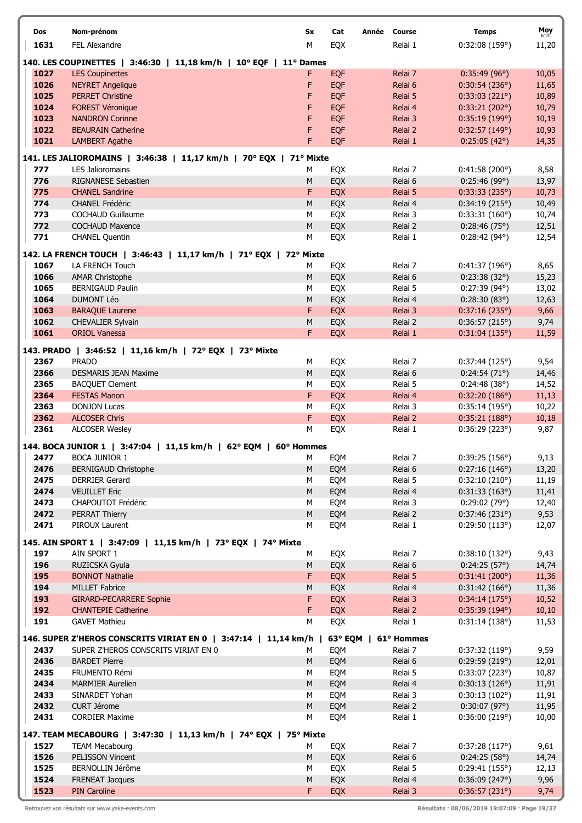| Dos          | Nom-prénom                                                                                    | Sx             | Cat<br>Année | Course               | <b>Temps</b>                           | Moy<br>km/h    |
|--------------|-----------------------------------------------------------------------------------------------|----------------|--------------|----------------------|----------------------------------------|----------------|
| 1631         | FEL Alexandre                                                                                 | M              | EQX          | Relai 1              | 0:32:08(159°)                          | 11,20          |
|              | 140. LES COUPINETTES   3:46:30   11,18 km/h   10° EQF   11° Dames                             |                |              |                      |                                        |                |
| 1027         | <b>LES Coupinettes</b>                                                                        | F              | EQF          | Relai 7              | 0:35:49(96°)                           | 10,05          |
| 1026         | <b>NEYRET Angelique</b>                                                                       | F              | EQF          | Relai 6              | 0:30:54(236°)                          | 11,65          |
| 1025         | <b>PERRET Christine</b>                                                                       | F              | <b>EQF</b>   | Relai 5              | 0:33:03(221°)                          | 10,89          |
| 1024         | <b>FOREST Véronique</b>                                                                       | F              | EQF          | Relai 4              | 0:33:21(202°)                          | 10,79          |
| 1023         | <b>NANDRON Corinne</b>                                                                        | F              | <b>EQF</b>   | Relai 3              | 0:35:19(199°)                          | 10,19          |
| 1022         | <b>BEAURAIN Catherine</b>                                                                     | F              | EQF          | Relai 2              | 0:32:57(149°)                          | 10,93          |
| 1021         | <b>LAMBERT Agathe</b>                                                                         | F              | EQF          | Relai 1              | $0:25:05(42^{\circ})$                  | 14,35          |
|              |                                                                                               |                |              |                      |                                        |                |
| 777          | 141. LES JALIOROMAINS   3:46:38   11,17 km/h   70° EQX   71° Mixte<br><b>LES Jalioromains</b> |                | <b>EQX</b>   | Relai 7              |                                        | 8,58           |
| 776          | RIGNANESE Sebastien                                                                           | М<br>${\sf M}$ | EQX          | Relai 6              | 0:41:58(200°)<br>0:25:46(99°)          | 13,97          |
| 775          | <b>CHANEL Sandrine</b>                                                                        | F              | EQX          | Relai 5              | 0:33:33(235°)                          | 10,73          |
| 774          | <b>CHANEL Frédéric</b>                                                                        | M              | EQX          | Relai 4              | 0:34:19(215°)                          | 10,49          |
| 773          | <b>COCHAUD Guillaume</b>                                                                      | M              | EQX          | Relai 3              | 0:33:31(160°)                          | 10,74          |
| 772          | <b>COCHAUD Maxence</b>                                                                        | ${\sf M}$      | EQX          | Relai 2              | 0:28:46(75°)                           | 12,51          |
| 771          | <b>CHANEL Quentin</b>                                                                         | М              | EQX          | Relai 1              | 0:28:42(94°)                           | 12,54          |
|              |                                                                                               |                |              |                      |                                        |                |
|              | 142. LA FRENCH TOUCH   3:46:43   11,17 km/h   71° EQX   72° Mixte                             |                |              |                      |                                        |                |
| 1067         | LA FRENCH Touch                                                                               | М              | EQX          | Relai 7              | 0:41:37(196°)                          | 8,65           |
| 1066         | <b>AMAR Christophe</b>                                                                        | M              | EQX          | Relai 6              | 0:23:38(32°)                           | 15,23          |
| 1065<br>1064 | <b>BERNIGAUD Paulin</b><br><b>DUMONT Léo</b>                                                  | М<br>${\sf M}$ | EQX          | Relai 5              | $0:27:39(94^{\circ})$<br>0:28:30(83°)  | 13,02          |
| 1063         | <b>BARAQUE Laurene</b>                                                                        | F              | EQX<br>EQX   | Relai 4<br>Relai 3   | 0:37:16(235°)                          | 12,63<br>9,66  |
| 1062         | CHEVALIER Sylvain                                                                             | м              | EQX          | Relai 2              | 0:36:57(215°)                          | 9,74           |
| 1061         | <b>ORIOL Vanessa</b>                                                                          | F              | EQX          | Relai 1              | 0:31:04(135°)                          | 11,59          |
|              |                                                                                               |                |              |                      |                                        |                |
|              | 143. PRADO   3:46:52   11,16 km/h   72° EQX   73° Mixte                                       |                |              |                      |                                        |                |
| 2367         | <b>PRADO</b>                                                                                  | М              | EQX          | Relai 7              | 0:37:44(125°)                          | 9,54           |
| 2366         | <b>DESMARIS JEAN Maxime</b>                                                                   | ${\sf M}$      | EQX          | Relai 6              | 0:24:54(71°)                           | 14,46          |
| 2365         | <b>BACQUET Clement</b>                                                                        | M              | EQX          | Relai 5              | 0:24:48(38°)                           | 14,52          |
| 2364<br>2363 | <b>FESTAS Manon</b>                                                                           | F<br>M         | EQX          | Relai 4              | 0:32:20(186°)                          | 11,13          |
| 2362         | <b>DONJON Lucas</b><br><b>ALCOSER Chris</b>                                                   | F              | EQX<br>EQX   | Relai 3<br>Relai 2   | 0:35:14(195°)<br>0:35:21(188°)         | 10,22<br>10,18 |
| 2361         | <b>ALCOSER Wesley</b>                                                                         | М              | EQX          | Relai 1              | 0:36:29(223°)                          | 9,87           |
|              |                                                                                               |                |              |                      |                                        |                |
|              | 144. BOCA JUNIOR 1   3:47:04   11,15 km/h   62° EQM   60° Hommes                              |                |              |                      |                                        |                |
| 2477         | <b>BOCA JUNIOR 1</b>                                                                          | M              | EQM          | Relai 7              | 0:39:25(156°)                          | 9,13           |
| 2476         | <b>BERNIGAUD Christophe</b>                                                                   | M              | EQM          | Relai 6              | 0:27:16(146°)                          | 13,20          |
| 2475         | <b>DERRIER Gerard</b>                                                                         | М              | EQM          | Relai 5              | 0:32:10(210°)                          | 11,19          |
| 2474<br>2473 | <b>VEUILLET Eric</b>                                                                          | ${\sf M}$<br>М | EQM          | Relai 4              | 0:31:33(163°)<br>0:29:02(79°)          | 11,41          |
| 2472         | CHAPOUTOT Frédéric<br>PERRAT Thierry                                                          | M              | EQM<br>EQM   | Relai 3<br>Relai 2   | 0:37:46(231°)                          | 12,40<br>9,53  |
| 2471         | PIROUX Laurent                                                                                | М              | EQM          | Relai 1              | 0:29:50(113°)                          | 12,07          |
|              |                                                                                               |                |              |                      |                                        |                |
|              | 145. AIN SPORT 1   3:47:09   11,15 km/h   73° EQX   74° Mixte                                 |                |              |                      |                                        |                |
| 197          | AIN SPORT 1                                                                                   | М              | EQX          | Relai 7              | 0:38:10(132°)                          | 9,43           |
| 196          | RUZICSKA Gyula                                                                                | M              | EQX          | Relai 6              | 0:24:25(57°)                           | 14,74          |
| 195          | <b>BONNOT Nathalie</b>                                                                        | F              | EQX          | Relai 5              | 0:31:41(200°)                          | 11,36          |
| 194<br>193   | <b>MILLET Fabrice</b>                                                                         | м<br>F         | EQX<br>EQX   | Relai 4              | 0:31:42(166°)                          | 11,36          |
| 192          | <b>GIRARD-PECARRERE Sophie</b><br><b>CHANTEPIE Catherine</b>                                  | F              | EQX          | Relai 3<br>Relai 2   | 0:34:14(175°)<br>0:35:39(194°)         | 10,52<br>10,10 |
| 191          | <b>GAVET Mathieu</b>                                                                          | M              | EQX          | Relai 1              | 0:31:14(138°)                          | 11,53          |
|              |                                                                                               |                |              |                      |                                        |                |
|              | 146. SUPER Z'HEROS CONSCRITS VIRIAT EN 0   3:47:14   11,14 km/h                               |                |              | 63° EQM   61° Hommes |                                        |                |
| 2437         | SUPER Z'HEROS CONSCRITS VIRIAT EN 0                                                           | м              | EQM          | Relai 7              | 0:37:32(119°)                          | 9,59           |
| 2436         | <b>BARDET Pierre</b>                                                                          | ${\sf M}$      | EQM          | Relai 6              | 0:29:59(219°)                          | 12,01          |
| 2435         | FRUMENTO Rémi                                                                                 | М              | EQM          | Relai 5              | 0:33:07(223°)                          | 10,87          |
| 2434         | <b>MARMIER Aurelien</b>                                                                       | M              | EQM          | Relai 4              | 0:30:13(126°)                          | 11,91          |
| 2433         | SINARDET Yohan                                                                                | М              | EQM          | Relai 3              | 0:30:13(102°)                          | 11,91          |
| 2432<br>2431 | CURT Jérome<br><b>CORDIER Maxime</b>                                                          | M<br>М         | EQM<br>EQM   | Relai 2<br>Relai 1   | $0:30:07(97^{\circ})$<br>0:36:00(219°) | 11,95<br>10,00 |
|              |                                                                                               |                |              |                      |                                        |                |
|              | 147. TEAM MECABOURG   3:47:30   11,13 km/h   74° EQX   75° Mixte                              |                |              |                      |                                        |                |
| 1527         | <b>TEAM Mecabourg</b>                                                                         | М              | EQX          | Relai 7              | 0:37:28(117°)                          | 9,61           |
| 1526         | PELISSON Vincent                                                                              | M              | EQX          | Relai 6              | 0:24:25(58°)                           | 14,74          |
| 1525         | BERNOLLIN Jérôme                                                                              | М              | EQX          | Relai 5              | 0:29:41(155°)                          | 12,13          |
| 1524         | <b>FRENEAT Jacques</b>                                                                        | M              | EQX          | Relai 4              | 0:36:09(247°)                          | 9,96           |
| 1523         | <b>PIN Caroline</b>                                                                           | F              | EQX          | Relai 3              | 0:36:57(231°)                          | 9,74           |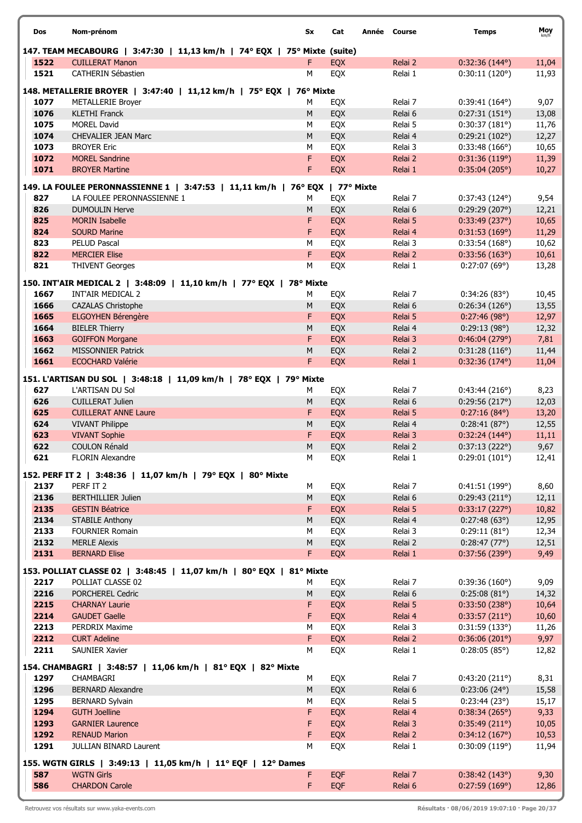| Dos          | Nom-prénom                                                                               | Sx      | Cat        | Année Course |                    | <b>Temps</b>                   | Moy            |
|--------------|------------------------------------------------------------------------------------------|---------|------------|--------------|--------------------|--------------------------------|----------------|
|              | 147. TEAM MECABOURG   3:47:30   11,13 km/h   74° EQX   75° Mixte (suite)                 |         |            |              |                    |                                |                |
| 1522         | <b>CUILLERAT Manon</b>                                                                   | F       | <b>EOX</b> |              | Relai 2            | $0:32:36(144^{\circ})$         | 11,04          |
| 1521         | <b>CATHERIN Sébastien</b>                                                                | M       | EQX        |              | Relai 1            | 0:30:11(120°)                  | 11,93          |
|              | 148. METALLERIE BROYER   3:47:40   11,12 km/h   75° EQX   76° Mixte                      |         |            |              |                    |                                |                |
| 1077         | <b>METALLERIE Broyer</b>                                                                 | М       | <b>EQX</b> |              | Relai 7            | $0:39:41(164^{\circ})$         | 9,07           |
| 1076         | <b>KLETHI Franck</b>                                                                     | M       | EQX        |              | Relai 6            | 0:27:31(151°)                  | 13,08          |
| 1075         | <b>MOREL David</b>                                                                       | M       | EQX        |              | Relai 5            | 0:30:37(181°)                  | 11,76          |
| 1074         | <b>CHEVALIER JEAN Marc</b>                                                               | M       | EQX        |              | Relai 4            | 0:29:21(102°)                  | 12,27          |
| 1073         | <b>BROYER Eric</b>                                                                       | M       | EQX        |              | Relai 3            | 0:33:48(166°)                  | 10,65          |
| 1072         | <b>MOREL Sandrine</b>                                                                    | F       | EQX        |              | Relai 2            | 0:31:36(119°)                  | 11,39          |
| 1071         | <b>BROYER Martine</b>                                                                    | F       | EQX        |              | Relai 1            | 0:35:04(205°)                  | 10,27          |
|              | 149. LA FOULEE PERONNASSIENNE 1   3:47:53   11,11 km/h   76° EQX   77° Mixte             |         |            |              |                    |                                |                |
| 827          | LA FOULEE PERONNASSIENNE 1                                                               | м       | EQX        |              | Relai 7            | $0:37:43(124^{\circ})$         | 9,54           |
| 826          | <b>DUMOULIN Herve</b>                                                                    | M       | EQX        |              | Relai 6            | 0:29:29(207°)                  | 12,21          |
| 825<br>824   | <b>MORIN Isabelle</b><br><b>SOURD Marine</b>                                             | F<br>F  | EQX        |              | Relai 5            | 0:33:49(237°)                  | 10,65          |
| 823          | PELUD Pascal                                                                             | М       | EQX<br>EQX |              | Relai 4<br>Relai 3 | 0:31:53(169°)<br>0:33:54(168°) | 11,29<br>10,62 |
| 822          | <b>MERCIER Elise</b>                                                                     | F       | EQX        |              | Relai 2            | 0:33:56(163°)                  | 10,61          |
| 821          | <b>THIVENT Georges</b>                                                                   | M       | EQX        |              | Relai 1            | 0:27:07(69°)                   | 13,28          |
|              |                                                                                          |         |            |              |                    |                                |                |
|              | 150. INT'AIR MEDICAL 2   3:48:09   11,10 km/h   77° EQX   78° Mixte<br>INT'AIR MEDICAL 2 |         |            |              |                    |                                |                |
| 1667<br>1666 | <b>CAZALAS Christophe</b>                                                                | М<br>M  | EQX<br>EQX |              | Relai 7<br>Relai 6 | 0:34:26(83)<br>0:26:34(126°)   | 10,45<br>13,55 |
| 1665         | ELGOYHEN Bérengère                                                                       | F       | EQX        |              | Relai 5            | 0:27:46(98°)                   | 12,97          |
| 1664         | <b>BIELER Thierry</b>                                                                    | M       | EQX        |              | Relai 4            | 0:29:13(98°)                   | 12,32          |
| 1663         | <b>GOIFFON Morgane</b>                                                                   | F       | EQX        |              | Relai 3            | 0:46:04(279°)                  | 7,81           |
| 1662         | <b>MISSONNIER Patrick</b>                                                                | M       | EQX        |              | Relai 2            | 0:31:28(116°)                  | 11,44          |
| 1661         | <b>ECOCHARD Valérie</b>                                                                  | F       | EQX        |              | Relai 1            | $0:32:36(174^{\circ})$         | 11,04          |
|              | 151. L'ARTISAN DU SOL   3:48:18   11,09 km/h   78° EQX   79° Mixte                       |         |            |              |                    |                                |                |
| 627          | L'ARTISAN DU Sol                                                                         | М       | EQX        |              | Relai 7            | 0:43:44(216°)                  | 8,23           |
| 626          | <b>CUILLERAT Julien</b>                                                                  | M       | EQX        |              | Relai 6            | 0:29:56(217°)                  | 12,03          |
| 625          | <b>CUILLERAT ANNE Laure</b>                                                              | F       | EQX        |              | Relai 5            | $0:27:16(84^{\circ})$          | 13,20          |
| 624          | <b>VIVANT Philippe</b>                                                                   | M       | EQX        |              | Relai 4            | 0:28:41(87°)                   | 12,55          |
| 623          | <b>VIVANT Sophie</b>                                                                     | F       | EQX        |              | Relai 3            | 0:32:24(144°)                  | 11,11          |
| 622          | <b>COULON Rénald</b>                                                                     | M       | EQX        |              | Relai 2            | 0:37:13(222°)                  | 9,67           |
| 621          | FLORIN Alexandre                                                                         | М       | EQX        |              | Relai 1            | 0:29:01(101°)                  | 12,41          |
|              | 152. PERF IT 2   3:48:36   11,07 km/h   79° EQX   80° Mixte                              |         |            |              |                    |                                |                |
| 2137         | PERF IT 2                                                                                | м       | EQX        |              | Relai 7            | 0:41:51(199°)                  | 8,60           |
| 2136         | <b>BERTHILLIER Julien</b>                                                                | $\sf M$ | EQX        |              | Relai 6            | 0:29:43(211°)                  | 12,11          |
| 2135         | <b>GESTIN Béatrice</b>                                                                   | F       | EQX        |              | Relai 5            | 0:33:17(227°)                  | 10,82          |
| 2134<br>2133 | <b>STABILE Anthony</b><br><b>FOURNIER Romain</b>                                         | M<br>М  | EQX        |              | Relai 4            | 0:27:48(63°)                   | 12,95          |
| 2132         | <b>MERLE Alexis</b>                                                                      | $\sf M$ | EQX<br>EQX |              | Relai 3<br>Relai 2 | 0:29:11(81°)<br>0:28:47(77°)   | 12,34<br>12,51 |
| 2131         | <b>BERNARD Elise</b>                                                                     | F.      | <b>EQX</b> |              | Relai 1            | 0:37:56(239°)                  | 9,49           |
|              |                                                                                          |         |            |              |                    |                                |                |
|              | 153. POLLIAT CLASSE 02   3:48:45   11,07 km/h   80° EQX   81° Mixte                      |         |            |              |                    |                                |                |
| 2217<br>2216 | POLLIAT CLASSE 02<br>PORCHEREL Cedric                                                    | М<br>M  | EQX<br>EQX |              | Relai 7<br>Relai 6 | 0:39:36(160°)<br>0:25:08(81°)  | 9,09<br>14,32  |
| 2215         | <b>CHARNAY Laurie</b>                                                                    | F       | EQX        |              | Relai 5            | 0:33:50(238°)                  | 10,64          |
| 2214         | <b>GAUDET Gaelle</b>                                                                     | F       | EQX        |              | Relai 4            | 0:33:57(211°)                  | 10,60          |
| 2213         | PERDRIX Maxime                                                                           | М       | EQX        |              | Relai 3            | 0:31:59(133°)                  | 11,26          |
| 2212         | <b>CURT Adeline</b>                                                                      | F.      | <b>EQX</b> |              | Relai 2            | 0:36:06(201°)                  | 9,97           |
| 2211         | <b>SAUNIER Xavier</b>                                                                    | М       | EQX        |              | Relai 1            | $0:28:05(85^{\circ})$          | 12,82          |
|              | 154. CHAMBAGRI   3:48:57   11,06 km/h   81° EQX   82° Mixte                              |         |            |              |                    |                                |                |
| 1297         | CHAMBAGRI                                                                                | М       | EQX        |              | Relai 7            | 0:43:20(211°)                  | 8,31           |
| 1296         | <b>BERNARD Alexandre</b>                                                                 | M       | EQX        |              | Relai 6            | $0:23:06(24^{\circ})$          | 15,58          |
| 1295         | <b>BERNARD Sylvain</b>                                                                   | M       | EQX        |              | Relai 5            | 0:23:44(23°)                   | 15,17          |
| 1294         | <b>GUTH Joelline</b>                                                                     | F       | <b>EQX</b> |              | Relai 4            | 0:38:34(265°)                  | 9,33           |
| 1293         | <b>GARNIER Laurence</b>                                                                  | F       | <b>EQX</b> |              | Relai 3            | 0:35:49(211°)                  | 10,05          |
| 1292         | <b>RENAUD Marion</b>                                                                     | F       | <b>EQX</b> |              | Relai 2            | 0:34:12(167°)                  | 10,53          |
| 1291         | JULLIAN BINARD Laurent                                                                   | м       | EQX        |              | Relai 1            | 0:30:09(119°)                  | 11,94          |
|              | 155. WGTN GIRLS   3:49:13   11,05 km/h   11° EQF   12° Dames                             |         |            |              |                    |                                |                |
| 587          | <b>WGTN Girls</b>                                                                        | F.      | <b>EQF</b> |              | Relai 7            | 0:38:42(143°)                  | 9,30           |
| 586          | <b>CHARDON Carole</b>                                                                    | F       | EQF        |              | Relai 6            | 0:27:59(169°)                  | 12,86          |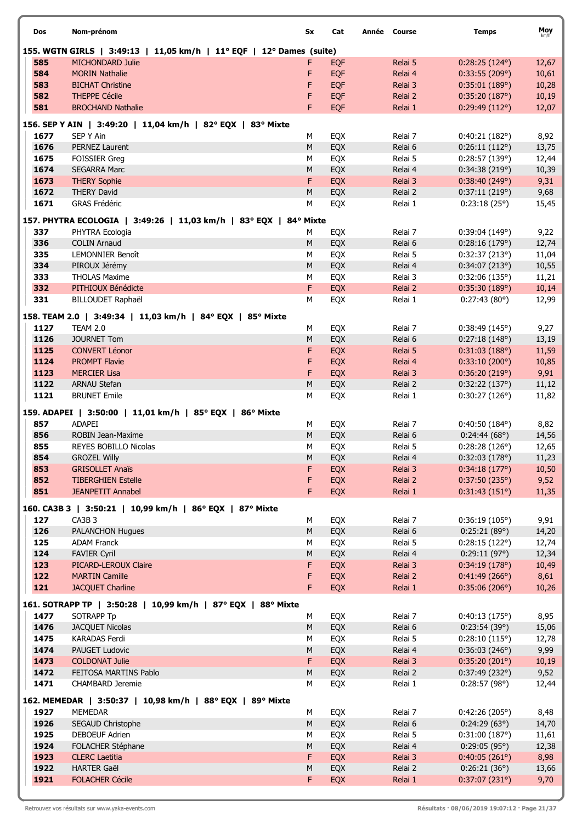| Dos          | Nom-prénom                                  |                                                                      | Sx             | Cat        | Année Course       | <b>Temps</b>                   | Moy<br>km/h    |
|--------------|---------------------------------------------|----------------------------------------------------------------------|----------------|------------|--------------------|--------------------------------|----------------|
|              |                                             | 155. WGTN GIRLS   3:49:13   11,05 km/h   11° EQF   12° Dames (suite) |                |            |                    |                                |                |
| 585          | <b>MICHONDARD Julie</b>                     |                                                                      | F              | <b>EQF</b> | Relai 5            | $0:28:25(124^{\circ})$         | 12,67          |
| 584          | <b>MORIN Nathalie</b>                       |                                                                      | F              | <b>EQF</b> | Relai 4            | 0:33:55(209°)                  | 10,61          |
| 583          | <b>BICHAT Christine</b>                     |                                                                      | F              | EQF        | Relai 3            | 0:35:01(189°)                  | 10,28          |
| 582          | <b>THEPPE Cécile</b>                        |                                                                      | F              | <b>EQF</b> | Relai 2            | 0:35:20(187°)                  | 10,19          |
| 581          | <b>BROCHAND Nathalie</b>                    |                                                                      | F              | <b>EQF</b> | Relai 1            | 0:29:49(112°)                  | 12,07          |
|              |                                             | 156. SEP Y AIN   3:49:20   11,04 km/h   82° EQX   83° Mixte          |                |            |                    |                                |                |
| 1677         | SEP Y Ain                                   |                                                                      | М              | EQX        | Relai 7            | 0:40:21(182°)                  | 8,92           |
| 1676         | <b>PERNEZ Laurent</b>                       |                                                                      | M              | EQX        | Relai 6            | 0:26:11(112°)                  | 13,75          |
| 1675<br>1674 | <b>FOISSIER Greg</b>                        |                                                                      | M<br>M         | EQX        | Relai 5            | 0:28:57(139°)                  | 12,44          |
| 1673         | <b>SEGARRA Marc</b><br><b>THERY Sophie</b>  |                                                                      | F              | EQX<br>EQX | Relai 4<br>Relai 3 | 0:34:38(219°)<br>0:38:40(249°) | 10,39<br>9,31  |
| 1672         | <b>THERY David</b>                          |                                                                      | М              | EQX        | Relai 2            | 0:37:11(219°)                  | 9,68           |
| 1671         | GRAS Frédéric                               |                                                                      | М              | EQX        | Relai 1            | 0:23:18(25°)                   | 15,45          |
|              |                                             |                                                                      |                |            |                    |                                |                |
| 337          | PHYTRA Ecologia                             | 157. PHYTRA ECOLOGIA   3:49:26   11,03 km/h   83° EQX   84° Mixte    | М              | EQX        | Relai 7            | 0:39:04(149°)                  | 9,22           |
| 336          | <b>COLIN Arnaud</b>                         |                                                                      | M              | EQX        | Relai 6            | 0:28:16(179°)                  | 12,74          |
| 335          | <b>LEMONNIER Benoît</b>                     |                                                                      | М              | EQX        | Relai 5            | 0:32:37(213°)                  | 11,04          |
| 334          | PIROUX Jérémy                               |                                                                      | M              | EQX        | Relai 4            | 0:34:07(213°)                  | 10,55          |
| 333          | <b>THOLAS Maxime</b>                        |                                                                      | М              | EQX        | Relai 3            | 0:32:06(135°)                  | 11,21          |
| 332          | PITHIOUX Bénédicte                          |                                                                      | F              | <b>EQX</b> | Relai 2            | 0:35:30(189°)                  | 10,14          |
| 331          | <b>BILLOUDET Raphaël</b>                    |                                                                      | M              | EQX        | Relai 1            | 0:27:43(80°)                   | 12,99          |
|              |                                             | 158. TEAM 2.0   3:49:34   11,03 km/h   84° EQX   85° Mixte           |                |            |                    |                                |                |
| 1127         | <b>TEAM 2.0</b>                             |                                                                      | М              | EQX        | Relai 7            | 0:38:49(145°)                  | 9,27           |
| 1126         | <b>JOURNET Tom</b>                          |                                                                      | M              | EQX        | Relai 6            | 0:27:18(148°)                  | 13,19          |
| 1125         | <b>CONVERT Léonor</b>                       |                                                                      | F              | EQX        | Relai 5            | 0:31:03(188°)                  | 11,59          |
| 1124<br>1123 | <b>PROMPT Flavie</b><br><b>MERCIER Lisa</b> |                                                                      | F<br>F         | EQX<br>EQX | Relai 4<br>Relai 3 | 0:33:10(200°)<br>0:36:20(219°) | 10,85<br>9,91  |
| 1122         | <b>ARNAU Stefan</b>                         |                                                                      | M              | EQX        | Relai 2            | 0:32:22(137°)                  | 11,12          |
| 1121         | <b>BRUNET Emile</b>                         |                                                                      | M              | EQX        | Relai 1            | 0:30:27(126°)                  | 11,82          |
|              |                                             | 159. ADAPEI   3:50:00   11,01 km/h   85° EQX   86° Mixte             |                |            |                    |                                |                |
| 857          | <b>ADAPEI</b>                               |                                                                      | М              | EQX        | Relai 7            | $0:40:50(184^{\circ})$         | 8,82           |
| 856          | ROBIN Jean-Maxime                           |                                                                      | M              | EQX        | Relai 6            | 0:24:44(68°)                   | 14,56          |
| 855          | REYES BOBILLO Nicolas                       |                                                                      | М              | EQX        | Relai 5            | 0:28:28(126°)                  | 12,65          |
| 854          | <b>GROZEL Willy</b>                         |                                                                      | M              | EQX        | Relai 4            | 0:32:03(178°)                  | 11,23          |
| 853          | <b>GRISOLLET Anaïs</b>                      |                                                                      | F              | <b>EQX</b> | Relai 3            | 0:34:18(177°)                  | 10,50          |
| 852          | <b>TIBERGHIEN Estelle</b>                   |                                                                      | F              | EQX        | Relai 2            | 0:37:50(235°)                  | 9,52           |
| 851          | <b>JEANPETIT Annabel</b>                    |                                                                      | F              | <b>EQX</b> | Relai 1            | 0:31:43(151°)                  | 11,35          |
|              |                                             | 160. CA3B 3   3:50:21   10,99 km/h   86° EQX   87° Mixte             |                |            |                    |                                |                |
| 127          | CA3B <sub>3</sub>                           |                                                                      | М              | EQX        | Relai 7            | 0:36:19(105°)                  | 9,91           |
| 126<br>125   | <b>PALANCHON Hugues</b>                     |                                                                      | ${\sf M}$<br>М | EQX        | Relai 6            | 0:25:21(89°)                   | 14,20          |
| 124          | <b>ADAM Franck</b><br><b>FAVIER Cyril</b>   |                                                                      | M              | EQX<br>EQX | Relai 5<br>Relai 4 | 0:28:15(122°)<br>0:29:11(97°)  | 12,74<br>12,34 |
| 123          | PICARD-LEROUX Claire                        |                                                                      | F              | EQX        | Relai 3            | 0:34:19(178°)                  | 10,49          |
| 122          | <b>MARTIN Camille</b>                       |                                                                      | F              | EQX        | Relai 2            | 0:41:49(266°)                  | 8,61           |
| 121          | <b>JACQUET Charline</b>                     |                                                                      | F.             | EQX        | Relai 1            | 0:35:06(206°)                  | 10,26          |
|              |                                             | 161. SOTRAPP TP   3:50:28   10,99 km/h   87° EQX   88° Mixte         |                |            |                    |                                |                |
| 1477         | <b>SOTRAPP Tp</b>                           |                                                                      | М              | EQX        | Relai 7            | 0:40:13(175°)                  | 8,95           |
| 1476         | <b>JACQUET Nicolas</b>                      |                                                                      | М              | EQX        | Relai 6            | 0:23:54(39°)                   | 15,06          |
| 1475         | KARADAS Ferdi                               |                                                                      | М              | EQX        | Relai 5            | 0:28:10(115°)                  | 12,78          |
| 1474         | PAUGET Ludovic                              |                                                                      | M              | EQX        | Relai 4            | 0:36:03(246°)                  | 9,99           |
| 1473         | <b>COLDONAT Julie</b>                       |                                                                      | F              | EQX        | Relai 3            | 0:35:20(201°)                  | 10,19          |
| 1472         | FEITOSA MARTINS Pablo                       |                                                                      | M              | EQX        | Relai 2            | 0:37:49(232°)                  | 9,52           |
| 1471         | <b>CHAMBARD Jeremie</b>                     |                                                                      | М              | EQX        | Relai 1            | 0:28:57(98°)                   | 12,44          |
|              |                                             | 162. MEMEDAR   3:50:37   10,98 km/h   88° EQX   89° Mixte            |                |            |                    |                                |                |
| 1927         | <b>MEMEDAR</b>                              |                                                                      | М              | EQX        | Relai 7            | 0:42:26(205°)                  | 8,48           |
| 1926<br>1925 | SEGAUD Christophe<br>DEBOEUF Adrien         |                                                                      | М<br>М         | EQX<br>EQX | Relai 6<br>Relai 5 | 0:24:29(63°)<br>0:31:00(187°)  | 14,70<br>11,61 |
| 1924         | FOLACHER Stéphane                           |                                                                      | М              | EQX        | Relai 4            | $0:29:05(95^{\circ})$          | 12,38          |
| 1923         | <b>CLERC Laetitia</b>                       |                                                                      | F              | EQX        | Relai 3            | 0:40:05(261°)                  | 8,98           |
| 1922         | <b>HARTER Gaël</b>                          |                                                                      | M              | EQX        | Relai 2            | 0:26:21(36°)                   | 13,66          |
| 1921         | <b>FOLACHER Cécile</b>                      |                                                                      | F              | <b>EQX</b> | Relai 1            | 0:37:07(231°)                  | 9,70           |
|              |                                             |                                                                      |                |            |                    |                                |                |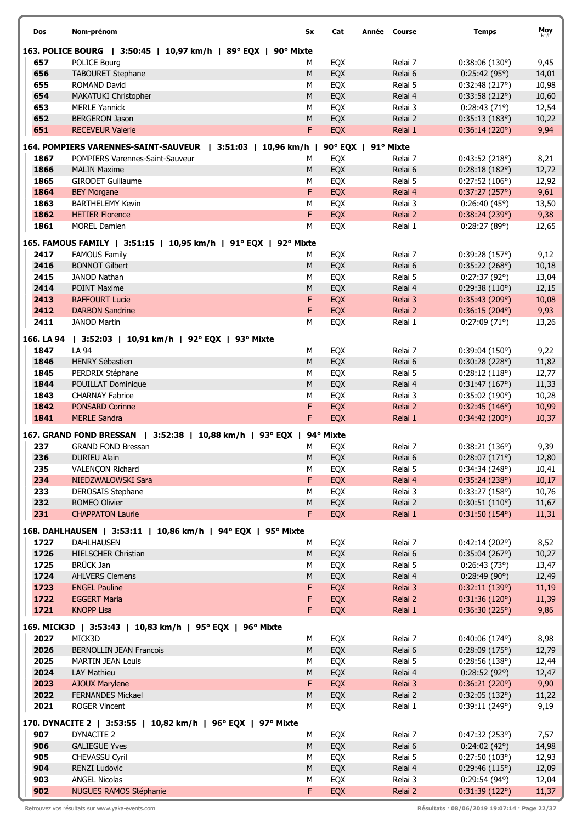| Dos          | Nom-prénom                                                      | Sx             | Cat               | Année Course       | <b>Temps</b>                            | Moy            |
|--------------|-----------------------------------------------------------------|----------------|-------------------|--------------------|-----------------------------------------|----------------|
|              | 163. POLICE BOURG   3:50:45   10,97 km/h   89° EQX   90° Mixte  |                |                   |                    |                                         |                |
| 657          | <b>POLICE Bourg</b>                                             | М              | EQX               | Relai 7            | 0:38:06(130°)                           | 9,45           |
| 656          | <b>TABOURET Stephane</b>                                        | M              | EQX               | Relai 6            | 0:25:42(95°)                            | 14,01          |
| 655          | <b>ROMAND David</b>                                             | M              | EQX               | Relai 5            | 0:32:48(217°)                           | 10,98          |
| 654          | MAKATUKI Christopher                                            | ${\sf M}$      | EQX               | Relai 4            | 0:33:58(212°)                           | 10,60          |
| 653          | <b>MERLE Yannick</b>                                            | M              | EQX               | Relai 3            | 0:28:43(71°)                            | 12,54          |
| 652          | <b>BERGERON Jason</b>                                           | M              | EQX               | Relai 2            | 0:35:13(183°)                           | 10,22          |
| 651          | <b>RECEVEUR Valerie</b>                                         | F              | EQX               | Relai 1            | 0:36:14(220°)                           | 9,94           |
|              | 164. POMPIERS VARENNES-SAINT-SAUVEUR   3:51:03   10,96 km/h     |                | 90 $^{\circ}$ EQX | 91° Mixte          |                                         |                |
| 1867         | POMPIERS Varennes-Saint-Sauveur                                 | м              | EQX               | Relai 7            | 0:43:52(218°)                           | 8,21           |
| 1866         | <b>MALIN Maxime</b>                                             | M              | EQX               | Relai 6            | 0:28:18(182°)                           | 12,72          |
| 1865         | <b>GIRODET Guillaume</b>                                        | M              | EQX               | Relai 5            | 0:27:52(106°)                           | 12,92          |
| 1864         | <b>BEY Morgane</b>                                              | F              | EQX               | Relai 4            | 0:37:27(257°)                           | 9,61           |
| 1863         | <b>BARTHELEMY Kevin</b>                                         | M              | EQX               | Relai 3            | 0:26:40(45°)                            | 13,50          |
| 1862         | <b>HETIER Florence</b>                                          | F              | EQX               | Relai 2            | 0:38:24(239°)                           | 9,38           |
| 1861         | <b>MOREL Damien</b>                                             | M              | EQX               | Relai 1            | 0:28:27(89°)                            | 12,65          |
|              | 165. FAMOUS FAMILY   3:51:15   10,95 km/h   91° EQX   92° Mixte |                |                   |                    |                                         |                |
| 2417         | <b>FAMOUS Family</b>                                            | М              | EQX               | Relai 7            | 0:39:28(157°)                           | 9,12           |
| 2416         | <b>BONNOT Gilbert</b>                                           | M              | EQX               | Relai 6            | 0:35:22(268°)                           | 10,18          |
| 2415         | <b>JANOD Nathan</b>                                             | M              | EQX               | Relai 5            | 0:27:37(92°)                            | 13,04          |
| 2414         | <b>POINT Maxime</b>                                             | M              | EQX               | Relai 4            | 0:29:38(110°)                           | 12,15          |
| 2413         | <b>RAFFOURT Lucie</b>                                           | F              | EQX               | Relai 3            | 0:35:43(209°)                           | 10,08          |
| 2412         | <b>DARBON Sandrine</b>                                          | F              | EQX               | Relai 2            | $0:36:15(204^{\circ})$                  | 9,93           |
| 2411         | <b>JANOD Martin</b>                                             | M              | EQX               | Relai 1            | 0:27:09(71°)                            | 13,26          |
|              |                                                                 |                |                   |                    |                                         |                |
| 166. LA 94   | 3:52:03   10,91 km/h   92° EQX   93° Mixte                      |                |                   |                    |                                         |                |
| 1847         | LA 94                                                           | М              | EQX               | Relai 7            | 0:39:04(150°)                           | 9,22           |
| 1846         | <b>HENRY Sébastien</b>                                          | M              | EQX               | Relai 6            | 0:30:28(228°)                           | 11,82          |
| 1845<br>1844 | PERDRIX Stéphane                                                | М<br>${\sf M}$ | EQX<br>EQX        | Relai 5            | 0:28:12(118°)                           | 12,77          |
| 1843         | POUILLAT Dominique<br><b>CHARNAY Fabrice</b>                    | M              | EQX               | Relai 4<br>Relai 3 | 0:31:47(167°)<br>0:35:02(190°)          | 11,33<br>10,28 |
| 1842         | <b>PONSARD Corinne</b>                                          | F              | EQX               | Relai 2            | 0:32:45(146°)                           | 10,99          |
| 1841         | <b>MERLE Sandra</b>                                             | F              | EQX               | Relai 1            | 0:34:42(200°)                           | 10,37          |
|              |                                                                 |                |                   |                    |                                         |                |
|              | 167. GRAND FOND BRESSAN   3:52:38   10,88 km/h   93° EQX        |                | 94° Mixte         |                    |                                         |                |
| 237          | <b>GRAND FOND Bressan</b>                                       | М              | EQX               | Relai 7            | 0:38:21(136°)                           | 9,39           |
| 236          | <b>DURIEU Alain</b>                                             | М              | <b>EOX</b>        | Relai 6            | 0:28:07(171°)                           | 12,80          |
| 235          | VALENÇON Richard                                                | М              | EQX               | Relai 5            | 0:34:34(248°)                           | 10,41          |
| 234          | NIEDZWALOWSKI Sara                                              | F.             | EQX               | Relai 4            | 0:35:24(238°)                           | 10,17          |
| 233<br>232   | <b>DEROSAIS Stephane</b>                                        | М              | EQX               | Relai 3            | 0:33:27(158°)                           | 10,76          |
| 231          | ROMEO Olivier<br><b>CHAPPATON Laurie</b>                        | ${\sf M}$<br>F | EQX<br>EQX        | Relai 2<br>Relai 1 | 0:30:51(110°)<br>$0:31:50(154^{\circ})$ | 11,67<br>11,31 |
|              |                                                                 |                |                   |                    |                                         |                |
|              | 168. DAHLHAUSEN   3:53:11   10,86 km/h   94° EQX   95° Mixte    |                |                   |                    |                                         |                |
| 1727         | DAHLHAUSEN                                                      | М              | EQX               | Relai 7            | 0:42:14(202°)                           | 8,52           |
| 1726         | <b>HIELSCHER Christian</b>                                      | M              | EQX               | Relai 6            | 0:35:04(267°)                           | 10,27          |
| 1725         | <b>BRÜCK Jan</b>                                                | M              | EQX               | Relai 5            | 0:26:43(73°)                            | 13,47          |
| 1724         | <b>AHLVERS Clemens</b>                                          | ${\sf M}$      | EQX               | Relai 4            | 0:28:49(90°)                            | 12,49          |
| 1723         | <b>ENGEL Pauline</b>                                            | F              | EQX               | Relai 3            | 0:32:11(139°)                           | 11,19          |
| 1722         | <b>EGGERT Maria</b>                                             | F              | EQX               | Relai 2            | 0:31:36(120°)                           | 11,39          |
| 1721         | <b>KNOPP Lisa</b>                                               | F.             | EQX               | Relai 1            | 0:36:30(225°)                           | 9,86           |
|              | 169. MICK3D   3:53:43   10,83 km/h   95° EQX   96° Mixte        |                |                   |                    |                                         |                |
| 2027         | MICK3D                                                          | М              | EQX               | Relai 7            | $0:40:06(174^{\circ})$                  | 8,98           |
| 2026         | <b>BERNOLLIN JEAN Francois</b>                                  | ${\sf M}$      | EQX               | Relai 6            | 0:28:09(175°)                           | 12,79          |
| 2025         | <b>MARTIN JEAN Louis</b>                                        | М              | EQX               | Relai 5            | 0:28:56(138°)                           | 12,44          |
| 2024         | LAY Mathieu                                                     | ${\sf M}$      | EQX               | Relai 4            | $0:28:52(92^{\circ})$                   | 12,47          |
| 2023         | <b>AJOUX Marylene</b>                                           | F              | EQX               | Relai 3            | 0:36:21(220°)                           | 9,90           |
| 2022         | <b>FERNANDES Mickael</b>                                        | ${\sf M}$      | EQX               | Relai 2            | 0:32:05(132°)                           | 11,22          |
| 2021         | <b>ROGER Vincent</b>                                            | М              | EQX               | Relai 1            | 0:39:11(249°)                           | 9,19           |
|              | 170. DYNACITE 2   3:53:55   10,82 km/h   96° EQX   97° Mixte    |                |                   |                    |                                         |                |
| 907          | DYNACITE 2                                                      | М              | EQX               | Relai 7            | 0:47:32(253°)                           | 7,57           |
| 906          | <b>GALIEGUE Yves</b>                                            | ${\sf M}$      | EQX               | Relai 6            | 0:24:02(42°)                            | 14,98          |
| 905          | CHEVASSU Cyril                                                  | М              | EQX               | Relai 5            | 0:27:50(103°)                           | 12,93          |
| 904          | RENZI Ludovic                                                   | ${\sf M}$      | EQX               | Relai 4            | 0:29:46(115°)                           | 12,09          |
| 903          | <b>ANGEL Nicolas</b>                                            | М              | EQX               | Relai 3            | $0:29:54(94^{\circ})$                   | 12,04          |
| 902          | <b>NUGUES RAMOS Stéphanie</b>                                   | F              | EQX               | Relai 2            | 0:31:39(122°)                           | 11,37          |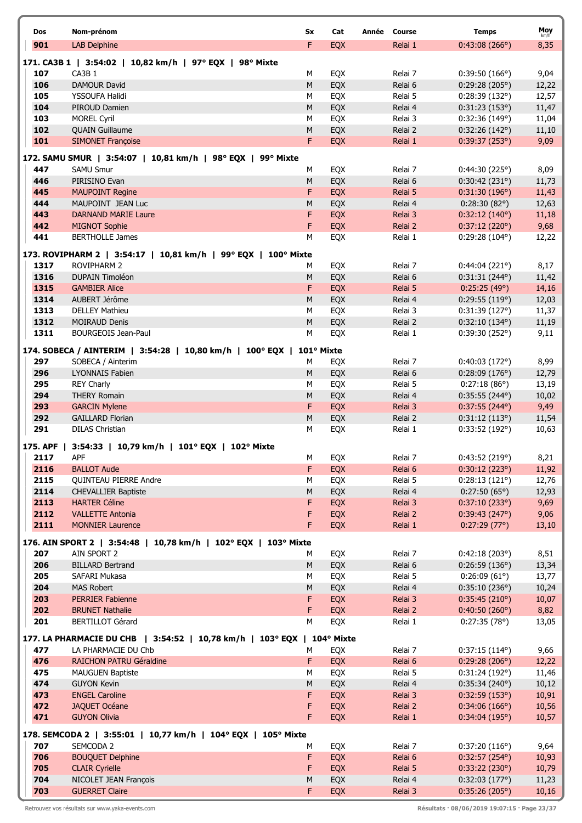| Dos          | Nom-prénom                                                                    | Sx         | Cat        | Année Course       | <b>Temps</b>                            | Moy            |
|--------------|-------------------------------------------------------------------------------|------------|------------|--------------------|-----------------------------------------|----------------|
| 901          | <b>LAB Delphine</b>                                                           | F          | EQX        | Relai 1            | 0:43:08(266°)                           | km/h<br>8,35   |
|              |                                                                               |            |            |                    |                                         |                |
| 107          | 171. CA3B 1   3:54:02   10,82 km/h   97° EQX   98° Mixte<br>CA3B <sub>1</sub> | М          | EQX        | Relai 7            | $0:39:50(166^{\circ})$                  | 9,04           |
| 106          | <b>DAMOUR David</b>                                                           | ${\sf M}$  | EQX        | Relai 6            | 0:29:28(205°)                           | 12,22          |
| 105          | YSSOUFA Halidi                                                                | M          | EQX        | Relai 5            | 0:28:39(132°)                           | 12,57          |
| 104          | PIROUD Damien                                                                 | ${\sf M}$  | EQX        | Relai 4            | 0:31:23(153°)                           | 11,47          |
| 103          | <b>MOREL Cyril</b>                                                            | M          | EQX        | Relai 3            | 0:32:36(149°)                           | 11,04          |
| 102          | <b>QUAIN Guillaume</b>                                                        | ${\sf M}$  | EQX        | Relai 2            | 0:32:26(142°)                           | 11,10          |
| 101          | <b>SIMONET Françoise</b>                                                      | F          | EQX        | Relai 1            | 0:39:37(253°)                           | 9,09           |
|              | 172. SAMU SMUR   3:54:07   10,81 km/h   98° EQX   99° Mixte                   |            |            |                    |                                         |                |
| 447          | <b>SAMU Smur</b>                                                              | М          | EQX        | Relai 7            | 0:44:30(225°)                           | 8,09           |
| 446          | PIRISINO Evan                                                                 | M          | EQX        | Relai 6            | 0:30:42(231°)                           | 11,73          |
| 445          | <b>MAUPOINT Regine</b>                                                        | F          | <b>EQX</b> | Relai 5            | 0:31:30(196°)                           | 11,43          |
| 444          | MAUPOINT JEAN Luc                                                             | M          | EQX        | Relai 4            | 0:28:30(82°)                            | 12,63          |
| 443          | <b>DARNAND MARIE Laure</b>                                                    | F.         | EQX        | Relai 3            | 0:32:12(140°)                           | 11,18          |
| 442          | <b>MIGNOT Sophie</b>                                                          | F          | EQX        | Relai 2            | 0:37:12(220°)                           | 9,68           |
| 441          | <b>BERTHOLLE James</b>                                                        | M          | EQX        | Relai 1            | $0:29:28(104^{\circ})$                  | 12,22          |
|              | 173. ROVIPHARM 2   3:54:17   10,81 km/h   99° EQX   100° Mixte                |            |            |                    |                                         |                |
| 1317         | <b>ROVIPHARM 2</b>                                                            | М          | EQX        | Relai 7            | 0:44:04(221°)                           | 8,17           |
| 1316         | <b>DUPAIN Timoléon</b>                                                        | M          | EQX        | Relai 6            | 0:31:31(244°)                           | 11,42          |
| 1315         | <b>GAMBIER Alice</b>                                                          | F          | EQX        | Relai 5            | 0:25:25(49°)                            | 14,16          |
| 1314<br>1313 | AUBERT Jérôme                                                                 | M<br>M     | EQX        | Relai 4            | 0:29:55(119°)                           | 12,03          |
| 1312         | <b>DELLEY Mathieu</b><br><b>MOIRAUD Denis</b>                                 | ${\sf M}$  | EQX<br>EQX | Relai 3<br>Relai 2 | 0:31:39(127°)<br>$0:32:10(134^{\circ})$ | 11,37<br>11,19 |
| 1311         | <b>BOURGEOIS Jean-Paul</b>                                                    | M          | EQX        | Relai 1            | 0:39:30(252°)                           | 9,11           |
|              |                                                                               |            |            |                    |                                         |                |
|              | 174. SOBECA / AINTERIM   3:54:28   10,80 km/h   100° EQX                      | 101° Mixte |            |                    |                                         |                |
| 297          | SOBECA / Ainterim                                                             | M          | EQX        | Relai 7            | 0:40:03(172°)                           | 8,99           |
| 296<br>295   | <b>LYONNAIS Fabien</b><br><b>REY Charly</b>                                   | М<br>M     | EQX<br>EQX | Relai 6<br>Relai 5 | 0:28:09(176°)<br>0:27:18(86°)           | 12,79<br>13,19 |
| 294          | <b>THERY Romain</b>                                                           | M          | EQX        | Relai 4            | $0:35:55(244^{\circ})$                  | 10,02          |
| 293          | <b>GARCIN Mylene</b>                                                          | F          | EQX        | Relai 3            | $0:37:55(244^{\circ})$                  | 9,49           |
| 292          | <b>GAILLARD Florian</b>                                                       | ${\sf M}$  | EQX        | Relai 2            | 0:31:12(113°)                           | 11,54          |
| 291          | <b>DILAS Christian</b>                                                        | М          | EQX        | Relai 1            | 0:33:52(192°)                           | 10,63          |
| 175. APF     | 3:54:33   10,79 km/h   101° EQX   102° Mixte                                  |            |            |                    |                                         |                |
| 2117         | APF                                                                           | м          | EQX        | Relai 7            | 0:43:52 (219°)                          | 8,21           |
| 2116         | <b>BALLOT Aude</b>                                                            | F          | EQX        | Relai 6            | 0:30:12(223°)                           | 11,92          |
| 2115         | QUINTEAU PIERRE Andre                                                         | M          | EQX        | Relai 5            | 0:28:13(121°)                           | 12,76          |
| 2114         | <b>CHEVALLIER Baptiste</b>                                                    | M          | EQX        | Relai 4            | 0:27:50(65°)                            | 12,93          |
| 2113         | <b>HARTER Céline</b>                                                          | F          | EQX        | Relai 3            | 0:37:10(233°)                           | 9,69           |
| 2112         | <b>VALLETTE Antonia</b>                                                       | F          | EQX        | Relai 2            | 0:39:43(247°)                           | 9,06           |
| 2111         | <b>MONNIER Laurence</b>                                                       | F.         | EQX        | Relai 1            | 0:27:29(77°)                            | 13,10          |
|              | 176. AIN SPORT 2   3:54:48   10,78 km/h   102° EQX   103° Mixte               |            |            |                    |                                         |                |
| 207          | AIN SPORT 2                                                                   | М          | EQX        | Relai 7            | 0:42:18(203°)                           | 8,51           |
| 206          | <b>BILLARD Bertrand</b>                                                       | M          | EQX        | Relai 6            | 0:26:59(136°)                           | 13,34          |
| 205          | SAFARI Mukasa                                                                 | M          | EQX        | Relai 5            | 0:26:09(61°)                            | 13,77          |
| 204<br>203   | <b>MAS Robert</b><br><b>PERRIER Fabienne</b>                                  | M<br>F     | EQX<br>EQX | Relai 4<br>Relai 3 | 0:35:10(236°)<br>0:35:45(210°)          | 10,24<br>10,07 |
| 202          | <b>BRUNET Nathalie</b>                                                        | F          | <b>EQX</b> | Relai 2            | 0:40:50(260°)                           | 8,82           |
| 201          | <b>BERTILLOT Gérard</b>                                                       | M          | EQX        | Relai 1            | 0:27:35(78°)                            | 13,05          |
|              |                                                                               |            |            |                    |                                         |                |
|              | 177. LA PHARMACIE DU CHB   3:54:52   10,78 km/h   103° EQX   104° Mixte       |            |            |                    |                                         |                |
| 477<br>476   | LA PHARMACIE DU Chb<br>RAICHON PATRU Géraldine                                | м<br>F     | EQX<br>EQX | Relai 7<br>Relai 6 | $0:37:15(114^{\circ})$<br>0:29:28(206°) | 9,66<br>12,22  |
| 475          | <b>MAUGUEN Baptiste</b>                                                       | M          | EQX        | Relai 5            | 0:31:24(192°)                           | 11,46          |
| 474          | <b>GUYON Kevin</b>                                                            | M          | EQX        | Relai 4            | 0:35:34(240°)                           | 10,12          |
| 473          | <b>ENGEL Caroline</b>                                                         | F          | EQX        | Relai 3            | 0:32:59(153°)                           | 10,91          |
| 472          | <b>JAQUET Océane</b>                                                          | F          | EQX        | Relai 2            | 0:34:06(166°)                           | 10,56          |
| 471          | <b>GUYON Olivia</b>                                                           | F          | EQX        | Relai 1            | 0:34:04(195°)                           | 10,57          |
|              | 178. SEMCODA 2   3:55:01   10,77 km/h   104° EQX   105° Mixte                 |            |            |                    |                                         |                |
| 707          | SEMCODA 2                                                                     | М          | EQX        | Relai 7            | 0:37:20(116°)                           | 9,64           |
| 706          | <b>BOUQUET Delphine</b>                                                       | F          | EQX        | Relai 6            | 0:32:57(254°)                           | 10,93          |
| 705          | <b>CLAIR Cyrielle</b>                                                         | F          | EQX        | Relai 5            | 0:33:22(230°)                           | 10,79          |
| 704          | NICOLET JEAN François                                                         | ${\sf M}$  | EQX        | Relai 4            | 0:32:03(177°)                           | 11,23          |
| 703          | <b>GUERRET Claire</b>                                                         | F          | EQX        | Relai 3            | 0:35:26(205°)                           | 10,16          |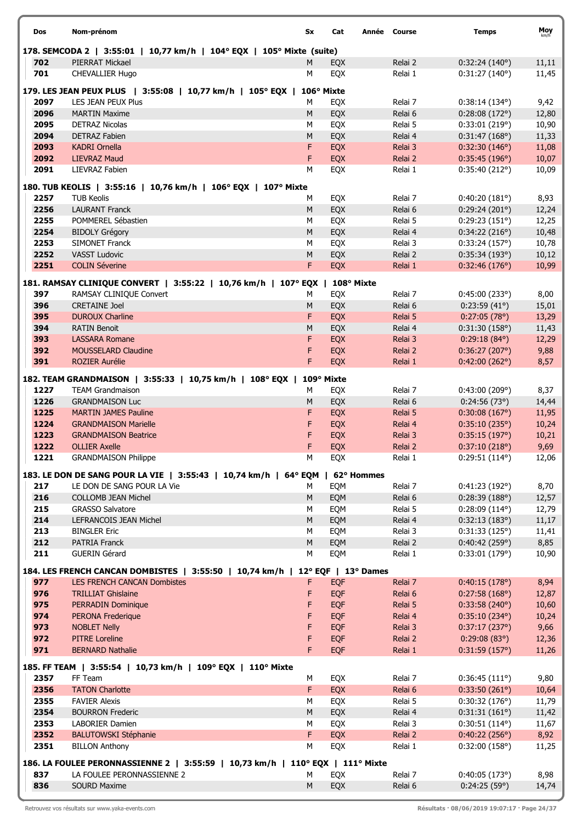| Dos          | Nom-prénom                                                                          | Sx        | Cat        | Année Course       | <b>Temps</b>                            | Moy            |
|--------------|-------------------------------------------------------------------------------------|-----------|------------|--------------------|-----------------------------------------|----------------|
|              | 178. SEMCODA 2   3:55:01   10,77 km/h   104° EQX   105° Mixte (suite)               |           |            |                    |                                         |                |
| 702          | PIERRAT Mickael                                                                     | M         | EQX        | Relai 2            | 0:32:24(140°)                           | 11,11          |
| 701          | <b>CHEVALLIER Hugo</b>                                                              | м         | EQX        | Relai 1            | 0:31:27(140°)                           | 11,45          |
|              | 179. LES JEAN PEUX PLUS   3:55:08   10,77 km/h   105° EQX                           |           | 106° Mixte |                    |                                         |                |
| 2097         | <b>LES JEAN PEUX Plus</b>                                                           | M         | EQX        | Relai 7            | $0:38:14(134^{\circ})$                  | 9,42           |
| 2096         | <b>MARTIN Maxime</b>                                                                | M         | EQX        | Relai 6            | 0:28:08(172°)                           | 12,80          |
| 2095         | <b>DETRAZ Nicolas</b>                                                               | М         | EQX        | Relai 5            | 0:33:01(219°)                           | 10,90          |
| 2094         | <b>DETRAZ Fabien</b>                                                                | M         | EQX        | Relai 4            | 0:31:47(168°)                           | 11,33          |
| 2093<br>2092 | <b>KADRI Ornella</b><br><b>LIEVRAZ Maud</b>                                         | F<br>F    | EQX<br>EQX | Relai 3            | 0:32:30(146°)                           | 11,08          |
| 2091         | LIEVRAZ Fabien                                                                      | M         | EQX        | Relai 2<br>Relai 1 | 0:35:45(196°)<br>0:35:40(212°)          | 10,07<br>10,09 |
|              |                                                                                     |           |            |                    |                                         |                |
| 2257         | 180. TUB KEOLIS   3:55:16   10,76 km/h   106° EQX   107° Mixte<br><b>TUB Keolis</b> | м         | EQX        | Relai 7            | 0:40:20(181°)                           | 8,93           |
| 2256         | <b>LAURANT Franck</b>                                                               | M         | EQX        | Relai 6            | 0:29:24(201°)                           | 12,24          |
| 2255         | POMMEREL Sébastien                                                                  | М         | EQX        | Relai 5            | 0:29:23(151°)                           | 12,25          |
| 2254         | <b>BIDOLY Grégory</b>                                                               | M         | EQX        | Relai 4            | 0:34:22(216°)                           | 10,48          |
| 2253         | <b>SIMONET Franck</b>                                                               | М         | EQX        | Relai 3            | 0:33:24(157°)                           | 10,78          |
| 2252         | <b>VASST Ludovic</b>                                                                | M         | EQX        | Relai 2            | 0:35:34(193°)                           | 10,12          |
| 2251         | <b>COLIN Séverine</b>                                                               | F         | EQX        | Relai 1            | 0:32:46(176°)                           | 10,99          |
|              | 181. RAMSAY CLINIQUE CONVERT   3:55:22   10,76 km/h   107° EQX   108° Mixte         |           |            |                    |                                         |                |
| 397          | RAMSAY CLINIQUE Convert                                                             | М         | EQX        | Relai 7            | 0:45:00(233°)                           | 8,00           |
| 396          | <b>CRETAINE Joel</b>                                                                | M         | EQX        | Relai 6            | $0:23:59(41^{\circ})$                   | 15,01          |
| 395          | <b>DUROUX Charline</b>                                                              | F         | EQX        | Relai 5            | 0:27:05(78°)                            | 13,29          |
| 394          | <b>RATIN Benoit</b>                                                                 | M         | EQX        | Relai 4            | 0:31:30(158°)                           | 11,43          |
| 393          | <b>LASSARA Romane</b>                                                               | F         | EQX        | Relai 3            | $0:29:18(84^{\circ})$                   | 12,29          |
| 392          | <b>MOUSSELARD Claudine</b>                                                          | F         | EQX        | Relai 2            | 0:36:27(207°)                           | 9,88           |
| 391          | <b>ROZIER Aurélie</b>                                                               | F         | EQX        | Relai 1            | 0:42:00(262°)                           | 8,57           |
|              | 182. TEAM GRANDMAISON   3:55:33   10,75 km/h   108° EQX                             |           | 109° Mixte |                    |                                         |                |
| 1227         | <b>TEAM Grandmaison</b>                                                             | М         | EQX        | Relai 7            | 0:43:00(209°)                           | 8,37           |
| 1226         | <b>GRANDMAISON Luc</b>                                                              | M         | EQX        | Relai 6            | 0:24:56(73)                             | 14,44          |
| 1225         | <b>MARTIN JAMES Pauline</b>                                                         | F         | EQX        | Relai 5            | 0:30:08(167°)                           | 11,95          |
| 1224         | <b>GRANDMAISON Marielle</b>                                                         | F         | EQX        | Relai 4            | 0:35:10(235°)                           | 10,24          |
| 1223         | <b>GRANDMAISON Beatrice</b>                                                         | F         | EQX        | Relai 3            | 0:35:15(197°)                           | 10,21          |
| 1222<br>1221 | <b>OLLIER Axelle</b><br><b>GRANDMAISON Philippe</b>                                 | F<br>M    | EQX<br>EQX | Relai 2<br>Relai 1 | 0:37:10(218°)<br>0:29:51(114°)          | 9,69<br>12,06  |
|              |                                                                                     |           |            |                    |                                         |                |
|              | 183. LE DON DE SANG POUR LA VIE   3:55:43   10,74 km/h   64° EQM   62° Hommes       |           |            |                    |                                         |                |
| 217          | LE DON DE SANG POUR LA Vie                                                          | м         | EQM        | Relai 7            | 0:41:23(192°)                           | 8,70           |
| 216<br>215   | <b>COLLOMB JEAN Michel</b><br><b>GRASSO Salvatore</b>                               | M<br>М    | EQM<br>EQM | Relai 6<br>Relai 5 | 0:28:39(188°)<br>$0:28:09(114^{\circ})$ | 12,57<br>12,79 |
| 214          | LEFRANCOIS JEAN Michel                                                              | M         | EQM        | Relai 4            | 0:32:13(183°)                           | 11,17          |
| 213          | <b>BINGLER Eric</b>                                                                 | М         | EQM        | Relai 3            | 0:31:33(125°)                           | 11,41          |
| 212          | <b>PATRIA Franck</b>                                                                | M         | EQM        | Relai 2            | 0:40:42(259°)                           | 8,85           |
| 211          | <b>GUERIN Gérard</b>                                                                | М         | EQM        | Relai 1            | 0:33:01(179°)                           | 10,90          |
|              | 184. LES FRENCH CANCAN DOMBISTES   3:55:50   10,74 km/h   12° EQF   13° Dames       |           |            |                    |                                         |                |
| 977          | <b>LES FRENCH CANCAN Dombistes</b>                                                  | F.        | EQF        | Relai 7            | 0:40:15(178°)                           | 8,94           |
| 976          | <b>TRILLIAT Ghislaine</b>                                                           | F         | EQF        | Relai 6            | 0:27:58(168°)                           | 12,87          |
| 975          | <b>PERRADIN Dominique</b>                                                           | F         | EQF        | Relai 5            | 0:33:58(240°)                           | 10,60          |
| 974          | PERONA Frederique                                                                   | F         | EQF        | Relai 4            | 0:35:10(234°)                           | 10,24          |
| 973          | <b>NOBLET Nelly</b>                                                                 | F         | EQF        | Relai 3            | 0:37:17(237°)                           | 9,66           |
| 972          | <b>PITRE Loreline</b>                                                               | F         | EQF        | Relai 2            | 0:29:08(83°)                            | 12,36          |
| 971          | <b>BERNARD Nathalie</b>                                                             | F         | <b>EQF</b> | Relai 1            | 0:31:59(157°)                           | 11,26          |
|              | 185. FF TEAM   3:55:54   10,73 km/h   109° EQX   110° Mixte                         |           |            |                    |                                         |                |
| 2357         | FF Team                                                                             | М         | EQX        | Relai 7            | 0:36:45(111°)                           | 9,80           |
| 2356         | <b>TATON Charlotte</b>                                                              | F.        | EQX        | Relai 6            | 0:33:50(261°)                           | 10,64          |
| 2355         | <b>FAVIER Alexis</b>                                                                | М         | EQX        | Relai 5            | 0:30:32(176°)                           | 11,79          |
| 2354         | <b>BOURRON Frederic</b>                                                             | M         | EQX        | Relai 4            | 0:31:31(161°)                           | 11,42          |
| 2353         | <b>LABORIER Damien</b>                                                              | M         | EQX        | Relai 3            | 0:30:51(114°)                           | 11,67          |
| 2352         | <b>BALUTOWSKI Stéphanie</b>                                                         | F         | <b>EQX</b> | Relai 2            | 0:40:22(256°)                           | 8,92           |
| 2351         | <b>BILLON Anthony</b>                                                               | М         | EQX        | Relai 1            | 0:32:00(158°)                           | 11,25          |
|              | 186. LA FOULEE PERONNASSIENNE 2   3:55:59   10,73 km/h   110° EQX   111° Mixte      |           |            |                    |                                         |                |
| 837          | LA FOULEE PERONNASSIENNE 2                                                          | М         | EQX        | Relai 7            | 0:40:05(173°)                           | 8,98           |
| 836          | <b>SOURD Maxime</b>                                                                 | ${\sf M}$ | EQX        | Relai 6            | 0:24:25(59°)                            | 14,74          |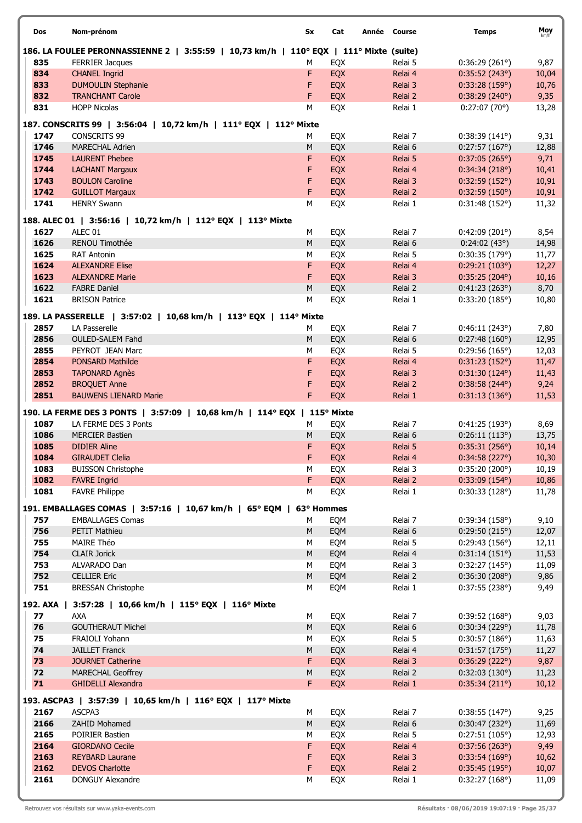| Dos      | Nom-prénom                                                                             | Sx        | Cat        | Année Course       | <b>Temps</b>           | Moy<br>km/h   |
|----------|----------------------------------------------------------------------------------------|-----------|------------|--------------------|------------------------|---------------|
|          | 186. LA FOULEE PERONNASSIENNE 2   3:55:59   10,73 km/h   110° EQX   111° Mixte (suite) |           |            |                    |                        |               |
| 835      | <b>FERRIER Jacques</b>                                                                 | М         | EQX        | Relai 5            | 0:36:29(261°)          | 9,87          |
| 834      | <b>CHANEL Ingrid</b>                                                                   | F         | EQX        | Relai 4            | 0:35:52(243°)          | 10,04         |
| 833      | <b>DUMOULIN Stephanie</b>                                                              | F         | EQX        | Relai 3            | 0:33:28(159°)          | 10,76         |
| 832      | <b>TRANCHANT Carole</b>                                                                | F         | EQX        | Relai 2            | 0:38:29(240°)          | 9,35          |
| 831      | <b>HOPP Nicolas</b>                                                                    | М         | <b>EQX</b> | Relai 1            | 0:27:07(70°)           | 13,28         |
|          | 187. CONSCRITS 99   3:56:04   10,72 km/h   111° EQX   112° Mixte                       |           |            |                    |                        |               |
| 1747     | <b>CONSCRITS 99</b>                                                                    | м         | EQX        | Relai 7            | 0:38:39(141°)          | 9,31          |
| 1746     | <b>MARECHAL Adrien</b>                                                                 | M         | EQX        | Relai 6            | 0:27:57(167°)          | 12,88         |
| 1745     | <b>LAURENT Phebee</b>                                                                  | F         | EQX        | Relai 5            | $0:37:05(265^{\circ})$ | 9,71          |
| 1744     | <b>LACHANT Margaux</b>                                                                 | F         | EQX        | Relai 4            | 0:34:34(218°)          | 10,41         |
| 1743     | <b>BOULON Caroline</b>                                                                 | F         | EQX        | Relai 3            | 0:32:59(152°)          | 10,91         |
| 1742     | <b>GUILLOT Margaux</b>                                                                 | F         | EQX        | Relai 2            | 0:32:59(150°)          | 10,91         |
| 1741     | <b>HENRY Swann</b>                                                                     | M         | EQX        | Relai 1            | 0:31:48(152°)          | 11,32         |
|          | 188. ALEC 01   3:56:16   10,72 km/h   112° EQX   113° Mixte                            |           |            |                    |                        |               |
| 1627     | ALEC <sub>01</sub>                                                                     | М         | EQX        | Relai 7            | 0:42:09(201°)          | 8,54          |
| 1626     | RENOU Timothée                                                                         | M         | EQX        | Relai 6            | 0:24:02(43°)           | 14,98         |
| 1625     | <b>RAT Antonin</b>                                                                     | М         | EQX        | Relai 5            | 0:30:35(179°)          | 11,77         |
| 1624     | <b>ALEXANDRE Elise</b>                                                                 | F         | EQX        | Relai 4            | 0:29:21(103°)          | 12,27         |
| 1623     | <b>ALEXANDRE Marie</b>                                                                 | F         | EQX        | Relai 3            | 0:35:25(204°)          | 10,16         |
| 1622     | <b>FABRE Daniel</b>                                                                    | M         |            |                    | 0:41:23(263°)          |               |
| 1621     | <b>BRISON Patrice</b>                                                                  | M         | EQX<br>EQX | Relai 2<br>Relai 1 | 0:33:20(185°)          | 8,70<br>10,80 |
|          |                                                                                        |           |            |                    |                        |               |
|          | 189. LA PASSERELLE   3:57:02   10,68 km/h   113° EQX   114° Mixte                      |           |            |                    |                        |               |
| 2857     | LA Passerelle                                                                          | М         | EQX        | Relai 7            | 0:46:11(243°)          | 7,80          |
| 2856     | <b>OULED-SALEM Fahd</b>                                                                | M         | EQX        | Relai 6            | 0:27:48(160°)          | 12,95         |
| 2855     | PEYROT JEAN Marc                                                                       | М         | EQX        | Relai 5            | 0:29:56(165°)          | 12,03         |
| 2854     | <b>PONSARD Mathilde</b>                                                                | F         | EQX        | Relai 4            | 0:31:23(152°)          | 11,47         |
| 2853     | <b>TAPONARD Agnès</b>                                                                  | F         | EQX        | Relai 3            | $0:31:30(124^{\circ})$ | 11,43         |
| 2852     | <b>BROQUET Anne</b>                                                                    | F         | EQX        | Relai 2            | $0:38:58(244^{\circ})$ | 9,24          |
| 2851     | <b>BAUWENS LIENARD Marie</b>                                                           | F         | EQX        | Relai 1            | 0:31:13(136°)          | 11,53         |
|          | 190. LA FERME DES 3 PONTS   3:57:09   10,68 km/h   114° EQX                            |           | 115° Mixte |                    |                        |               |
| 1087     | LA FERME DES 3 Ponts                                                                   | М         | EQX        | Relai 7            | 0:41:25(193°)          | 8,69          |
| 1086     | <b>MERCIER Bastien</b>                                                                 | M         | EQX        | Relai 6            | 0:26:11(113°)          | 13,75         |
| 1085     | <b>DIDIER Aline</b>                                                                    | F         | EQX        | Relai 5            | 0:35:31(256°)          | 10,14         |
| 1084     | <b>GIRAUDET Clelia</b>                                                                 | F         | EQX        | Relai 4            | 0:34:58 (227°)         | 10,30         |
| 1083     | <b>BUISSON Christophe</b>                                                              | М         | EQX        | Relai 3            | 0:35:20(200°)          | 10,19         |
| 1082     | <b>FAVRE Ingrid</b>                                                                    | F.        | <b>EQX</b> | Relai 2            | $0:33:09(154^{\circ})$ | 10,86         |
| 1081     | <b>FAVRE Philippe</b>                                                                  | M         | EQX        | Relai 1            | 0:30:33(128°)          | 11,78         |
|          | 191. EMBALLAGES COMAS   3:57:16   10,67 km/h   65° EQM   63° Hommes                    |           |            |                    |                        |               |
| 757      | <b>EMBALLAGES Comas</b>                                                                | м         | EQM        | Relai 7            | 0:39:34(158°)          | 9,10          |
| 756      | PETIT Mathieu                                                                          | M         | EQM        | Relai 6            | 0:29:50(215°)          | 12,07         |
| 755      | MAIRE Théo                                                                             | M         | EQM        | Relai 5            | 0:29:43(156°)          | 12,11         |
| 754      | <b>CLAIR Jorick</b>                                                                    | ${\sf M}$ | EQM        | Relai 4            | 0:31:14(151°)          | 11,53         |
| 753      | ALVARADO Dan                                                                           | М         | EQM        | Relai 3            | 0:32:27(145°)          | 11,09         |
| 752      | <b>CELLIER Eric</b>                                                                    | M         | EQM        | Relai 2            | 0:36:30(208°)          | 9,86          |
| 751      | <b>BRESSAN Christophe</b>                                                              | М         | EQM        | Relai 1            | 0:37:55(238°)          | 9,49          |
|          |                                                                                        |           |            |                    |                        |               |
| 192. AXA | 3:57:28   10,66 km/h   115° EQX   116° Mixte                                           |           |            |                    |                        |               |
| 77       | <b>AXA</b>                                                                             | М         | EQX        | Relai 7            | 0:39:52(168°)          | 9,03          |
| 76       | <b>GOUTHERAUT Michel</b>                                                               | ${\sf M}$ | EQX        | Relai 6            | 0:30:34(229°)          | 11,78         |
| 75       | FRAIOLI Yohann                                                                         | M         | EQX        | Relai 5            | 0:30:57(186°)          | 11,63         |
| 74       | <b>JAILLET Franck</b>                                                                  | M         | EQX        | Relai 4            | 0:31:57(175°)          | 11,27         |
| 73       | <b>JOURNET Catherine</b>                                                               | F         | EQX        | Relai 3            | 0:36:29(222°)          | 9,87          |
| 72       | <b>MARECHAL Geoffrey</b>                                                               | M         | EQX        | Relai 2            | 0:32:03(130°)          | 11,23         |
| 71       | <b>GHIDELLI Alexandra</b>                                                              | F.        | EQX        | Relai 1            | 0:35:34(211°)          | 10,12         |
|          | 193. ASCPA3   3:57:39   10,65 km/h   116° EQX   117° Mixte                             |           |            |                    |                        |               |
| 2167     | ASCPA3                                                                                 | М         | EQX        | Relai 7            | 0:38:55(147°)          | 9,25          |
| 2166     | ZAHID Mohamed                                                                          | M         | EQX        | Relai 6            | 0:30:47(232°)          | 11,69         |
| 2165     | POIRIER Bastien                                                                        | М         | EQX        | Relai 5            | 0:27:51(105°)          | 12,93         |
| 2164     | <b>GIORDANO Cecile</b>                                                                 | F         | EQX        | Relai 4            | 0:37:56(263°)          | 9,49          |
| 2163     | <b>REYBARD Laurane</b>                                                                 | F         | EQX        | Relai 3            | 0:33:54(169°)          | 10,62         |
| 2162     | <b>DEVOS Charlotte</b>                                                                 | F         | EQX        | Relai 2            | 0:35:45(195°)          | 10,07         |
|          | DONGUY Alexandre                                                                       |           |            | Relai 1            | 0:32:27(168°)          | 11,09         |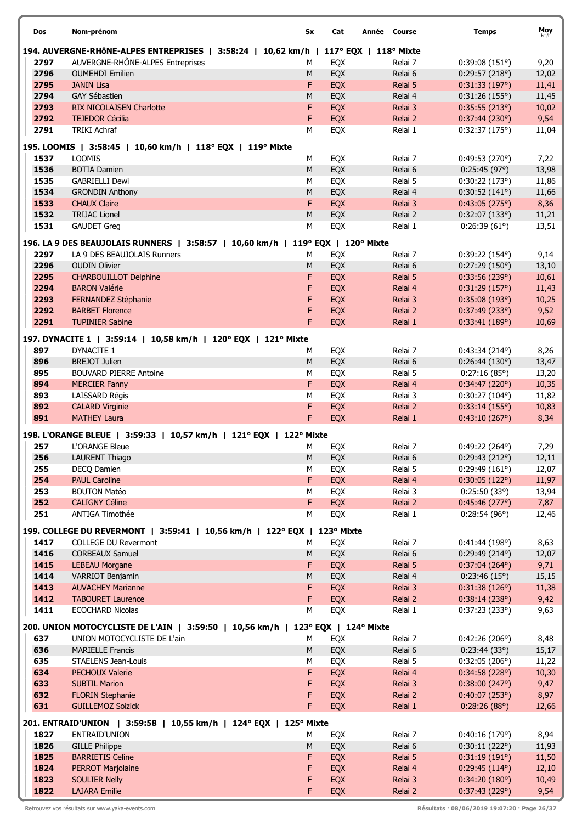| Dos  | Nom-prénom                                                                           | Sx        | Cat                   | Année Course | <b>Temps</b>           | Moy   |
|------|--------------------------------------------------------------------------------------|-----------|-----------------------|--------------|------------------------|-------|
|      | 194. AUVERGNE-RHÔNE-ALPES ENTREPRISES   3:58:24   10,62 km/h   117° EQX   118° Mixte |           |                       |              |                        |       |
| 2797 | AUVERGNE-RHÔNE-ALPES Entreprises                                                     | М         | EQX                   | Relai 7      | 0:39:08(151°)          | 9,20  |
| 2796 | <b>OUMEHDI Emilien</b>                                                               | M         | EQX                   | Relai 6      | 0:29:57(218°)          | 12,02 |
| 2795 | <b>JANIN Lisa</b>                                                                    | F         | EQX                   | Relai 5      | 0:31:33(197°)          | 11,41 |
| 2794 | <b>GAY Sébastien</b>                                                                 | M         | EQX                   | Relai 4      | 0:31:26(155°)          | 11,45 |
| 2793 | <b>RIX NICOLAJSEN Charlotte</b>                                                      | F         | EQX                   | Relai 3      | 0:35:55(213°)          | 10,02 |
| 2792 | <b>TEJEDOR Cécilia</b>                                                               | F         | EQX                   | Relai 2      | 0:37:44(230°)          | 9,54  |
| 2791 | <b>TRIKI Achraf</b>                                                                  | M         |                       | Relai 1      |                        |       |
|      |                                                                                      |           | EQX                   |              | 0:32:37(175°)          | 11,04 |
|      | 195. LOOMIS   3:58:45   10,60 km/h   118° EQX  <br>119° Mixte                        |           |                       |              |                        |       |
| 1537 | <b>LOOMIS</b>                                                                        | М         | EQX                   | Relai 7      | 0:49:53(270°)          | 7,22  |
| 1536 | <b>BOTIA Damien</b>                                                                  | M         | EQX                   | Relai 6      | 0:25:45(97°)           | 13,98 |
| 1535 | <b>GABRIELLI Dewi</b>                                                                | М         | EQX                   | Relai 5      | 0:30:22(173°)          | 11,86 |
|      |                                                                                      |           |                       |              |                        |       |
| 1534 | <b>GRONDIN Anthony</b>                                                               | M         | EQX                   | Relai 4      | 0:30:52(141°)          | 11,66 |
| 1533 | <b>CHAUX Claire</b>                                                                  | F         | EQX                   | Relai 3      | 0:43:05(275°)          | 8,36  |
| 1532 | <b>TRIJAC Lionel</b>                                                                 | M         | EQX                   | Relai 2      | 0:32:07(133°)          | 11,21 |
| 1531 | <b>GAUDET Greg</b>                                                                   | М         | EQX                   | Relai 1      | 0:26:39(61°)           | 13,51 |
|      | 196. LA 9 DES BEAUJOLAIS RUNNERS   3:58:57   10,60 km/h                              |           | 119° EQX   120° Mixte |              |                        |       |
|      |                                                                                      |           |                       |              |                        |       |
| 2297 | LA 9 DES BEAUJOLAIS Runners                                                          | М         | EQX                   | Relai 7      | $0:39:22(154^{\circ})$ | 9,14  |
| 2296 | <b>OUDIN Olivier</b>                                                                 | M         | EQX                   | Relai 6      | 0:27:29(150°)          | 13,10 |
| 2295 | <b>CHARBOUILLOT Delphine</b>                                                         | F         | EQX                   | Relai 5      | 0:33:56(239°)          | 10,61 |
| 2294 | <b>BARON Valérie</b>                                                                 | F         | EQX                   | Relai 4      | 0:31:29(157°)          | 11,43 |
| 2293 | FERNANDEZ Stéphanie                                                                  | F         | EQX                   | Relai 3      | 0:35:08(193°)          | 10,25 |
| 2292 | <b>BARBET Florence</b>                                                               | F         | EQX                   | Relai 2      | 0:37:49(233°)          | 9,52  |
| 2291 | <b>TUPINIER Sabine</b>                                                               | F.        | EQX                   | Relai 1      | 0:33:41(189°)          | 10,69 |
|      |                                                                                      |           |                       |              |                        |       |
|      | 197. DYNACITE 1   3:59:14   10,58 km/h   120° EQX   121° Mixte                       |           |                       |              |                        |       |
| 897  | DYNACITE 1                                                                           | M         | EQX                   | Relai 7      | $0:43:34(214^{\circ})$ | 8,26  |
| 896  | <b>BREJOT Julien</b>                                                                 | М         | EQX                   | Relai 6      | 0:26:44(130°)          | 13,47 |
| 895  | <b>BOUVARD PIERRE Antoine</b>                                                        | М         | EQX                   | Relai 5      | 0:27:16(85°)           | 13,20 |
| 894  | <b>MERCIER Fanny</b>                                                                 | F         | EQX                   | Relai 4      | 0:34:47(220°)          | 10,35 |
| 893  | LAISSARD Régis                                                                       | M         | EQX                   | Relai 3      | $0:30:27(104^{\circ})$ | 11,82 |
| 892  | <b>CALARD Virginie</b>                                                               | F         | EQX                   | Relai 2      | 0:33:14(155°)          | 10,83 |
| 891  | <b>MATHEY Laura</b>                                                                  | F         | EQX                   | Relai 1      | 0:43:10(267°)          | 8,34  |
|      |                                                                                      |           |                       |              |                        |       |
|      | 198. L'ORANGE BLEUE   3:59:33   10,57 km/h   121° EQX   122° Mixte                   |           |                       |              |                        |       |
| 257  | <b>L'ORANGE Bleue</b>                                                                | М         | EQX                   | Relai 7      | $0:49:22(264^{\circ})$ | 7,29  |
| 256  | <b>LAURENT Thiago</b>                                                                | ${\sf M}$ | EQX                   | Relai 6      | 0:29:43 (212°)         | 12,11 |
| 255  | DECQ Damien                                                                          | М         | EQX                   | Relai 5      | 0:29:49(161°)          | 12,07 |
| 254  | <b>PAUL Caroline</b>                                                                 | F.        | EQX                   | Relai 4      | 0:30:05(122°)          | 11,97 |
| 253  | <b>BOUTON Matéo</b>                                                                  | М         | EQX                   | Relai 3      | 0:25:50(33°)           | 13,94 |
| 252  | <b>CALIGNY Céline</b>                                                                | F         | <b>EQX</b>            | Relai 2      | 0:45:46(277°)          | 7,87  |
| 251  | ANTIGA Timothée                                                                      | М         | EQX                   | Relai 1      | 0:28:54(96°)           | 12,46 |
|      |                                                                                      |           |                       |              |                        |       |
|      | 199. COLLEGE DU REVERMONT   3:59:41   10,56 km/h   122° EQX   123° Mixte             |           |                       |              |                        |       |
| 1417 | <b>COLLEGE DU Revermont</b>                                                          | М         | EQX                   | Relai 7      | 0:41:44(198°)          | 8,63  |
| 1416 | <b>CORBEAUX Samuel</b>                                                               | M         | EQX                   | Relai 6      | $0:29:49(214^{\circ})$ | 12,07 |
| 1415 | <b>LEBEAU Morgane</b>                                                                | F.        | EQX                   | Relai 5      | $0:37:04(264^{\circ})$ | 9,71  |
| 1414 | VARRIOT Benjamin                                                                     | М         | EQX                   | Relai 4      | 0:23:46(15°)           | 15,15 |
| 1413 | <b>AUVACHEY Marianne</b>                                                             | F         | EQX                   | Relai 3      | 0:31:38(126°)          | 11,38 |
| 1412 | <b>TABOURET Laurence</b>                                                             | F         | EQX                   | Relai 2      | 0:38:14(238°)          | 9,42  |
| 1411 | <b>ECOCHARD Nicolas</b>                                                              | M         | EQX                   | Relai 1      | 0:37:23(233°)          | 9,63  |
|      |                                                                                      |           |                       |              |                        |       |
|      | 200. UNION MOTOCYCLISTE DE L'AIN   3:59:50   10,56 km/h   123° EQX   124° Mixte      |           |                       |              |                        |       |
| 637  | UNION MOTOCYCLISTE DE L'ain                                                          | М         | EQX                   | Relai 7      | 0:42:26(206°)          | 8,48  |
| 636  | <b>MARIELLE Francis</b>                                                              | ${\sf M}$ | EQX                   | Relai 6      | 0:23:44(33°)           | 15,17 |
| 635  | STAELENS Jean-Louis                                                                  | М         | EQX                   | Relai 5      | 0:32:05(206°)          | 11,22 |
| 634  | <b>PECHOUX Valerie</b>                                                               | F         | <b>EQX</b>            | Relai 4      | 0:34:58(228°)          | 10,30 |
| 633  | <b>SUBTIL Marion</b>                                                                 | F         | EQX                   | Relai 3      | 0:38:00(247°)          | 9,47  |
| 632  | <b>FLORIN Stephanie</b>                                                              | F         | EQX                   | Relai 2      | 0:40:07(253°)          | 8,97  |
| 631  | <b>GUILLEMOZ Soizick</b>                                                             | F.        | <b>EQX</b>            | Relai 1      | 0:28:26(88°)           |       |
|      |                                                                                      |           |                       |              |                        | 12,66 |
|      | 201. ENTRAID'UNION   3:59:58   10,55 km/h   124° EQX   125° Mixte                    |           |                       |              |                        |       |
| 1827 | ENTRAID'UNION                                                                        | М         | EQX                   | Relai 7      | 0:40:16(179°)          | 8,94  |
| 1826 | <b>GILLE Philippe</b>                                                                | M         | EQX                   | Relai 6      | 0:30:11(222°)          | 11,93 |
| 1825 | <b>BARRIETIS Celine</b>                                                              | F         | EQX                   | Relai 5      | 0:31:19(191°)          | 11,50 |
| 1824 | <b>PERROT Marjolaine</b>                                                             | F         | EQX                   | Relai 4      | $0:29:45(114^{\circ})$ | 12,10 |
| 1823 |                                                                                      |           |                       |              |                        |       |
|      | <b>SOULIER Nelly</b>                                                                 | F         | EQX                   | Relai 3      | 0:34:20(180°)          | 10,49 |
| 1822 | <b>LAJARA Emilie</b>                                                                 | F.        | EQX                   | Relai 2      | 0:37:43(229°)          | 9,54  |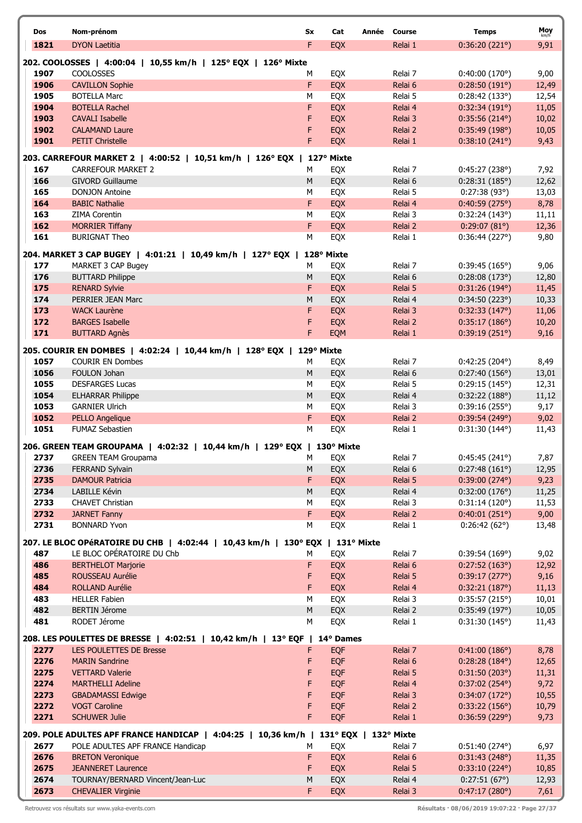| Dos          | Nom-prénom                                                                               | Sx             | Cat               | Année Course       | <b>Temps</b>                           | Moy            |
|--------------|------------------------------------------------------------------------------------------|----------------|-------------------|--------------------|----------------------------------------|----------------|
| 1821         | <b>DYON Laetitia</b>                                                                     | F              | <b>EQX</b>        | Relai 1            | 0:36:20(221°)                          | km/h<br>9,91   |
|              |                                                                                          |                |                   |                    |                                        |                |
| 1907         | 202. COOLOSSES   4:00:04   10,55 km/h   125° EQX   126° Mixte<br><b>COOLOSSES</b>        | м              |                   | Relai 7            |                                        |                |
| 1906         | <b>CAVILLON Sophie</b>                                                                   | F              | EQX<br>EQX        | Relai 6            | 0:40:00(170°)<br>0:28:50(191°)         | 9,00<br>12,49  |
| 1905         | <b>BOTELLA Marc</b>                                                                      | М              | EQX               | Relai 5            | 0:28:42(133°)                          | 12,54          |
| 1904         | <b>BOTELLA Rachel</b>                                                                    | F              | <b>EQX</b>        | Relai 4            | 0:32:34(191°)                          | 11,05          |
| 1903         | <b>CAVALI Isabelle</b>                                                                   | F              | EQX               | Relai 3            | $0:35:56(214^{\circ})$                 | 10,02          |
| 1902         | <b>CALAMAND Laure</b>                                                                    | F              | EQX               | Relai 2            | 0:35:49(198°)                          | 10,05          |
| 1901         | <b>PETIT Christelle</b>                                                                  | F              | EQX               | Relai 1            | 0:38:10(241°)                          | 9,43           |
|              |                                                                                          |                |                   |                    |                                        |                |
| 167          | 203. CARREFOUR MARKET 2   4:00:52   10,51 km/h   126° EQX  <br><b>CARREFOUR MARKET 2</b> | м              | 127° Mixte<br>EQX | Relai 7            | 0:45:27(238°)                          | 7,92           |
| 166          | <b>GIVORD Guillaume</b>                                                                  | M              | EQX               | Relai 6            | 0:28:31(185°)                          | 12,62          |
| 165          | <b>DONJON Antoine</b>                                                                    | M              | EQX               | Relai 5            | 0:27:38(93°)                           | 13,03          |
| 164          | <b>BABIC Nathalie</b>                                                                    | F              | EQX               | Relai 4            | 0:40:59(275°)                          | 8,78           |
| 163          | <b>ZIMA Corentin</b>                                                                     | М              | EQX               | Relai 3            | 0:32:24(143°)                          | 11,11          |
| 162          | <b>MORRIER Tiffany</b>                                                                   | F              | EQX               | Relai 2            | 0:29:07(81°)                           | 12,36          |
| 161          | <b>BURIGNAT Theo</b>                                                                     | М              | EQX               | Relai 1            | 0:36:44(227°)                          | 9,80           |
|              | 204. MARKET 3 CAP BUGEY   4:01:21   10,49 km/h   127° EQX                                |                | 128° Mixte        |                    |                                        |                |
| 177          | MARKET 3 CAP Bugey                                                                       | М              | EQX               | Relai 7            | 0:39:45(165)                           | 9,06           |
| 176          | <b>BUTTARD Philippe</b>                                                                  | M              | EQX               | Relai 6            | 0:28:08(173°)                          | 12,80          |
| 175          | <b>RENARD Sylvie</b>                                                                     | F              | EQX               | Relai 5            | 0:31:26(194°)                          | 11,45          |
| 174          | PERRIER JEAN Marc                                                                        | M              | EQX               | Relai 4            | 0:34:50(223°)                          | 10,33          |
| 173          | <b>WACK Laurène</b>                                                                      | F              | EQX               | Relai 3            | 0:32:33(147°)                          | 11,06          |
| 172          | <b>BARGES Isabelle</b>                                                                   | F              | EQX               | Relai 2            | $0:35:17(186^{\circ})$                 | 10,20          |
| 171          | <b>BUTTARD Agnès</b>                                                                     | F              | EQM               | Relai 1            | 0:39:19(251°)                          | 9,16           |
|              | 205. COURIR EN DOMBES   4:02:24   10,44 km/h   128° EQX   129° Mixte                     |                |                   |                    |                                        |                |
| 1057         | <b>COURIR EN Dombes</b>                                                                  | м              | <b>EQX</b>        | Relai 7            | 0:42:25(204°)                          | 8,49           |
| 1056         | FOULON Johan                                                                             | ${\sf M}$      | EQX               | Relai 6            | 0:27:40(156°)                          | 13,01          |
| 1055         | <b>DESFARGES Lucas</b>                                                                   | М              | EQX               | Relai 5            | 0:29:15(145°)                          | 12,31          |
| 1054         | <b>ELHARRAR Philippe</b>                                                                 | ${\sf M}$      | EQX               | Relai 4            | 0:32:22(188°)                          | 11,12          |
| 1053         | <b>GARNIER Ulrich</b>                                                                    | М              | EQX               | Relai 3            | 0:39:16(255°)                          | 9,17           |
| 1052         | <b>PELLO Angelique</b>                                                                   | F              | <b>EQX</b>        | Relai 2            | 0:39:54(249°)                          | 9,02           |
| 1051         | <b>FUMAZ Sebastien</b>                                                                   | M              | EQX               | Relai 1            | $0:31:30(144^{\circ})$                 | 11,43          |
|              | 206. GREEN TEAM GROUPAMA   4:02:32   10,44 km/h   129° EQX   130° Mixte                  |                |                   |                    |                                        |                |
| 2737         | <b>GREEN TEAM Groupama</b>                                                               | M              | EQX               | Relai 7            | 0:45:45(241°)                          | 7,87           |
| 2736         | FERRAND Sylvain                                                                          | M              | EQX               | Relai 6            | 0:27:48(161°)                          | 12,95          |
| 2735         | <b>DAMOUR Patricia</b>                                                                   | F              | EQX               | Relai 5            | $0:39:00(274^{\circ})$                 | 9,23           |
| 2734         | LABILLE Kévin                                                                            | M              | EQX               | Relai 4            | 0:32:00(176°)                          | 11,25          |
| 2733         | <b>CHAVET Christian</b>                                                                  | M              | EQX               | Relai 3            | 0:31:14(120°)                          | 11,53          |
| 2732         | <b>JARNET Fanny</b>                                                                      | F              | <b>EQX</b>        | Relai 2            | 0:40:01(251°)                          | 9,00           |
| 2731         | <b>BONNARD Yvon</b>                                                                      | М              | EQX               | Relai 1            | $0:26:42(62^{\circ})$                  | 13,48          |
|              | 207. LE BLOC OPéRATOIRE DU CHB   4:02:44   10,43 km/h   130° EQX   131° Mixte            |                |                   |                    |                                        |                |
| 487          | LE BLOC OPÉRATOIRE DU Chb                                                                | м              | EQX               | Relai 7            | 0:39:54(169°)                          | 9,02           |
| 486          | <b>BERTHELOT Marjorie</b>                                                                | F              | EQX               | Relai 6            | 0:27:52(163°)                          | 12,92          |
| 485          | ROUSSEAU Aurélie                                                                         | F              | EQX               | Relai 5            | 0:39:17(277°)                          | 9,16           |
| 484          | ROLLAND Aurélie                                                                          | F              | <b>EQX</b>        | Relai 4            | 0:32:21(187°)                          | 11,13          |
| 483          | <b>HELLER Fabien</b>                                                                     | М              | EQX               | Relai 3            | 0:35:57(215°)                          | 10,01          |
| 482<br>481   | <b>BERTIN Jérome</b><br>RODET Jérome                                                     | ${\sf M}$<br>M | EQX               | Relai 2            | 0:35:49(197°)                          | 10,05          |
|              |                                                                                          |                | EQX               | Relai 1            | 0:31:30(145°)                          | 11,43          |
|              | 208. LES POULETTES DE BRESSE   4:02:51   10,42 km/h   13° EQF   14° Dames                |                |                   |                    |                                        |                |
| 2277         | LES POULETTES DE Bresse                                                                  | F.             | <b>EQF</b>        | Relai 7            | 0:41:00(186°)                          | 8,78           |
| 2276         | <b>MARIN Sandrine</b>                                                                    | F              | <b>EQF</b>        | Relai 6            | $0:28:28(184^{\circ})$                 | 12,65          |
| 2275         | <b>VETTARD Valerie</b>                                                                   | F              | <b>EQF</b>        | Relai 5            | 0:31:50(203°)                          | 11,31          |
| 2274         | <b>MARTHELLI Adeline</b>                                                                 | F              | <b>EQF</b>        | Relai 4            | $0:37:02(254^{\circ})$                 | 9,72           |
| 2273<br>2272 | <b>GBADAMASSI Edwige</b><br><b>VOGT Caroline</b>                                         | F<br>F         | <b>EQF</b><br>EQF | Relai 3<br>Relai 2 | 0:34:07(172°)<br>0:33:22(156°)         | 10,55<br>10,79 |
| 2271         | <b>SCHUWER Julie</b>                                                                     | F              | <b>EQF</b>        | Relai 1            | 0:36:59(229°)                          | 9,73           |
|              |                                                                                          |                |                   |                    |                                        |                |
|              | 209. POLE ADULTES APF FRANCE HANDICAP   4:04:25   10,36 km/h   131° EQX   132° Mixte     |                |                   |                    |                                        |                |
| 2677         | POLE ADULTES APF FRANCE Handicap                                                         | М              | EQX               | Relai 7            | 0:51:40(274°)                          | 6,97           |
| 2676         | <b>BRETON Veronique</b>                                                                  | F              | EQX               | Relai 6            | 0:31:43(248°)                          | 11,35          |
| 2675<br>2674 | <b>JEANNERET Laurence</b><br>TOURNAY/BERNARD Vincent/Jean-Luc                            | F<br>M         | <b>EQX</b><br>EQX | Relai 5<br>Relai 4 | $0:33:10(224^{\circ})$<br>0:27:51(67°) | 10,85          |
| 2673         | <b>CHEVALIER Virginie</b>                                                                | F              | <b>EQX</b>        | Relai 3            | 0:47:17(280°)                          | 12,93<br>7,61  |
|              |                                                                                          |                |                   |                    |                                        |                |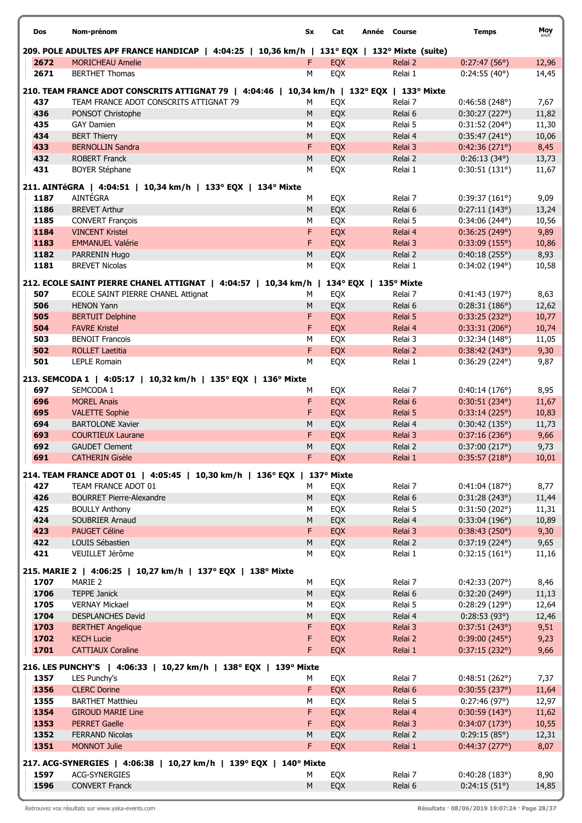| Dos  | Nom-prénom                                                                                   | Sx        | Cat        | Année Course          | <b>Temps</b>           | Moy   |
|------|----------------------------------------------------------------------------------------------|-----------|------------|-----------------------|------------------------|-------|
|      | 209. POLE ADULTES APF FRANCE HANDICAP   4:04:25   10,36 km/h   131° EQX   132° Mixte (suite) |           |            |                       |                        |       |
| 2672 | <b>MORICHEAU Amelie</b>                                                                      | F         | EQX        | Relai 2               | 0:27:47(56°)           | 12,96 |
| 2671 | <b>BERTHET Thomas</b>                                                                        | M         | EQX        | Relai 1               | 0:24:55(40°)           | 14,45 |
|      | 210. TEAM FRANCE ADOT CONSCRITS ATTIGNAT 79   4:04:46   10,34 km/h   132° EQX   133° Mixte   |           |            |                       |                        |       |
| 437  | TEAM FRANCE ADOT CONSCRITS ATTIGNAT 79                                                       | M         | EQX        | Relai 7               | 0:46:58(248°)          | 7,67  |
| 436  | PONSOT Christophe                                                                            | M         | EQX        | Relai 6               | 0:30:27(227°)          | 11,82 |
| 435  | <b>GAY Damien</b>                                                                            | M         | EQX        | Relai 5               | 0:31:52(204°)          | 11,30 |
| 434  | <b>BERT Thierry</b>                                                                          | M         | EQX        | Relai 4               | 0:35:47(241°)          | 10,06 |
| 433  | <b>BERNOLLIN Sandra</b>                                                                      | F         | EQX        | Relai 3               | 0:42:36(271°)          | 8,45  |
| 432  | <b>ROBERT Franck</b>                                                                         | M         | EQX        | Relai 2               | $0:26:13(34^{\circ})$  | 13,73 |
| 431  | <b>BOYER Stéphane</b>                                                                        | М         | EQX        | Relai 1               | 0:30:51(131°)          | 11,67 |
|      | 211. AINTéGRA   4:04:51   10,34 km/h   133° EQX   134° Mixte                                 |           |            |                       |                        |       |
| 1187 | AINTÉGRA                                                                                     | М         | EQX        | Relai 7               | 0:39:37(161°)          | 9,09  |
| 1186 | <b>BREVET Arthur</b>                                                                         | M         | EQX        | Relai 6               | 0:27:11(143°)          | 13,24 |
| 1185 | <b>CONVERT François</b>                                                                      | M         | EQX        | Relai 5               | $0:34:06(244^{\circ})$ | 10,56 |
| 1184 | <b>VINCENT Kristel</b>                                                                       | F         | <b>EQX</b> | Relai 4               | 0:36:25(249°)          | 9,89  |
| 1183 | <b>EMMANUEL Valérie</b>                                                                      | F         | EQX        | Relai 3               | 0:33:09(155°)          | 10,86 |
| 1182 | PARRENIN Hugo                                                                                | ${\sf M}$ | EQX        | Relai 2               | 0:40:18(255°)          | 8,93  |
| 1181 | <b>BREVET Nicolas</b>                                                                        | M         | EQX        | Relai 1               | $0:34:02(194^{\circ})$ | 10,58 |
|      | 212. ECOLE SAINT PIERRE CHANEL ATTIGNAT   4:04:57   10,34 km/h                               |           |            | 134° EQX   135° Mixte |                        |       |
| 507  | ECOLE SAINT PIERRE CHANEL Attignat                                                           | М         | EQX        | Relai 7               | 0:41:43(197°)          | 8,63  |
| 506  | <b>HENON Yann</b>                                                                            | M         | EQX        | Relai 6               | 0:28:31(186°)          | 12,62 |
| 505  | <b>BERTUIT Delphine</b>                                                                      | F         | <b>EQX</b> | Relai 5               | 0:33:25(232°)          | 10,77 |
| 504  | <b>FAVRE Kristel</b>                                                                         | F         | EQX        | Relai 4               | 0:33:31(206°)          | 10,74 |
| 503  | <b>BENOIT Francois</b>                                                                       | M         | EQX        | Relai 3               | 0:32:34(148°)          | 11,05 |
| 502  | <b>ROLLET Laetitia</b>                                                                       | F         | EQX        | Relai 2               | 0:38:42(243°)          | 9,30  |
| 501  | <b>LEPLE Romain</b>                                                                          | M         | EQX        | Relai 1               | $0:36:29(224^{\circ})$ | 9,87  |
|      | 213. SEMCODA 1   4:05:17   10,32 km/h   135° EQX   136° Mixte                                |           |            |                       |                        |       |
| 697  | SEMCODA 1                                                                                    | М         | EQX        | Relai 7               | 0:40:14(176°)          | 8,95  |
| 696  | <b>MOREL Anais</b>                                                                           | F         | EQX        | Relai 6               | 0:30:51(234°)          | 11,67 |
| 695  | <b>VALETTE Sophie</b>                                                                        | F         | EQX        | Relai 5               | 0:33:14(225°)          | 10,83 |
| 694  | <b>BARTOLONE Xavier</b>                                                                      | M         | EQX        | Relai 4               | 0:30:42(135°)          | 11,73 |
| 693  | <b>COURTIEUX Laurane</b>                                                                     | F         | <b>EQX</b> | Relai 3               | 0:37:16(236°)          | 9,66  |
| 692  | <b>GAUDET Clement</b>                                                                        | ${\sf M}$ | EQX        | Relai 2               | 0:37:00(217°)          | 9,73  |
| 691  | <b>CATHERIN Gisèle</b>                                                                       | F         | EQX        | Relai 1               | 0:35:57(218°)          | 10,01 |
|      | 214. TEAM FRANCE ADOT 01   4:05:45   10,30 km/h   136° EQX   137° Mixte                      |           |            |                       |                        |       |
| 427  | TEAM FRANCE ADOT 01                                                                          | М         | EQX        | Relai 7               | 0:41:04(187°)          | 8,77  |
| 426  | <b>BOURRET Pierre-Alexandre</b>                                                              | M         | EQX        | Relai 6               | 0:31:28(243°)          | 11,44 |
| 425  | <b>BOULLY Anthony</b>                                                                        | M         | EQX        | Relai 5               | 0:31:50(202°)          | 11,31 |
| 424  | SOUBRIER Arnaud                                                                              | ${\sf M}$ | EQX        | Relai 4               | 0:33:04(196°)          | 10,89 |
| 423  | PAUGET Céline                                                                                | F         | <b>EQX</b> | Relai 3               | 0:38:43(250°)          | 9,30  |
| 422  | LOUIS Sébastien                                                                              | M         | EQX        | Relai 2               | $0:37:19(224^{\circ})$ | 9,65  |
| 421  | VEUILLET Jérôme                                                                              | М         | EQX        | Relai 1               | 0:32:15(161°)          | 11,16 |
|      | 215. MARIE 2   4:06:25   10,27 km/h   137° EQX   138° Mixte                                  |           |            |                       |                        |       |
| 1707 | MARIE 2                                                                                      | М         | EQX        | Relai 7               | 0:42:33(207°)          | 8,46  |
| 1706 | <b>TEPPE Janick</b>                                                                          | M         | EQX        | Relai 6               | 0:32:20(249°)          | 11,13 |
| 1705 | <b>VERNAY Mickael</b>                                                                        | M         | EQX        | Relai 5               | 0:28:29(129°)          | 12,64 |
| 1704 | <b>DESPLANCHES David</b>                                                                     | ${\sf M}$ | EQX        | Relai 4               | 0:28:53(93°)           | 12,46 |
| 1703 | <b>BERTHET Angelique</b>                                                                     | F         | <b>EQX</b> | Relai 3               | 0:37:51(243°)          | 9,51  |
| 1702 | <b>KECH Lucie</b>                                                                            | F         | EQX        | Relai 2               | 0:39:00(245°)          | 9,23  |
| 1701 | <b>CATTIAUX Coraline</b>                                                                     | F         | EQX        | Relai 1               | 0:37:15(232°)          | 9,66  |
|      | 216. LES PUNCHY'S   4:06:33   10,27 km/h   138° EQX   139° Mixte                             |           |            |                       |                        |       |
| 1357 | LES Punchy's                                                                                 | м         | EQX        | Relai 7               | 0:48:51(262°)          | 7,37  |
| 1356 | <b>CLERC Dorine</b>                                                                          | F         | <b>EQX</b> | Relai 6               | 0:30:55(237°)          | 11,64 |
| 1355 | <b>BARTHET Matthieu</b>                                                                      | M         | EQX        | Relai 5               | 0:27:46(97°)           | 12,97 |
| 1354 | <b>GIROUD MARIE Line</b>                                                                     | F         | EQX        | Relai 4               | 0:30:59(143°)          | 11,62 |
| 1353 | <b>PERRET Gaelle</b>                                                                         | F         | EQX        | Relai 3               | 0:34:07(173°)          | 10,55 |
| 1352 | <b>FERRAND Nicolas</b>                                                                       | M         | EQX        | Relai 2               | 0:29:15(85°)           | 12,31 |
| 1351 | <b>MONNOT Julie</b>                                                                          | F         | <b>EQX</b> | Relai 1               | 0:44:37(277°)          | 8,07  |
|      | 217. ACG-SYNERGIES   4:06:38   10,27 km/h   139° EQX   140° Mixte                            |           |            |                       |                        |       |
| 1597 | <b>ACG-SYNERGIES</b>                                                                         | М         | EQX        | Relai 7               | 0:40:28(183°)          | 8,90  |
| 1596 | <b>CONVERT Franck</b>                                                                        | ${\sf M}$ | EQX        | Relai 6               | 0:24:15(51°)           | 14,85 |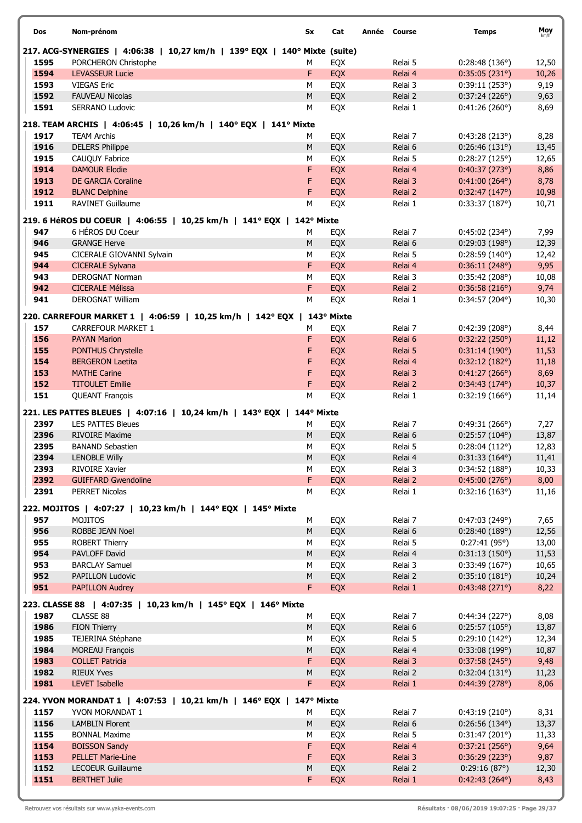| <b>Dos</b> | Nom-prénom                                                                | Sx         | Cat        | Année Course |         | <b>Temps</b>           | Moy   |
|------------|---------------------------------------------------------------------------|------------|------------|--------------|---------|------------------------|-------|
|            | 217. ACG-SYNERGIES   4:06:38   10,27 km/h   139° EQX   140° Mixte (suite) |            |            |              |         |                        |       |
| 1595       | PORCHERON Christophe                                                      | М          | EQX        |              | Relai 5 | 0:28:48(136°)          | 12,50 |
| 1594       | <b>LEVASSEUR Lucie</b>                                                    | F          | EQX        |              | Relai 4 | 0:35:05(231°)          | 10,26 |
| 1593       | <b>VIEGAS Eric</b>                                                        | M          | EQX        |              | Relai 3 | 0:39:11(253°)          | 9,19  |
| 1592       | <b>FAUVEAU Nicolas</b>                                                    | ${\sf M}$  | EQX        |              | Relai 2 | 0:37:24(226°)          | 9,63  |
| 1591       | <b>SERRANO Ludovic</b>                                                    | M          | EQX        |              | Relai 1 | 0:41:26(260°)          | 8,69  |
|            | 218. TEAM ARCHIS   4:06:45   10,26 km/h   140° EQX   141° Mixte           |            |            |              |         |                        |       |
| 1917       | <b>TEAM Archis</b>                                                        | м          | EQX        |              | Relai 7 | 0:43:28(213°)          | 8,28  |
| 1916       | <b>DELERS Philippe</b>                                                    | M          | EQX        |              | Relai 6 | 0:26:46(131°)          | 13,45 |
| 1915       | CAUQUY Fabrice                                                            | M          | EQX        |              | Relai 5 | 0:28:27(125°)          | 12,65 |
| 1914       | <b>DAMOUR Elodie</b>                                                      | F          | EQX        |              | Relai 4 | 0:40:37(273°)          | 8,86  |
| 1913       | DE GARCIA Coraline                                                        | F          | EQX        |              | Relai 3 | $0:41:00(264^{\circ})$ | 8,78  |
| 1912       | <b>BLANC Delphine</b>                                                     | F          | EQX        |              | Relai 2 | 0:32:47(147°)          | 10,98 |
| 1911       | RAVINET Guillaume                                                         | M          | EQX        |              | Relai 1 | 0:33:37(187°)          | 10,71 |
|            | 219. 6 HéROS DU COEUR   4:06:55   10,25 km/h   141° EQX   142° Mixte      |            |            |              |         |                        |       |
| 947        | 6 HÉROS DU Coeur                                                          | M          | EQX        |              | Relai 7 | $0:45:02(234^{\circ})$ | 7,99  |
| 946        | <b>GRANGE Herve</b>                                                       | ${\sf M}$  | EQX        |              | Relai 6 | 0:29:03(198°)          | 12,39 |
| 945        | CICERALE GIOVANNI Sylvain                                                 | M          | EQX        |              | Relai 5 | 0:28:59(140°)          | 12,42 |
| 944        | <b>CICERALE Sylvana</b>                                                   | F.         | EQX        |              | Relai 4 | 0:36:11(248°)          | 9,95  |
| 943        | <b>DEROGNAT Norman</b>                                                    | М          | EQX        |              | Relai 3 | 0:35:42(208°)          | 10,08 |
| 942        | <b>CICERALE Mélissa</b>                                                   | F          | EQX        |              | Relai 2 | 0:36:58(216°)          | 9,74  |
| 941        | <b>DEROGNAT William</b>                                                   | M          | EQX        |              | Relai 1 | $0:34:57(204^{\circ})$ | 10,30 |
|            | 220. CARREFOUR MARKET 1   4:06:59   10,25 km/h   142° EQX                 |            | 143° Mixte |              |         |                        |       |
| 157        | <b>CARREFOUR MARKET 1</b>                                                 | М          | EQX        |              | Relai 7 | 0:42:39(208°)          | 8,44  |
| 156        | <b>PAYAN Marion</b>                                                       | F.         | EQX        |              | Relai 6 | 0:32:22(250°)          | 11,12 |
| 155        | <b>PONTHUS Chrystelle</b>                                                 | F          | EQX        |              | Relai 5 | 0:31:14(190°)          | 11,53 |
| 154        | <b>BERGERON Laetita</b>                                                   | F          | EQX        |              | Relai 4 | 0:32:12(182°)          | 11,18 |
| 153        | <b>MATHE Carine</b>                                                       | F          | EQX        |              | Relai 3 | 0:41:27(266°)          | 8,69  |
| 152        | <b>TITOULET Emilie</b>                                                    | F          | EQX        |              | Relai 2 | $0:34:43(174^{\circ})$ | 10,37 |
| 151        | <b>QUEANT François</b>                                                    | М          | EQX        |              | Relai 1 | 0:32:19(166°)          | 11,14 |
|            |                                                                           |            |            |              |         |                        |       |
|            | 221. LES PATTES BLEUES   4:07:16   10,24 km/h   143° EQX                  | 144° Mixte |            |              |         |                        |       |
| 2397       | <b>LES PATTES Bleues</b>                                                  | М          | EQX        |              | Relai 7 | 0:49:31(266°)          | 7,27  |
| 2396       | <b>RIVOIRE Maxime</b>                                                     | M          | EQX        |              | Relai 6 | $0:25:57(104^{\circ})$ | 13,87 |
| 2395       | <b>BANAND Sebastien</b>                                                   | М          | EQX        |              | Relai 5 | 0:28:04(112°)          | 12,83 |
| 2394       | <b>LENOBLE Willy</b>                                                      | M          | EQX        |              | Relai 4 | $0:31:33(164^{\circ})$ | 11,41 |
| 2393       | RIVOIRE Xavier                                                            | М          | EQX        |              | Relai 3 | 0:34:52(188°)          | 10,33 |
| 2392       | <b>GUIFFARD Gwendoline</b>                                                | F.         | EQX        |              | Relai 2 | 0:45:00(276°)          | 8,00  |
| 2391       | PERRET Nicolas                                                            | M          | EQX        |              | Relai 1 | 0:32:16(163°)          | 11,16 |
|            | 222. MOJITOS   4:07:27   10,23 km/h   144° EQX   145° Mixte               |            |            |              |         |                        |       |
| 957        | MOJITOS                                                                   | М          | EQX        |              | Relai 7 | 0:47:03(249°)          | 7,65  |
| 956        | ROBBE JEAN Noel                                                           | M          | EQX        |              | Relai 6 | 0:28:40(189°)          | 12,56 |
| 955        | ROBERT Thierry                                                            | М          | EQX        |              | Relai 5 | 0:27:41(95°)           | 13,00 |
| 954        | PAVLOFF David                                                             | ${\sf M}$  | EQX        |              | Relai 4 | 0:31:13(150°)          | 11,53 |
| 953        | <b>BARCLAY Samuel</b>                                                     | М          | EQX        |              | Relai 3 | 0:33:49(167°)          | 10,65 |
| 952        | PAPILLON Ludovic                                                          | M          | EQX        |              | Relai 2 | 0:35:10(181°)          | 10,24 |
| 951        | <b>PAPILLON Audrey</b>                                                    | F.         | EQX        |              | Relai 1 | 0:43:48(271°)          | 8,22  |
|            | 223. CLASSE 88   4:07:35   10,23 km/h   145° EQX   146° Mixte             |            |            |              |         |                        |       |
| 1987       | CLASSE 88                                                                 | м          | EQX        |              | Relai 7 | 0:44:34(227°)          | 8,08  |
| 1986       | FION Thierry                                                              | M          | EQX        |              | Relai 6 | 0:25:57(105°)          | 13,87 |
| 1985       | TEJERINA Stéphane                                                         | М          | EQX        |              | Relai 5 | 0:29:10(142°)          | 12,34 |
| 1984       | <b>MOREAU François</b>                                                    | M          | EQX        |              | Relai 4 | 0:33:08(199°)          | 10,87 |
| 1983       | <b>COLLET Patricia</b>                                                    | F          | EQX        |              | Relai 3 | 0:37:58(245°)          | 9,48  |
| 1982       | <b>RIEUX Yves</b>                                                         | М          | EQX        |              | Relai 2 | 0:32:04(131°)          | 11,23 |
| 1981       | LEVET Isabelle                                                            | F.         | EQX        |              | Relai 1 | 0:44:39(278°)          | 8,06  |
|            | 224. YVON MORANDAT 1   4:07:53   10,21 km/h   146° EQX   147° Mixte       |            |            |              |         |                        |       |
| 1157       | YVON MORANDAT 1                                                           | М          | EQX        |              | Relai 7 | 0:43:19(210°)          | 8,31  |
| 1156       | <b>LAMBLIN Florent</b>                                                    | M          | EQX        |              | Relai 6 | 0:26:56(134°)          | 13,37 |
| 1155       | <b>BONNAL Maxime</b>                                                      | М          | EQX        |              | Relai 5 | 0:31:47(201°)          | 11,33 |
| 1154       | <b>BOISSON Sandy</b>                                                      | F          | EQX        |              | Relai 4 | 0:37:21(256°)          | 9,64  |
| 1153       | <b>PELLET Marie-Line</b>                                                  | F          | EQX        |              | Relai 3 | 0:36:29(223°)          | 9,87  |
| 1152       | LECOEUR Guillaume                                                         | М          | EQX        |              | Relai 2 | 0:29:16(87°)           | 12,30 |
| 1151       | <b>BERTHET Julie</b>                                                      | F          | <b>EQX</b> |              | Relai 1 | $0:42:43(264^{\circ})$ | 8,43  |
|            |                                                                           |            |            |              |         |                        |       |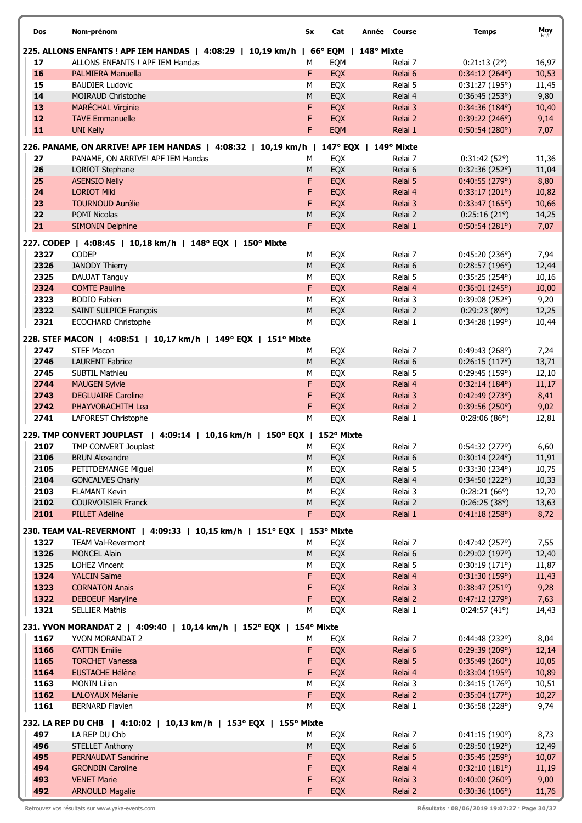| Dos  | Nom-prénom                                                                         | Sx        | Cat        |                       | Année Course | <b>Temps</b>           | Moy   |
|------|------------------------------------------------------------------------------------|-----------|------------|-----------------------|--------------|------------------------|-------|
|      | 225. ALLONS ENFANTS ! APF IEM HANDAS   4:08:29   10,19 km/h   66° EQM   148° Mixte |           |            |                       |              |                        |       |
| 17   | ALLONS ENFANTS ! APF IEM Handas                                                    | М         | EQM        |                       | Relai 7      | 0:21:13(2°)            | 16,97 |
| 16   | <b>PALMIERA Manuella</b>                                                           | F         | EQX        |                       | Relai 6      | $0:34:12(264^{\circ})$ | 10,53 |
| 15   | <b>BAUDIER Ludovic</b>                                                             | M         | EQX        |                       | Relai 5      | 0:31:27(195°)          | 11,45 |
| 14   | MOIRAUD Christophe                                                                 | М         | EQX        |                       | Relai 4      | 0:36:45(253°)          | 9,80  |
| 13   | MARÉCHAL Virginie                                                                  | F         | EQX        |                       | Relai 3      | $0:34:36(184^{\circ})$ | 10,40 |
| 12   | <b>TAVE Emmanuelle</b>                                                             | F         | EQX        |                       | Relai 2      | 0:39:22(246°)          | 9,14  |
| 11   | <b>UNI Kelly</b>                                                                   | F         | EQM        |                       | Relai 1      | 0:50:54(280°)          | 7,07  |
|      | 226. PANAME, ON ARRIVE! APF IEM HANDAS   4:08:32   10,19 km/h                      |           |            | 147° EQX   149° Mixte |              |                        |       |
| 27   | PANAME, ON ARRIVE! APF IEM Handas                                                  | М         | EQX        |                       | Relai 7      | 0:31:42(52°)           | 11,36 |
| 26   | <b>LORIOT Stephane</b>                                                             | M         | EQX        |                       | Relai 6      | 0:32:36(252°)          | 11,04 |
| 25   | <b>ASENSIO Nelly</b>                                                               | F         | EQX        |                       | Relai 5      | 0:40:55(279°)          | 8,80  |
| 24   | <b>LORIOT Miki</b>                                                                 | F         | EQX        |                       | Relai 4      | 0:33:17(201°)          | 10,82 |
| 23   | <b>TOURNOUD Aurélie</b>                                                            | F         | EQX        |                       | Relai 3      | 0:33:47(165°)          | 10,66 |
| 22   | <b>POMI Nicolas</b>                                                                | M         | EQX        |                       | Relai 2      | 0:25:16(21°)           | 14,25 |
| 21   | <b>SIMONIN Delphine</b>                                                            | F         | EQX        |                       | Relai 1      | 0:50:54(281°)          | 7,07  |
|      |                                                                                    |           |            |                       |              |                        |       |
|      | 227. CODEP   4:08:45   10,18 km/h   148° EQX   150° Mixte                          |           |            |                       |              |                        |       |
| 2327 | <b>CODEP</b>                                                                       | М         | EQX        |                       | Relai 7      | 0:45:20(236°)          | 7,94  |
| 2326 | <b>JANODY Thierry</b>                                                              | M         | EQX        |                       | Relai 6      | 0:28:57(196°)          | 12,44 |
| 2325 | DAUJAT Tanguy                                                                      | M         | EQX        |                       | Relai 5      | 0:35:25(254°)          | 10,16 |
| 2324 | <b>COMTE Pauline</b>                                                               | F         | EQX        |                       | Relai 4      | 0:36:01(245°)          | 10,00 |
| 2323 | <b>BODIO Fabien</b>                                                                | M         | EQX        |                       | Relai 3      | 0:39:08(252°)          | 9,20  |
| 2322 | SAINT SULPICE François                                                             | ${\sf M}$ | EQX        |                       | Relai 2      | 0:29:23(89°)           | 12,25 |
| 2321 | <b>ECOCHARD Christophe</b>                                                         | M         | EQX        |                       | Relai 1      | 0:34:28(199°)          | 10,44 |
|      | 228. STEF MACON   4:08:51   10,17 km/h   149° EQX   151° Mixte                     |           |            |                       |              |                        |       |
| 2747 | <b>STEF Macon</b>                                                                  | м         | EQX        |                       | Relai 7      | 0:49:43(268°)          | 7,24  |
| 2746 | <b>LAURENT Fabrice</b>                                                             | M         | EQX        |                       | Relai 6      | 0:26:15(117°)          | 13,71 |
| 2745 | <b>SUBTIL Mathieu</b>                                                              | M         | EQX        |                       | Relai 5      | 0:29:45(159°)          | 12,10 |
| 2744 | <b>MAUGEN Sylvie</b>                                                               | F         | EQX        |                       | Relai 4      | $0:32:14(184^{\circ})$ | 11,17 |
| 2743 | <b>DEGLUAIRE Caroline</b>                                                          | F         | EQX        |                       | Relai 3      | 0:42:49(273°)          | 8,41  |
| 2742 | PHAYVORACHITH Lea                                                                  | F         | EQX        |                       | Relai 2      | 0:39:56(250°)          | 9,02  |
| 2741 | LAFOREST Christophe                                                                | M         | EQX        |                       | Relai 1      | 0:28:06(86°)           | 12,81 |
|      | 229. TMP CONVERT JOUPLAST   4:09:14   10,16 km/h   150° EQX   152° Mixte           |           |            |                       |              |                        |       |
| 2107 | TMP CONVERT Jouplast                                                               | М         | EQX        |                       | Relai 7      | 0:54:32(277°)          | 6,60  |
| 2106 | <b>BRUN Alexandre</b>                                                              | ${\sf M}$ | EQX        |                       | Relai 6      | 0:30:14(224°)          | 11,91 |
| 2105 | PETITDEMANGE Miguel                                                                | М         | EQX        |                       | Relai 5      | $0:33:30(234^{\circ})$ | 10,75 |
| 2104 | <b>GONCALVES Charly</b>                                                            | ${\sf M}$ | EQX        |                       | Relai 4      | 0:34:50(222°)          | 10,33 |
| 2103 | <b>FLAMANT Kevin</b>                                                               | М         | EQX        |                       | Relai 3      | 0:28:21(66°)           | 12,70 |
| 2102 | <b>COURVOISIER Franck</b>                                                          | M         | EQX        |                       | Relai 2      | 0:26:25(38°)           | 13,63 |
| 2101 | <b>PILLET Adeline</b>                                                              | F.        | EQX        |                       | Relai 1      | 0:41:18(258°)          | 8,72  |
|      |                                                                                    |           |            |                       |              |                        |       |
|      | 230. TEAM VAL-REVERMONT   4:09:33   10,15 km/h   151° EQX   153° Mixte             |           |            |                       |              |                        |       |
| 1327 | <b>TEAM Val-Revermont</b>                                                          | м         | EQX        |                       | Relai 7      | 0:47:42(257°)          | 7,55  |
| 1326 | <b>MONCEL Alain</b>                                                                | M         | EQX        |                       | Relai 6      | 0:29:02(197°)          | 12,40 |
| 1325 | LOHEZ Vincent                                                                      | М         | EQX        |                       | Relai 5      | 0:30:19(171°)          | 11,87 |
| 1324 | <b>YALCIN Saime</b>                                                                | F         | EQX        |                       | Relai 4      | 0:31:30(159°)          | 11,43 |
| 1323 | <b>CORNATON Anais</b>                                                              | F         | EQX        |                       | Relai 3      | 0:38:47(251°)          | 9,28  |
| 1322 | <b>DEBOEUF Maryline</b>                                                            | F         | <b>EQX</b> |                       | Relai 2      | 0:47:12(279°)          | 7,63  |
| 1321 | <b>SELLIER Mathis</b>                                                              | M         | EQX        |                       | Relai 1      | 0:24:57(41°)           | 14,43 |
|      | 231. YVON MORANDAT 2   4:09:40   10,14 km/h   152° EQX   154° Mixte                |           |            |                       |              |                        |       |
| 1167 | YVON MORANDAT 2                                                                    | м         | EQX        |                       | Relai 7      | 0:44:48 (232°)         | 8,04  |
| 1166 | <b>CATTIN Emilie</b>                                                               | F         | EQX        |                       | Relai 6      | 0:29:39(209°)          | 12,14 |
| 1165 | <b>TORCHET Vanessa</b>                                                             | F         | EQX        |                       | Relai 5      | 0:35:49(260°)          | 10,05 |
| 1164 | <b>EUSTACHE Hélène</b>                                                             | F         | EQX        |                       | Relai 4      | 0:33:04(195°)          | 10,89 |
| 1163 | <b>MONIN Lilian</b>                                                                | М         | EQX        |                       | Relai 3      | 0:34:15(176°)          | 10,51 |
| 1162 | LALOYAUX Mélanie                                                                   | F         | <b>EQX</b> |                       | Relai 2      | 0:35:04(177°)          | 10,27 |
| 1161 | <b>BERNARD Flavien</b>                                                             | М         | EQX        |                       | Relai 1      | 0:36:58(228°)          | 9,74  |
|      | 232. LA REP DU CHB   4:10:02   10,13 km/h   153° EQX   155° Mixte                  |           |            |                       |              |                        |       |
| 497  | LA REP DU Chb                                                                      | М         | EQX        |                       | Relai 7      | 0:41:15(190°)          | 8,73  |
| 496  | <b>STELLET Anthony</b>                                                             | M         | EQX        |                       | Relai 6      | 0:28:50(192°)          | 12,49 |
| 495  | <b>PERNAUDAT Sandrine</b>                                                          | F         | EQX        |                       | Relai 5      | 0:35:45(259°)          | 10,07 |
| 494  | <b>GRONDIN Caroline</b>                                                            | F         | EQX        |                       | Relai 4      | 0:32:10(181°)          | 11,19 |
| 493  | <b>VENET Marie</b>                                                                 | F         | EQX        |                       | Relai 3      | $0:40:00(260^{\circ})$ | 9,00  |
| 492  | <b>ARNOULD Magalie</b>                                                             | F.        | EQX        |                       | Relai 2      | 0:30:36(106°)          | 11,76 |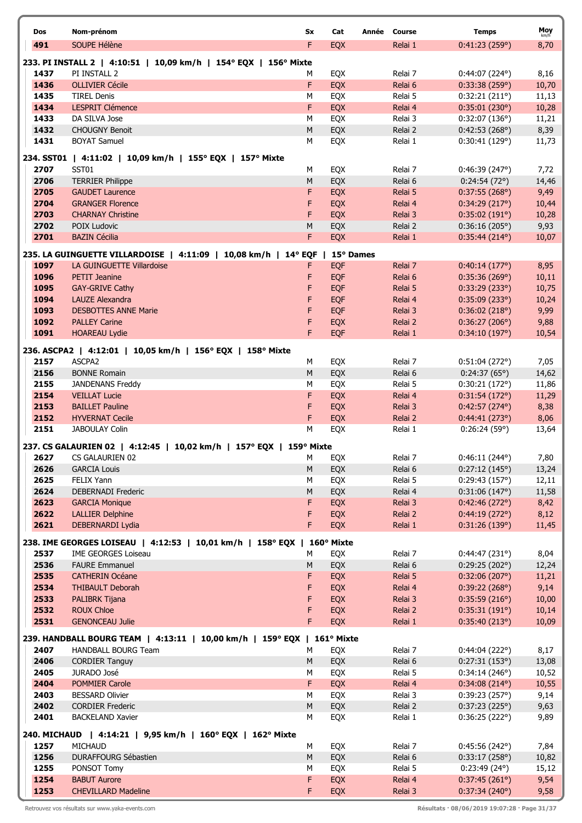| Dos          | Nom-prénom                                                                       | Sx         | Cat               | Année Course       | <b>Temps</b>                            | Moy           |
|--------------|----------------------------------------------------------------------------------|------------|-------------------|--------------------|-----------------------------------------|---------------|
| 491          | SOUPE Hélène                                                                     | F          | <b>EQX</b>        | Relai 1            | 0:41:23(259°)                           | km/h<br>8,70  |
|              |                                                                                  |            |                   |                    |                                         |               |
| 1437         | 233. PI INSTALL 2   4:10:51   10,09 km/h   154° EQX   156° Mixte<br>PI INSTALL 2 | м          | EQX               | Relai 7            |                                         | 8,16          |
| 1436         | <b>OLLIVIER Cécile</b>                                                           | F          | EQX               | Relai 6            | $0:44:07(224^{\circ})$<br>0:33:38(259°) | 10,70         |
| 1435         | <b>TIREL Denis</b>                                                               | М          | EQX               | Relai 5            | 0:32:21(211°)                           | 11,13         |
| 1434         | <b>LESPRIT Clémence</b>                                                          | F          | EQX               | Relai 4            | 0:35:01(230°)                           | 10,28         |
| 1433         | DA SILVA Jose                                                                    | М          | EQX               | Relai 3            | 0:32:07(136°)                           | 11,21         |
| 1432         | <b>CHOUGNY Benoit</b>                                                            | ${\sf M}$  | EQX               | Relai 2            | 0:42:53(268°)                           | 8,39          |
| 1431         | <b>BOYAT Samuel</b>                                                              | М          | EQX               | Relai 1            | 0:30:41(129°)                           | 11,73         |
|              | 234. SST01   4:11:02   10,09 km/h   155° EQX   157° Mixte                        |            |                   |                    |                                         |               |
| 2707         | SST01                                                                            | М          | EQX               | Relai 7            | 0:46:39(247°)                           | 7,72          |
| 2706         | <b>TERRIER Philippe</b>                                                          | M          | EQX               | Relai 6            | 0:24:54(72°)                            | 14,46         |
| 2705         | <b>GAUDET Laurence</b>                                                           | F          | EQX               | Relai 5            | 0:37:55(268°)                           | 9,49          |
| 2704         | <b>GRANGER Florence</b>                                                          | F          | EQX               | Relai 4            | 0:34:29(217°)                           | 10,44         |
| 2703         | <b>CHARNAY Christine</b>                                                         | F          | EQX               | Relai 3            | 0:35:02(191°)                           | 10,28         |
| 2702         | POIX Ludovic                                                                     | M          | EQX               | Relai 2            | 0:36:16(205°)                           | 9,93          |
| 2701         | <b>BAZIN Cécilia</b>                                                             | F          | EQX               | Relai 1            | $0:35:44(214^{\circ})$                  | 10,07         |
|              | 235. LA GUINGUETTE VILLARDOISE   4:11:09   10,08 km/h   14° EQF                  |            | 15° Dames         |                    |                                         |               |
| 1097         | LA GUINGUETTE Villardoise                                                        | F          | <b>EQF</b>        | Relai 7            | 0:40:14(177°)                           | 8,95          |
| 1096         | <b>PETIT Jeanine</b>                                                             | F          | <b>EQF</b>        | Relai 6            | 0:35:36(269°)                           | 10,11         |
| 1095         | <b>GAY-GRIVE Cathy</b>                                                           | F          | <b>EQF</b>        | Relai 5            | 0:33:29(233°)                           | 10,75         |
| 1094         | LAUZE Alexandra                                                                  | F          | <b>EQF</b>        | Relai 4            | 0:35:09(233)                            | 10,24         |
| 1093         | <b>DESBOTTES ANNE Marie</b>                                                      | F          | <b>EQF</b>        | Relai 3            | 0:36:02(218°)                           | 9,99          |
| 1092         | <b>PALLEY Carine</b>                                                             | F          | EQX               | Relai 2            | 0:36:27(206°)                           | 9,88          |
| 1091         | <b>HOAREAU Lydie</b>                                                             | F          | EQF               | Relai 1            | 0:34:10(197°)                           | 10,54         |
|              | 236. ASCPA2   4:12:01   10,05 km/h   156° EQX   158° Mixte                       |            |                   |                    |                                         |               |
| 2157         | ASCPA2                                                                           | М          | EQX               | Relai 7            | 0:51:04(272°)                           | 7,05          |
| 2156         | <b>BONNE Romain</b>                                                              | ${\sf M}$  | EQX               | Relai 6            | 0:24:37(65°)                            | 14,62         |
| 2155         | <b>JANDENANS Freddy</b>                                                          | М          | EQX               | Relai 5            | 0:30:21(172°)                           | 11,86         |
| 2154         | <b>VEILLAT Lucie</b>                                                             | F          | EQX               | Relai 4            | 0:31:54(172°)                           | 11,29         |
| 2153         | <b>BAILLET Pauline</b>                                                           | F          | EQX               | Relai 3            | 0:42:57(274°)                           | 8,38          |
| 2152         | <b>HYVERNAT Cecile</b><br><b>JABOULAY Colin</b>                                  | F          | <b>EQX</b>        | Relai 2            | 0:44:41(273°)                           | 8,06          |
| 2151         |                                                                                  | M          | EQX               | Relai 1            | 0:26:24(59°)                            | 13,64         |
|              | 237. CS GALAURIEN 02   4:12:45   10,02 km/h   157° EQX                           | 159° Mixte |                   |                    |                                         |               |
| 2627         | CS GALAURIEN 02                                                                  | M          | EQX               | Relai 7            | 0:46:11(244°)                           | 7,80          |
| 2626         | <b>GARCIA Louis</b>                                                              | M          | EQX               | Relai 6            | 0:27:12(145°)                           | 13,24         |
| 2625<br>2624 | FELIX Yann                                                                       | M<br>M     | EQX               | Relai 5            | 0:29:43(157°)                           | 12,11         |
| 2623         | <b>DEBERNADI Frederic</b><br><b>GARCIA Monique</b>                               | F          | EQX<br><b>EQX</b> | Relai 4<br>Relai 3 | 0:31:06(147°)<br>0:42:46(272°)          | 11,58<br>8,42 |
| 2622         | <b>LALLIER Delphine</b>                                                          | F          | EQX               | Relai 2            | 0:44:19(272°)                           | 8,12          |
| 2621         | DEBERNARDI Lydia                                                                 | F.         | EQX               | Relai 1            | 0:31:26(139°)                           | 11,45         |
|              |                                                                                  |            |                   |                    |                                         |               |
|              | 238. IME GEORGES LOISEAU   4:12:53   10,01 km/h   158° EQX   160° Mixte          |            |                   |                    |                                         |               |
| 2537<br>2536 | <b>IME GEORGES Loiseau</b><br><b>FAURE Emmanuel</b>                              | м<br>M     | EQX<br>EQX        | Relai 7<br>Relai 6 | 0:44:47(231°)<br>0:29:25(202°)          | 8,04<br>12,24 |
| 2535         | <b>CATHERIN Océane</b>                                                           | F          | <b>EQX</b>        | Relai 5            | 0:32:06(207°)                           | 11,21         |
| 2534         | <b>THIBAULT Deborah</b>                                                          | F          | <b>EQX</b>        | Relai 4            | 0:39:22(268°)                           | 9,14          |
| 2533         | PALIBRK Tijana                                                                   | F          | <b>EQX</b>        | Relai 3            | 0:35:59(216°)                           | 10,00         |
| 2532         | <b>ROUX Chloe</b>                                                                | F          | EQX               | Relai 2            | 0:35:31(191°)                           | 10,14         |
| 2531         | <b>GENONCEAU Julie</b>                                                           | F.         | EQX               | Relai 1            | 0:35:40(213°)                           | 10,09         |
|              | 239. HANDBALL BOURG TEAM   4:13:11   10,00 km/h   159° EQX   161° Mixte          |            |                   |                    |                                         |               |
| 2407         | <b>HANDBALL BOURG Team</b>                                                       | м          | EQX               | Relai 7            | 0:44:04(222°)                           | 8,17          |
| 2406         | <b>CORDIER Tanguy</b>                                                            | M          | EQX               | Relai 6            | 0:27:31(153°)                           | 13,08         |
| 2405         | JURADO José                                                                      | М          | EQX               | Relai 5            | 0:34:14(246°)                           | 10,52         |
| 2404         | POMMIER Carole                                                                   | F.         | EQX               | Relai 4            | $0:34:08(214^{\circ})$                  | 10,55         |
| 2403         | <b>BESSARD Olivier</b>                                                           | М          | EQX               | Relai 3            | 0:39:23(257°)                           | 9,14          |
| 2402         | <b>CORDIER Frederic</b>                                                          | M          | EQX               | Relai 2            | 0:37:23(225°)                           | 9,63          |
| 2401         | <b>BACKELAND Xavier</b>                                                          | м          | EQX               | Relai 1            | 0:36:25(222°)                           | 9,89          |
|              | 240. MICHAUD   4:14:21   9,95 km/h   160° EQX   162° Mixte                       |            |                   |                    |                                         |               |
| 1257         | MICHAUD                                                                          | М          | EQX               | Relai 7            | 0:45:56(242°)                           | 7,84          |
| 1256         | DURAFFOURG Sébastien                                                             | M          | EQX               | Relai 6            | 0:33:17(258°)                           | 10,82         |
| 1255         | PONSOT Tomy                                                                      | М          | EQX               | Relai 5            | 0:23:49(24)                             | 15,12         |
| 1254         | <b>BABUT Aurore</b>                                                              | F          | EQX               | Relai 4            | 0:37:45(261°)                           | 9,54          |
| 1253         | <b>CHEVILLARD Madeline</b>                                                       | F          | <b>EQX</b>        | Relai 3            | 0:37:34(240°)                           | 9,58          |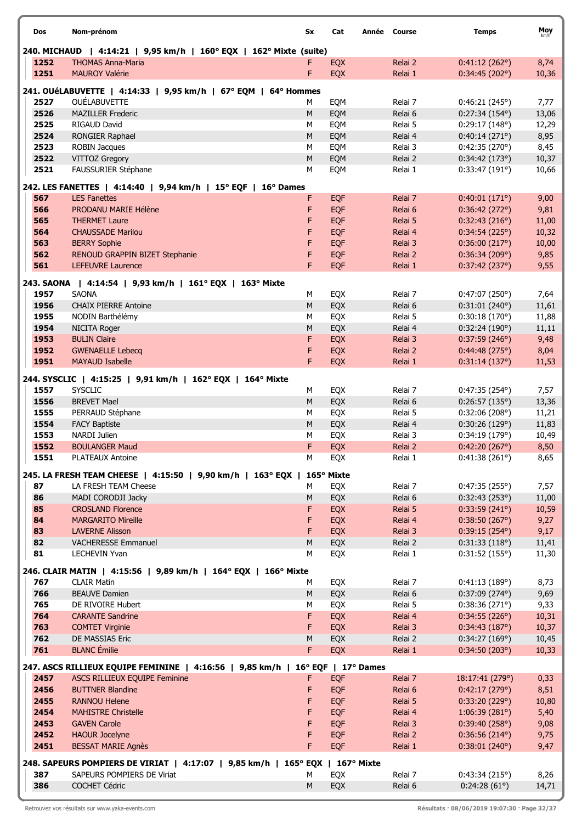| Dos          | Nom-prénom                                                                     | Sx        | Cat        | Année Course |                    | <b>Temps</b>                   | Moy           |
|--------------|--------------------------------------------------------------------------------|-----------|------------|--------------|--------------------|--------------------------------|---------------|
|              | 240. MICHAUD   4:14:21   9,95 km/h   160° EQX   162° Mixte (suite)             |           |            |              |                    |                                |               |
| 1252         | <b>THOMAS Anna-Maria</b>                                                       |           | EQX        |              | Relai 2            | 0:41:12(262°)                  | 8,74          |
| 1251         | <b>MAUROY Valérie</b>                                                          | F         | EQX        |              | Relai 1            | 0:34:45(202°)                  | 10,36         |
|              | 241. OUéLABUVETTE   4:14:33   9,95 km/h   67° EQM   64° Hommes                 |           |            |              |                    |                                |               |
| 2527         | OUÉLABUVETTE                                                                   | М         | EQM        |              | Relai 7            | 0:46:21(245°)                  | 7,77          |
| 2526         | <b>MAZILLER Frederic</b>                                                       | M         | EQM        |              | Relai 6            | $0:27:34(154^{\circ})$         | 13,06         |
| 2525         | <b>RIGAUD David</b>                                                            | М         | EQM        |              | Relai 5            | 0:29:17(148°)                  | 12,29         |
| 2524         | RONGIER Raphael                                                                | M         | EQM        |              | Relai 4            | 0:40:14(271°)                  | 8,95          |
| 2523         | ROBIN Jacques                                                                  | м         | EQM        |              | Relai 3            | 0:42:35(270°)                  | 8,45          |
| 2522         | VITTOZ Gregory                                                                 | M         | EQM        |              | Relai 2            | 0:34:42(173°)                  | 10,37         |
| 2521         | FAUSSURIER Stéphane                                                            | M         | EQM        |              | Relai 1            | 0:33:47(191°)                  | 10,66         |
|              | 242. LES FANETTES   4:14:40   9,94 km/h   15° EQF   16° Dames                  |           |            |              |                    |                                |               |
| 567          | <b>LES Fanettes</b>                                                            | F         | <b>EQF</b> |              | Relai 7            | 0:40:01(171°)                  | 9,00          |
| 566          | PRODANU MARIE Hélène                                                           | F         | <b>EQF</b> |              | Relai 6            | 0:36:42(272°)                  | 9,81          |
| 565          | <b>THERMET Laure</b>                                                           | F         | <b>EQF</b> |              | Relai 5            | 0:32:43(216°)                  | 11,00         |
| 564          | <b>CHAUSSADE Marilou</b>                                                       | F         | <b>EQF</b> |              | Relai 4            | 0:34:54(225°)                  | 10,32         |
| 563          | <b>BERRY Sophie</b>                                                            | F<br>F    | EQF        |              | Relai 3            | 0:36:00(217°)                  | 10,00         |
| 562<br>561   | RENOUD GRAPPIN BIZET Stephanie<br><b>LEFEUVRE Laurence</b>                     | F         | EQF<br>EQF |              | Relai 2<br>Relai 1 | 0:36:34(209°)<br>0:37:42(237°) | 9,85<br>9,55  |
|              |                                                                                |           |            |              |                    |                                |               |
|              | 243. SAONA   4:14:54   9,93 km/h   161° EQX   163° Mixte                       |           |            |              |                    |                                |               |
| 1957         | <b>SAONA</b>                                                                   | М         | EQX        |              | Relai 7            | 0:47:07(250°)                  | 7,64          |
| 1956         | <b>CHAIX PIERRE Antoine</b>                                                    | M         | EQX        |              | Relai 6            | 0:31:01(240°)                  | 11,61         |
| 1955<br>1954 | NODIN Barthélémy                                                               | М<br>M    | EQX        |              | Relai 5            | 0:30:18(170°)                  | 11,88         |
| 1953         | NICITA Roger<br><b>BULIN Claire</b>                                            | F         | EQX<br>EQX |              | Relai 4<br>Relai 3 | 0:32:24(190°)<br>0:37:59(246°) | 11,11<br>9,48 |
| 1952         | <b>GWENAELLE Lebecq</b>                                                        | F         | EQX        |              | Relai 2            | 0:44:48(275°)                  | 8,04          |
| 1951         | <b>MAYAUD Isabelle</b>                                                         | F         | EQX        |              | Relai 1            | 0:31:14(137°)                  | 11,53         |
|              |                                                                                |           |            |              |                    |                                |               |
| 1557         | 244. SYSCLIC   4:15:25   9,91 km/h   162° EQX   164° Mixte<br><b>SYSCLIC</b>   |           |            |              |                    |                                |               |
| 1556         | <b>BREVET Mael</b>                                                             | М<br>M    | EQX<br>EQX |              | Relai 7            | $0:47:35(254^{\circ})$         | 7,57<br>13,36 |
| 1555         | PERRAUD Stéphane                                                               | М         | EQX        |              | Relai 6<br>Relai 5 | 0:26:57(135°)<br>0:32:06(208°) | 11,21         |
| 1554         | <b>FACY Baptiste</b>                                                           | M         | EQX        |              | Relai 4            | 0:30:26(129°)                  | 11,83         |
| 1553         | NARDI Julien                                                                   | М         | EQX        |              | Relai 3            | 0:34:19(179°)                  | 10,49         |
| 1552         | <b>BOULANGER Maud</b>                                                          | F         | EQX        |              | Relai 2            | 0:42:20(267°)                  | 8,50          |
| 1551         | <b>PLATEAUX Antoine</b>                                                        | М         | EQX        |              | Relai 1            | 0:41:38(261°)                  | 8,65          |
|              | 245. LA FRESH TEAM CHEESE   4:15:50   9,90 km/h   163° EQX   165° Mixte        |           |            |              |                    |                                |               |
| 87           | LA FRESH TEAM Cheese                                                           | м         | EQX        |              | Relai 7            | 0:47:35(255°)                  | 7,57          |
| 86           | MADI CORODJI Jacky                                                             | M         | EQX        |              | Relai 6            | 0:32:43(253°)                  | 11,00         |
| 85           | <b>CROSLAND Florence</b>                                                       | F         | EQX        |              | Relai 5            | 0:33:59(241°)                  | 10,59         |
| 84           | <b>MARGARITO Mireille</b>                                                      | F         | EQX        |              | Relai 4            | 0:38:50(267°)                  | 9,27          |
| 83           | <b>LAVERNE Alisson</b>                                                         | F         | EQX        |              | Relai 3            | 0:39:15(254°)                  | 9,17          |
| 82           | <b>VACHERESSE Emmanuel</b>                                                     | M         | EQX        |              | Relai 2            | 0:31:33(118°)                  | 11,41         |
| 81           | <b>LECHEVIN Yvan</b>                                                           | M         | EQX        |              | Relai 1            | 0:31:52(155°)                  | 11,30         |
|              | 246. CLAIR MATIN   4:15:56   9,89 km/h   164° EQX   166° Mixte                 |           |            |              |                    |                                |               |
| 767          | <b>CLAIR Matin</b>                                                             | М         | EQX        |              | Relai 7            | 0:41:13(189°)                  | 8,73          |
| 766          | <b>BEAUVE Damien</b>                                                           | M         | EQX        |              | Relai 6            | 0:37:09(274°)                  | 9,69          |
| 765          | DE RIVOIRE Hubert                                                              | М         | EQX        |              | Relai 5            | 0:38:36(271°)                  | 9,33          |
| 764          | <b>CARANTE Sandrine</b>                                                        | F         | EQX        |              | Relai 4            | 0:34:55(226°)                  | 10,31         |
| 763          | <b>COMTET Virginie</b>                                                         | F         | EQX        |              | Relai 3            | 0:34:43(187°)                  | 10,37         |
| 762          | DE MASSIAS Eric                                                                | M         | EQX        |              | Relai 2            | 0:34:27(169°)                  | 10,45         |
| 761          | <b>BLANC</b> Émilie                                                            | F         | EQX        |              | Relai 1            | 0:34:50(203°)                  | 10,33         |
|              | 247. ASCS RILLIEUX EQUIPE FEMININE   4:16:56   9,85 km/h   16° EQF   17° Dames |           |            |              |                    |                                |               |
| 2457         | ASCS RILLIEUX EQUIPE Feminine                                                  | F         | <b>EQF</b> |              | Relai 7            | 18:17:41 (279°)                | 0,33          |
| 2456         | <b>BUTTNER Blandine</b>                                                        | F         | <b>EQF</b> |              | Relai 6            | 0:42:17(279°)                  | 8,51          |
| 2455         | <b>RANNOU Helene</b>                                                           | F         | <b>EQF</b> |              | Relai 5            | 0:33:20(229°)                  | 10,80         |
| 2454         | <b>MAHISTRE Christelle</b>                                                     | F         | EQF        |              | Relai 4            | 1:06:39(281°)                  | 5,40          |
| 2453         | <b>GAVEN Carole</b>                                                            | F         | EQF        |              | Relai 3            | 0:39:40(258°)                  | 9,08          |
| 2452         | <b>HAOUR Jocelyne</b>                                                          | F         | EQF        |              | Relai 2            | 0:36:56(214°)                  | 9,75          |
| 2451         | <b>BESSAT MARIE Agnès</b>                                                      | F         | EQF        |              | Relai 1            | 0:38:01(240°)                  | 9,47          |
|              | 248. SAPEURS POMPIERS DE VIRIAT   4:17:07   9,85 km/h   165° EQX   167° Mixte  |           |            |              |                    |                                |               |
| 387          | SAPEURS POMPIERS DE Viriat                                                     | М         | EQX        |              | Relai 7            | 0:43:34(215°)                  | 8,26          |
| 386          | COCHET Cédric                                                                  | ${\sf M}$ | EQX        |              | Relai 6            | 0:24:28(61°)                   | 14,71         |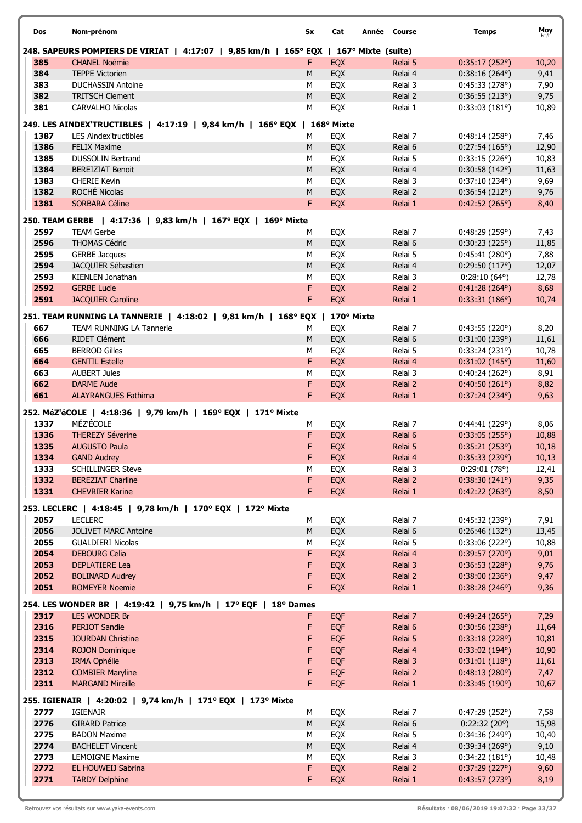| Dos          | Nom-prénom                                                                            | Sx        | Cat        | Année Course       | <b>Temps</b>                    | Moy<br>km/h   |
|--------------|---------------------------------------------------------------------------------------|-----------|------------|--------------------|---------------------------------|---------------|
|              | 248. SAPEURS POMPIERS DE VIRIAT   4:17:07   9,85 km/h   165° EQX   167° Mixte (suite) |           |            |                    |                                 |               |
| 385          | <b>CHANEL Noémie</b>                                                                  | F.        | <b>EQX</b> | Relai 5            | 0:35:17(252°)                   | 10,20         |
| 384          | <b>TEPPE Victorien</b>                                                                | M         | EQX        | Relai 4            | $0:38:16(264^{\circ})$          | 9,41          |
| 383          | <b>DUCHASSIN Antoine</b>                                                              | М         | EQX        | Relai 3            | 0:45:33(278°)                   | 7,90          |
| 382          | <b>TRITSCH Clement</b>                                                                | M         | EQX        | Relai 2            | 0:36:55(213°)                   | 9,75          |
| 381          | <b>CARVALHO Nicolas</b>                                                               | M         | EQX        | Relai 1            | 0:33:03(181°)                   | 10,89         |
|              | 249. LES AINDEX'TRUCTIBLES   4:17:19   9,84 km/h   166° EQX   168° Mixte              |           |            |                    |                                 |               |
| 1387         | <b>LES Aindex'tructibles</b>                                                          | М         | EQX        | Relai 7            | 0:48:14(258°)                   | 7,46          |
| 1386         | <b>FELIX Maxime</b>                                                                   | M         | EQX        | Relai 6            | 0:27:54(165°)                   | 12,90         |
| 1385         | <b>DUSSOLIN Bertrand</b>                                                              | М         | EQX        | Relai 5            | 0:33:15(226°)                   | 10,83         |
| 1384         | <b>BEREIZIAT Benoit</b>                                                               | M         | EQX        | Relai 4            | 0:30:58(142°)                   | 11,63         |
| 1383         | <b>CHERIE Kevin</b>                                                                   | M         | EQX        | Relai 3            | $0:37:10(234^{\circ})$          | 9,69          |
| 1382         | ROCHÉ Nicolas                                                                         | ${\sf M}$ | EQX        | Relai 2            | 0:36:54(212°)                   | 9,76          |
| 1381         | <b>SORBARA Céline</b>                                                                 | F         | EQX        | Relai 1            | 0:42:52(265°)                   | 8,40          |
|              | 250. TEAM GERBE   4:17:36   9,83 km/h   167° EQX   169° Mixte                         |           |            |                    |                                 |               |
| 2597         | <b>TEAM Gerbe</b>                                                                     | М         | EQX        | Relai 7            | 0:48:29(259°)                   | 7,43          |
| 2596         | <b>THOMAS Cédric</b>                                                                  | M         | EQX        | Relai 6            | 0:30:23(225°)                   | 11,85         |
| 2595         | <b>GERBE Jacques</b>                                                                  | M         | EQX        | Relai 5            | 0:45:41(280°)                   | 7,88          |
| 2594         | JACQUIER Sébastien                                                                    | ${\sf M}$ | EQX        | Relai 4            | 0:29:50(117°)                   | 12,07         |
| 2593         | KIENLEN Jonathan                                                                      | M         | EQX        | Relai 3            | $0:28:10(64^{\circ})$           | 12,78         |
| 2592         | <b>GERBE Lucie</b>                                                                    | F         | <b>EQX</b> | Relai 2            | $0:41:28(264^{\circ})$          | 8,68          |
| 2591         | <b>JACQUIER Caroline</b>                                                              | F         | EQX        | Relai 1            | 0:33:31(186°)                   | 10,74         |
|              | 251. TEAM RUNNING LA TANNERIE   4:18:02   9,81 km/h   168° EQX   170° Mixte           |           |            |                    |                                 |               |
| 667          | TEAM RUNNING LA Tannerie                                                              | M         | EQX        | Relai 7            | 0:43:55(220°)                   | 8,20          |
| 666          | RIDET Clément                                                                         | M         | EQX        | Relai 6            | 0:31:00(239°)                   | 11,61         |
| 665          | <b>BERROD Gilles</b>                                                                  | M         | EQX        | Relai 5            | 0:33:24(231°)                   | 10,78         |
| 664          | <b>GENTIL Estelle</b>                                                                 | F         | EQX        | Relai 4            | 0:31:02(145°)                   | 11,60         |
| 663          | <b>AUBERT Jules</b>                                                                   | M         | EQX        | Relai 3            | 0:40:24(262°)                   | 8,91          |
| 662          | <b>DARME Aude</b>                                                                     | F         | EQX        | Relai 2            | 0:40:50(261°)                   | 8,82          |
| 661          | <b>ALAYRANGUES Fathima</b>                                                            | F.        | EQX        | Relai 1            | $0:37:24(234^{\circ})$          | 9,63          |
|              | 252. MéZ'éCOLE   4:18:36   9,79 km/h   169° EQX   171° Mixte                          |           |            |                    |                                 |               |
| 1337         | MÉZ'ÉCOLE                                                                             | М         | EQX        | Relai 7            | 0:44:41(229°)                   | 8,06          |
| 1336         | <b>THEREZY Séverine</b>                                                               | F         | EQX        | Relai 6            | 0:33:05(255)                    | 10,88         |
| 1335         | <b>AUGUSTO Paula</b>                                                                  | F         | EQX        | Relai 5            | 0:35:21(253°)                   | 10,18         |
| 1334         | <b>GAND Audrey</b>                                                                    | F         | EQX        | Relai 4            | 0:35:33 (239°)                  | 10,13         |
| 1333         | <b>SCHILLINGER Steve</b>                                                              | М         | EQX        | Relai 3            | 0:29:01(78°)                    | 12,41         |
| 1332         | <b>BEREZIAT Charline</b>                                                              | F.        | EQX        | Relai 2            | 0:38:30(241°)                   | 9,35          |
| 1331         | <b>CHEVRIER Karine</b>                                                                | F         | EQX        | Relai 1            | 0:42:22(263°)                   | 8,50          |
|              | 253. LECLERC   4:18:45   9,78 km/h   170° EQX   172° Mixte                            |           |            |                    |                                 |               |
| 2057         | <b>LECLERC</b>                                                                        | М         | EQX        | Relai 7            | 0:45:32 (239°)                  | 7,91          |
| 2056         | <b>JOLIVET MARC Antoine</b>                                                           | M         | EQX        | Relai 6            | 0:26:46(132°)                   | 13,45         |
| 2055         | <b>GUALDIERI Nicolas</b>                                                              | М         | EQX        | Relai 5            | 0:33:06(222°)                   | 10,88         |
| 2054         | <b>DEBOURG Celia</b>                                                                  | F         | EQX        | Relai 4            | 0:39:57(270°)                   | 9,01          |
| 2053         | <b>DEPLATIERE Lea</b>                                                                 | F         | EQX        | Relai 3            | 0:36:53(228°)                   | 9,76          |
| 2052         | <b>BOLINARD Audrey</b>                                                                | F         | EQX        | Relai 2            | 0:38:00(236°)                   | 9,47          |
| 2051         | <b>ROMEYER Noemie</b>                                                                 | F         | EQX        | Relai 1            | 0:38:28(246°)                   | 9,36          |
|              | 254. LES WONDER BR   4:19:42   9,75 km/h   17° EQF   18° Dames                        |           |            |                    |                                 |               |
| 2317         | <b>LES WONDER Br</b>                                                                  | F.        | <b>EQF</b> | Relai 7            | 0:49:24(265°)                   | 7,29          |
| 2316         | <b>PERIOT Sandie</b>                                                                  | F         | <b>EQF</b> | Relai 6            | 0:30:56(238°)                   | 11,64         |
| 2315         | <b>JOURDAN Christine</b>                                                              | F         | <b>EQF</b> | Relai 5            | 0:33:18(228°)                   | 10,81         |
| 2314         | <b>ROJON Dominique</b>                                                                | F         | <b>EQF</b> | Relai 4            | $0:33:02(194^{\circ})$          | 10,90         |
| 2313         | <b>IRMA Ophélie</b>                                                                   | F         | <b>EQF</b> | Relai 3            | 0:31:01(118°)                   | 11,61         |
| 2312         | <b>COMBIER Maryline</b>                                                               | F         | EQF        | Relai 2            | 0:48:13(280°)                   | 7,47          |
| 2311         | <b>MARGAND Mireille</b>                                                               | F.        | <b>EQF</b> | Relai 1            | 0:33:45(190°)                   | 10,67         |
|              |                                                                                       |           |            |                    |                                 |               |
|              | 255. IGIENAIR   4:20:02   9,74 km/h   171° EQX   173° Mixte                           |           |            |                    |                                 |               |
| 2777         | <b>IGIENAIR</b>                                                                       | М         | EQX        | Relai 7            | 0:47:29(252°)                   | 7,58          |
| 2776<br>2775 | <b>GIRARD Patrice</b>                                                                 | ${\sf M}$ | EQX        | Relai 6            | 0:22:32(20°)                    | 15,98         |
| 2774         | <b>BADON Maxime</b><br><b>BACHELET Vincent</b>                                        | М<br>M    | EQX<br>EQX | Relai 5<br>Relai 4 | 0:34:36 (249°)<br>0:39:34(269°) | 10,40<br>9,10 |
| 2773         | LEMOIGNE Maxime                                                                       | M         | EQX        | Relai 3            | 0:34:22(181°)                   | 10,48         |
| 2772         | EL HOUWEIJ Sabrina                                                                    | F         | <b>EQX</b> | Relai 2            | 0:37:29(227°)                   | 9,60          |
| 2771         | <b>TARDY Delphine</b>                                                                 | F         | <b>EQX</b> | Relai 1            | 0:43:57(273°)                   | 8,19          |
|              |                                                                                       |           |            |                    |                                 |               |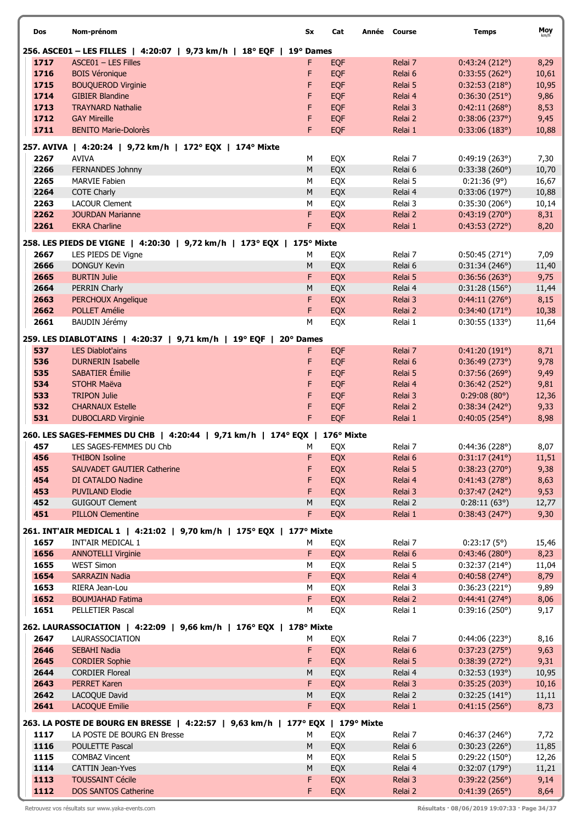| Dos          | Nom-prénom                                                                       | Sx              | Cat        | Année Course       | <b>Temps</b>                   | Moy<br>km/h   |
|--------------|----------------------------------------------------------------------------------|-----------------|------------|--------------------|--------------------------------|---------------|
|              | 256. ASCE01 - LES FILLES   4:20:07   9,73 km/h   18° EQF   19° Dames             |                 |            |                    |                                |               |
| 1717         | ASCE01 - LES Filles                                                              | F               | <b>EQF</b> | Relai 7            | 0:43:24(212°)                  | 8,29          |
| 1716         | <b>BOIS Véronique</b>                                                            | F               | <b>EQF</b> | Relai 6            | 0:33:55(262°)                  | 10,61         |
| 1715         | <b>BOUQUEROD Virginie</b>                                                        | F               | <b>EQF</b> | Relai 5            | 0:32:53(218°)                  | 10,95         |
| 1714         | <b>GIBIER Blandine</b>                                                           | F               | <b>EQF</b> | Relai 4            | 0:36:30(251°)                  | 9,86          |
| 1713         | <b>TRAYNARD Nathalie</b>                                                         | F               | <b>EQF</b> | Relai 3            | 0:42:11(268°)                  | 8,53          |
| 1712         | <b>GAY Mireille</b>                                                              | F               | <b>EQF</b> | Relai 2            | 0:38:06(237°)                  | 9,45          |
| 1711         | <b>BENITO Marie-Dolorès</b>                                                      | F               | <b>EQF</b> | Relai 1            | 0:33:06(183°)                  | 10,88         |
|              | 257. AVIVA   4:20:24   9,72 km/h   172° EQX   174° Mixte                         |                 |            |                    |                                |               |
| 2267         | <b>AVIVA</b>                                                                     | М               | EQX        | Relai 7            | 0:49:19(263°)                  | 7,30          |
| 2266         | FERNANDES Johnny                                                                 | ${\sf M}$       | EQX        | Relai 6            | 0:33:38(260°)                  | 10,70         |
| 2265         | MARVIE Fabien                                                                    | M               | EQX        | Relai 5            | 0:21:36(9°)                    | 16,67         |
| 2264<br>2263 | <b>COTE Charly</b><br><b>LACOUR Clement</b>                                      | M<br>M          | EQX<br>EQX | Relai 4<br>Relai 3 | 0:33:06(197°)<br>0:35:30(206°) | 10,88         |
| 2262         | <b>JOURDAN Marianne</b>                                                          | F               | EQX        | Relai 2            | 0:43:19(270°)                  | 10,14<br>8,31 |
| 2261         | <b>EKRA Charline</b>                                                             | F               | EQX        | Relai 1            | 0:43:53(272°)                  | 8,20          |
|              |                                                                                  |                 |            |                    |                                |               |
| 2667         | 258. LES PIEDS DE VIGNE   4:20:30   9,72 km/h   173° EQX  <br>LES PIEDS DE Viane | 175° Mixte<br>М | EQX        | Relai 7            | 0:50:45(271°)                  | 7,09          |
| 2666         | <b>DONGUY Kevin</b>                                                              | M               | EQX        | Relai 6            | 0:31:34(246°)                  | 11,40         |
| 2665         | <b>BURTIN Julie</b>                                                              | F               | EQX        | Relai 5            | 0:36:56(263°)                  | 9,75          |
| 2664         | PERRIN Charly                                                                    | M               | EQX        | Relai 4            | 0:31:28(156°)                  | 11,44         |
| 2663         | <b>PERCHOUX Angelique</b>                                                        | F               | EQX        | Relai 3            | 0:44:11(276°)                  | 8,15          |
| 2662         | POLLET Amélie                                                                    | F               | EQX        | Relai 2            | 0:34:40(171°)                  | 10,38         |
| 2661         | <b>BAUDIN Jérémy</b>                                                             | M               | EQX        | Relai 1            | 0:30:55(133°)                  | 11,64         |
|              | 259. LES DIABLOT'AINS   4:20:37   9,71 km/h   19° EQF   20° Dames                |                 |            |                    |                                |               |
| 537          | <b>LES Diablot'ains</b>                                                          | F               | <b>EQF</b> | Relai 7            | 0:41:20(191°)                  | 8,71          |
| 536          | <b>DURNERIN Isabelle</b>                                                         | F               | <b>EQF</b> | Relai 6            | 0:36:49(273°)                  | 9,78          |
| 535          | SABATIER Émilie                                                                  | F               | <b>EQF</b> | Relai 5            | 0:37:56(269°)                  | 9,49          |
| 534          | <b>STOHR Maëva</b>                                                               | F               | <b>EQF</b> | Relai 4            | 0:36:42(252°)                  | 9,81          |
| 533          | <b>TRIPON Julie</b>                                                              | F               | <b>EQF</b> | Relai 3            | 0:29:08(80°)                   | 12,36         |
| 532          | <b>CHARNAUX Estelle</b>                                                          | F               | <b>EQF</b> | Relai 2            | 0:38:34(242°)                  | 9,33          |
| 531          | <b>DUBOCLARD Virginie</b>                                                        | F.              | <b>EQF</b> | Relai 1            | $0:40:05(254^{\circ})$         | 8,98          |
|              | 260. LES SAGES-FEMMES DU CHB   4:20:44   9,71 km/h   174° EQX   176° Mixte       |                 |            |                    |                                |               |
| 457          | LES SAGES-FEMMES DU Chb                                                          | м               | EQX        | Relai 7            | 0:44:36(228°)                  | 8,07          |
| 456          | <b>THIBON Isoline</b>                                                            | F               | EQX        | Relai 6            | 0:31:17(241°)                  | 11,51         |
| 455          | SAUVADET GAUTIER Catherine                                                       | F               | EQX        | Relai 5            | 0:38:23(270°)                  | 9,38          |
| 454          | DI CATALDO Nadine                                                                | F               | <b>EQX</b> | Relai 4            | 0:41:43(278°)                  | 8,63          |
| 453          | <b>PUVILAND Elodie</b>                                                           | F               | EQX        | Relai 3            | 0:37:47(242°)                  | 9,53          |
| 452          | <b>GUIGOUT Clement</b>                                                           | M               | EQX        | Relai 2            | 0:28:11(63°)                   | 12,77         |
| 451          | <b>PILLON Clementine</b>                                                         | F               | EQX        | Relai 1            | 0:38:43(247°)                  | 9,30          |
|              | 261. INT'AIR MEDICAL 1   4:21:02   9,70 km/h   175° EQX   177° Mixte             |                 |            |                    |                                |               |
| 1657         | INT'AIR MEDICAL 1                                                                | М               | EQX        | Relai 7            | 0:23:17(5°)                    | 15,46         |
| 1656         | <b>ANNOTELLI Virginie</b>                                                        | F.              | <b>EQX</b> | Relai 6            | 0:43:46(280°)                  | 8,23          |
| 1655         | <b>WEST Simon</b>                                                                | М               | EQX        | Relai 5            | $0:32:37(214^{\circ})$         | 11,04         |
| 1654         | <b>SARRAZIN Nadia</b>                                                            | F.              | EQX        | Relai 4            | 0:40:58(274°)                  | 8,79          |
| 1653         | RIERA Jean-Lou                                                                   | М               | EQX        | Relai 3            | 0:36:23(221°)                  | 9,89          |
| 1652         | <b>BOUMJAHAD Fatima</b>                                                          | F               | EQX        | Relai 2            | 0:44:41(274°)                  | 8,06          |
| 1651         | PELLETIER Pascal                                                                 | М               | EQX        | Relai 1            | 0:39:16(250°)                  | 9,17          |
|              | 262. LAURASSOCIATION   4:22:09   9,66 km/h   176° EQX   178° Mixte               |                 |            |                    |                                |               |
| 2647         | LAURASSOCIATION                                                                  | М               | EQX        | Relai 7            | 0:44:06(223°)                  | 8,16          |
| 2646         | SEBAHI Nadia                                                                     | F               | <b>EQX</b> | Relai 6            | 0:37:23(275°)                  | 9,63          |
| 2645         | <b>CORDIER Sophie</b>                                                            | F               | EQX        | Relai 5            | 0:38:39(272°)                  | 9,31          |
| 2644         | <b>CORDIER Floreal</b>                                                           | M               | EQX        | Relai 4            | 0:32:53(193°)                  | 10,95         |
| 2643         | <b>PERRET Karen</b>                                                              | F               | EQX        | Relai 3            | 0:35:25(203°)                  | 10,16         |
| 2642         | LACOQUE David                                                                    | M               | EQX        | Relai 2            | 0:32:25(141°)                  | 11,11         |
| 2641         | <b>LACOQUE Emilie</b>                                                            | F               | EQX        | Relai 1            | 0:41:15(256°)                  | 8,73          |
|              | 263. LA POSTE DE BOURG EN BRESSE   4:22:57   9,63 km/h   177° EQX   179° Mixte   |                 |            |                    |                                |               |
| 1117         | LA POSTE DE BOURG EN Bresse                                                      | М               | EQX        | Relai 7            | 0:46:37(246°)                  | 7,72          |
| 1116         | <b>POULETTE Pascal</b>                                                           | M               | EQX        | Relai 6            | 0:30:23(226°)                  | 11,85         |
| 1115         | <b>COMBAZ Vincent</b>                                                            | М               | EQX        | Relai 5            | 0:29:22(150°)                  | 12,26         |
| 1114         | <b>CATTIN Jean-Yves</b>                                                          | M               | EQX        | Relai 4            | 0:32:07(179°)                  | 11,21         |
| 1113         | <b>TOUSSAINT Cécile</b>                                                          | F               | <b>EQX</b> | Relai 3            | 0:39:22(256°)                  | 9,14          |
| 1112         | <b>DOS SANTOS Catherine</b>                                                      | F               | EQX        | Relai 2            | 0:41:39(265°)                  | 8,64          |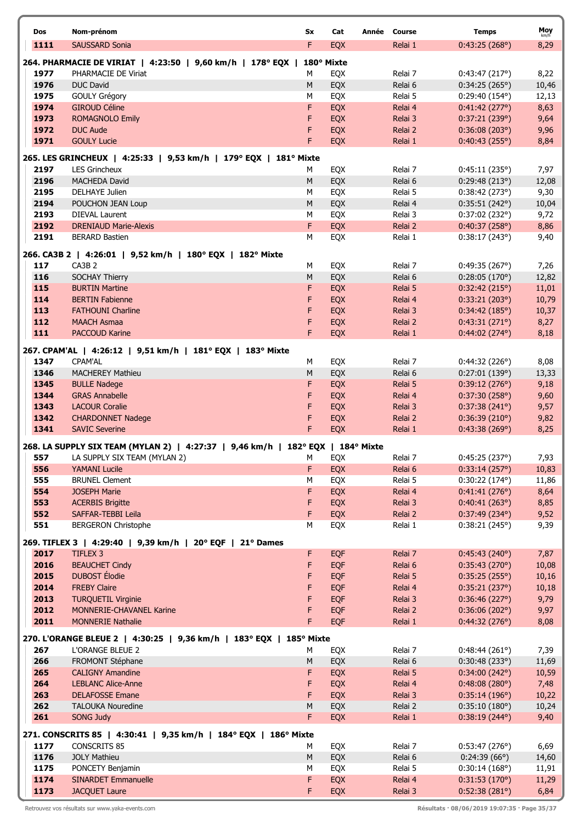| Dos          | Nom-prénom                                                                      | Sx      | Cat                      | Année Course       | <b>Temps</b>                   | Moy            |
|--------------|---------------------------------------------------------------------------------|---------|--------------------------|--------------------|--------------------------------|----------------|
| 1111         | <b>SAUSSARD Sonia</b>                                                           | F       | EQX                      | Relai 1            | 0:43:25(268°)                  | 8,29           |
|              | 264. PHARMACIE DE VIRIAT   4:23:50   9,60 km/h   178° EQX   180° Mixte          |         |                          |                    |                                |                |
| 1977         | PHARMACIE DE Viriat                                                             | м       | EQX                      | Relai 7            | 0:43:47(217°)                  | 8,22           |
| 1976         | <b>DUC David</b>                                                                | M       | EQX                      | Relai 6            | 0:34:25(265°)                  | 10,46          |
| 1975         | <b>GOULY Grégory</b>                                                            | М       | EQX                      | Relai 5            | $0:29:40(154^{\circ})$         | 12,13          |
| 1974         | <b>GIROUD Céline</b>                                                            | F       | EQX                      | Relai 4            | 0:41:42(277°)                  | 8,63           |
| 1973<br>1972 | <b>ROMAGNOLO Emily</b><br><b>DUC Aude</b>                                       | F<br>F  | EQX<br>EQX               | Relai 3<br>Relai 2 | 0:37:21(239°)<br>0:36:08(203°) | 9,64<br>9,96   |
| 1971         | <b>GOULY Lucie</b>                                                              | F       | EQX                      | Relai 1            | 0:40:43(255°)                  | 8,84           |
|              | 265. LES GRINCHEUX   4:25:33   9,53 km/h   179° EQX   181° Mixte                |         |                          |                    |                                |                |
| 2197         | <b>LES Grincheux</b>                                                            | М       | EQX                      | Relai 7            | 0:45:11(235°)                  | 7,97           |
| 2196         | <b>MACHEDA David</b>                                                            | M       | EQX                      | Relai 6            | 0:29:48(213°)                  | 12,08          |
| 2195         | <b>DELHAYE Julien</b>                                                           | М       | EQX                      | Relai 5            | 0:38:42(273°)                  | 9,30           |
| 2194         | POUCHON JEAN Loup                                                               | M       | EQX                      | Relai 4            | 0:35:51(242°)                  | 10,04          |
| 2193         | <b>DIEVAL Laurent</b>                                                           | M       | EQX                      | Relai 3            | 0:37:02(232°)                  | 9,72           |
| 2192         | <b>DRENIAUD Marie-Alexis</b>                                                    | F       | EQX                      | Relai 2            | 0:40:37(258°)                  | 8,86           |
| 2191         | <b>BERARD Bastien</b>                                                           | М       | EQX                      | Relai 1            | 0:38:17(243°)                  | 9,40           |
|              | 266. CA3B 2   4:26:01   9,52 km/h   180° EQX   182° Mixte                       |         |                          |                    |                                |                |
| 117          | CA3B <sub>2</sub>                                                               | М       | EQX                      | Relai 7            | 0:49:35(267)                   | 7,26           |
| 116<br>115   | SOCHAY Thierry<br><b>BURTIN Martine</b>                                         | M<br>F  | EQX<br>EQX               | Relai 6<br>Relai 5 | 0:28:05(170°)<br>0:32:42(215°) | 12,82<br>11,01 |
| 114          | <b>BERTIN Fabienne</b>                                                          | F       | EQX                      | Relai 4            | 0:33:21(203°)                  | 10,79          |
| 113          | <b>FATHOUNI Charline</b>                                                        | F       | EQX                      | Relai 3            | 0:34:42(185°)                  | 10,37          |
| 112          | <b>MAACH Asmaa</b>                                                              | F       | EQX                      | Relai 2            | 0:43:31(271°)                  | 8,27           |
| 111          | <b>PACCOUD Karine</b>                                                           | F       | EQX                      | Relai 1            | 0:44:02(274°)                  | 8,18           |
|              | 267. CPAM'AL   4:26:12   9,51 km/h   181° EQX   183° Mixte                      |         |                          |                    |                                |                |
| 1347         | <b>CPAM'AL</b>                                                                  | М       | EQX                      | Relai 7            | 0:44:32(226°)                  | 8,08           |
| 1346         | <b>MACHEREY Mathieu</b>                                                         | M       | EQX                      | Relai 6            | 0:27:01(139°)                  | 13,33          |
| 1345         | <b>BULLE Nadege</b>                                                             | F       | EQX                      | Relai 5            | 0:39:12(276°)                  | 9,18           |
| 1344         | <b>GRAS Annabelle</b>                                                           | F<br>F  | EQX                      | Relai 4            | 0:37:30(258°)                  | 9,60           |
| 1343<br>1342 | <b>LACOUR Coralie</b><br><b>CHARDONNET Nadege</b>                               | F       | EQX<br>EQX               | Relai 3<br>Relai 2 | 0:37:38(241°)<br>0:36:39(210°) | 9,57<br>9,82   |
| 1341         | <b>SAVIC Severine</b>                                                           | F       | EQX                      | Relai 1            | 0:43:38(269°)                  | 8,25           |
|              | 268. LA SUPPLY SIX TEAM (MYLAN 2)   4:27:37   9,46 km/h   182° EQX   184° Mixte |         |                          |                    |                                |                |
| 557          | LA SUPPLY SIX TEAM (MYLAN 2)                                                    | M       | EQX                      | Relai 7            | 0:45:25(237°)                  | 7,93           |
| 556          | <b>YAMANI Lucile</b>                                                            | F.      | <b>EQX</b>               | Relai 6            | 0:33:14(257°)                  | 10,83          |
| 555          | <b>BRUNEL Clement</b>                                                           | М       | EQX                      | Relai 5            | $0:30:22(174^{\circ})$         | 11,86          |
| 554          | <b>JOSEPH Marie</b>                                                             | F       | <b>EQX</b>               | Relai 4            | 0:41:41(276°)                  | 8,64           |
| 553          | <b>ACERBIS Brigitte</b>                                                         | F       | <b>EQX</b>               | Relai 3            | 0:40:41(263°)                  | 8,85           |
| 552<br>551   | SAFFAR-TEBBI Leila<br><b>BERGERON Christophe</b>                                | F<br>М  | EQX<br>EQX               | Relai 2<br>Relai 1 | 0:37:49(234°)<br>0:38:21(245°) | 9,52<br>9,39   |
|              |                                                                                 |         |                          |                    |                                |                |
|              | 269. TIFLEX 3   4:29:40   9,39 km/h   20° EQF   21° Dames                       |         |                          |                    |                                |                |
| 2017<br>2016 | TIFLEX 3<br><b>BEAUCHET Cindy</b>                                               | F.<br>F | <b>EQF</b><br><b>EQF</b> | Relai 7<br>Relai 6 | 0:45:43(240°)<br>0:35:43(270°) | 7,87<br>10,08  |
| 2015         | <b>DUBOST</b> Élodie                                                            | F       | <b>EQF</b>               | Relai 5            | 0:35:25(255°)                  | 10,16          |
| 2014         | <b>FREBY Claire</b>                                                             | F       | EQF                      | Relai 4            | 0:35:21(237°)                  | 10,18          |
| 2013         | <b>TURQUETIL Virginie</b>                                                       | F       | EQF                      | Relai 3            | 0:36:46(227°)                  | 9,79           |
| 2012         | MONNERIE-CHAVANEL Karine                                                        | F       | EQF                      | Relai 2            | 0:36:06(202°)                  | 9,97           |
| 2011         | <b>MONNERIE Nathalie</b>                                                        | F       | EQF                      | Relai 1            | 0:44:32(276°)                  | 8,08           |
|              | 270. L'ORANGE BLEUE 2   4:30:25   9,36 km/h   183° EQX   185° Mixte             |         |                          |                    |                                |                |
| 267          | L'ORANGE BLEUE 2                                                                | М       | EQX                      | Relai 7            | 0:48:44(261°)                  | 7,39           |
| 266          | FROMONT Stéphane                                                                | M       | EQX                      | Relai 6            | 0:30:48(233)                   | 11,69          |
| 265<br>264   | <b>CALIGNY Amandine</b><br><b>LEBLANC Alice-Anne</b>                            | F<br>F  | EQX<br>EQX               | Relai 5<br>Relai 4 | 0:34:00(242°)<br>0:48:08(280°) | 10,59<br>7,48  |
| 263          | <b>DELAFOSSE Emane</b>                                                          | F       | EQX                      | Relai 3            | 0:35:14(196°)                  | 10,22          |
| 262          | <b>TALOUKA Nouredine</b>                                                        | M       | EQX                      | Relai 2            | 0:35:10(180°)                  | 10,24          |
| 261          | SONG Judy                                                                       | F       | EQX                      | Relai 1            | $0:38:19(244^{\circ})$         | 9,40           |
|              | 271. CONSCRITS 85   4:30:41   9,35 km/h   184° EQX   186° Mixte                 |         |                          |                    |                                |                |
| 1177         | <b>CONSCRITS 85</b>                                                             | м       | EQX                      | Relai 7            | 0:53:47(276°)                  | 6,69           |
| 1176         | <b>JOLY Mathieu</b>                                                             | M       | EQX                      | Relai 6            | 0:24:39(66°)                   | 14,60          |
| 1175         | PONCETY Benjamin                                                                | М       | EQX                      | Relai 5            | 0:30:14(168°)                  | 11,91          |
| 1174         | <b>SINARDET Emmanuelle</b>                                                      | F       | EQX                      | Relai 4            | 0:31:53(170°)                  | 11,29          |
| 1173         | <b>JACQUET Laure</b>                                                            | F       | EQX                      | Relai 3            | 0:52:38(281°)                  | 6,84           |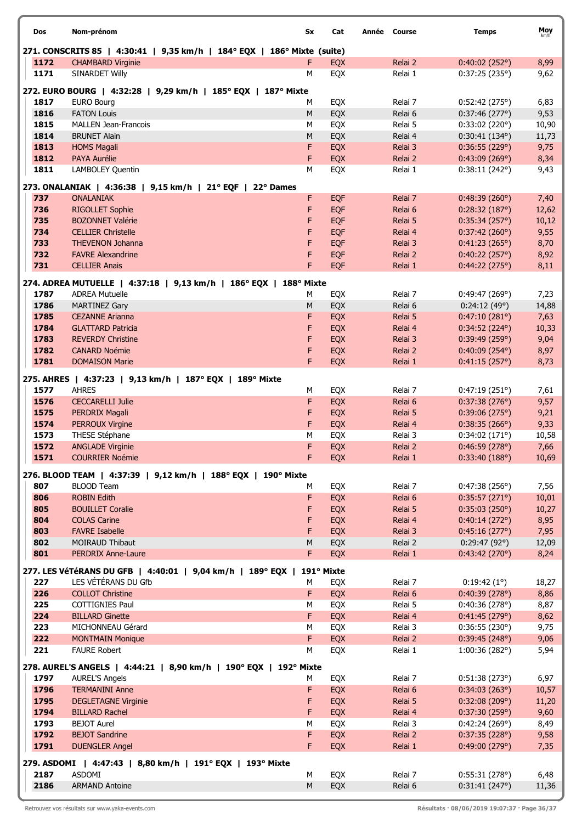| Dos          | Nom-prénom                                                              | Sx        | Cat        | Année Course       | <b>Temps</b>                   | Moy          |
|--------------|-------------------------------------------------------------------------|-----------|------------|--------------------|--------------------------------|--------------|
|              | 271. CONSCRITS 85   4:30:41   9,35 km/h   184° EQX   186° Mixte (suite) |           |            |                    |                                |              |
| 1172         | <b>CHAMBARD Virginie</b>                                                | F         | <b>EQX</b> | Relai 2            | 0:40:02(252°)                  | 8,99         |
| 1171         | <b>SINARDET Willy</b>                                                   | M         | EQX        | Relai 1            | 0:37:25(235°)                  | 9,62         |
|              | 272. EURO BOURG   4:32:28   9,29 km/h   185° EQX   187° Mixte           |           |            |                    |                                |              |
| 1817         | <b>EURO Bourg</b>                                                       | М         | EQX        | Relai 7            | 0:52:42(275°)                  | 6,83         |
| 1816         | <b>FATON Louis</b>                                                      | ${\sf M}$ | EQX        | Relai 6            | 0:37:46(277°)                  | 9,53         |
| 1815         | <b>MALLEN Jean-Francois</b>                                             | M         | EQX        | Relai 5            | 0:33:02(220°)                  | 10,90        |
| 1814         | <b>BRUNET Alain</b>                                                     | M         | EQX        | Relai 4            | $0:30:41(134^{\circ})$         | 11,73        |
| 1813         | <b>HOMS Magali</b>                                                      | F         | EQX        | Relai 3            | 0:36:55(229°)                  | 9,75         |
| 1812         | PAYA Aurélie                                                            | F         | EQX        | Relai 2            | 0:43:09(269°)                  | 8,34         |
| 1811         | LAMBOLEY Quentin                                                        | M         | EQX        | Relai 1            | 0:38:11(242°)                  | 9,43         |
|              | 273. ONALANIAK   4:36:38   9,15 km/h   21° EQF   22° Dames              |           |            |                    |                                |              |
| 737          | <b>ONALANIAK</b>                                                        | F         | <b>EQF</b> | Relai 7            | 0:48:39(260°)                  | 7,40         |
| 736          | <b>RIGOLLET Sophie</b>                                                  | F         | <b>EQF</b> | Relai 6            | 0:28:32(187°)                  | 12,62        |
| 735          | <b>BOZONNET Valérie</b>                                                 | F         | <b>EQF</b> | Relai 5            | 0:35:34(257°)                  | 10,12        |
| 734          | <b>CELLIER Christelle</b>                                               | F         | <b>EQF</b> | Relai 4            | 0:37:42(260°)                  | 9,55         |
| 733          | <b>THEVENON Johanna</b>                                                 | F         | <b>EQF</b> | Relai 3            | 0:41:23(265°)                  | 8,70         |
| 732          | <b>FAVRE Alexandrine</b>                                                | F         | <b>EQF</b> | Relai 2            | 0:40:22(257°)                  | 8,92         |
| 731          | <b>CELLIER Anais</b>                                                    | F         | EQF        | Relai 1            | 0:44:22(275°)                  | 8,11         |
|              | 274. ADREA MUTUELLE   4:37:18   9,13 km/h   186° EQX   188° Mixte       |           |            |                    |                                |              |
| 1787         | <b>ADREA Mutuelle</b>                                                   | М         | EQX        | Relai 7            | 0:49:47(269°)                  | 7,23         |
| 1786         | <b>MARTINEZ Gary</b>                                                    | М         | EQX        | Relai 6            | 0:24:12(49°)                   | 14,88        |
| 1785         | <b>CEZANNE Arianna</b>                                                  | F         | EQX        | Relai 5            | 0:47:10(281°)                  | 7,63         |
| 1784         | <b>GLATTARD Patricia</b>                                                | F         | EQX        | Relai 4            | 0:34:52(224°)                  | 10,33        |
| 1783         | <b>REVERDY Christine</b>                                                | F         | EQX        | Relai 3            | 0:39:49(259°)                  | 9,04         |
| 1782         | <b>CANARD Noémie</b>                                                    | F         | EQX        | Relai 2            | $0:40:09(254^{\circ})$         | 8,97         |
| 1781         | <b>DOMAISON Marie</b>                                                   | F         | EQX        | Relai 1            | 0:41:15(257°)                  | 8,73         |
|              | 275. AHRES   4:37:23   9,13 km/h   187° EQX   189° Mixte                |           |            |                    |                                |              |
| 1577         | <b>AHRES</b>                                                            | М         | EQX        | Relai 7            | 0:47:19(251°)                  | 7,61         |
| 1576         | <b>CECCARELLI Julie</b>                                                 | F         | EQX        | Relai 6            | 0:37:38(276°)                  | 9,57         |
| 1575         | PERDRIX Magali                                                          | F         | EQX        | Relai 5            | 0:39:06(275°)                  | 9,21         |
| 1574         | <b>PERROUX Virgine</b>                                                  | F         | EQX        | Relai 4            | 0:38:35(266°)                  | 9,33         |
| 1573         | THESE Stéphane                                                          | M         | EQX        | Relai 3            | 0:34:02(171°)                  | 10,58        |
| 1572         | <b>ANGLADE Virginie</b>                                                 | F         | <b>EQX</b> | Relai 2            | 0:46:59(278°)                  | 7,66         |
| 1571         | <b>COURRIER Noémie</b>                                                  | F         | <b>EOX</b> | Relai 1            | 0:33:40(188°)                  | 10,69        |
|              | 276. BLOOD TEAM   4:37:39   9,12 km/h   188° EQX   190° Mixte           |           |            |                    |                                |              |
| 807          | <b>BLOOD Team</b>                                                       | м         | EQX        | Relai 7            | 0:47:38(256°)                  | 7,56         |
| 806          | <b>ROBIN Edith</b>                                                      | F         | <b>EQX</b> | Relai 6            | 0:35:57(271°)                  | 10,01        |
| 805          | <b>BOUILLET Coralie</b>                                                 | F         | EQX        | Relai 5            | 0:35:03(250°)                  | 10,27        |
| 804          | <b>COLAS Carine</b>                                                     | F         | EQX        | Relai 4            | 0:40:14(272°)                  | 8,95         |
| 803          | <b>FAVRE Isabelle</b>                                                   | F         | EQX        | Relai 3            | 0:45:16(277°)                  | 7,95         |
| 802          | <b>MOIRAUD Thibaut</b>                                                  | M<br>F.   | EQX        | Relai 2            | 0:29:47(92°)                   | 12,09        |
| 801          | <b>PERDRIX Anne-Laure</b>                                               |           | EQX        | Relai 1            | 0:43:42(270°)                  | 8,24         |
|              | 277. LES VéTéRANS DU GFB   4:40:01   9,04 km/h   189° EQX               |           | 191° Mixte |                    |                                |              |
| 227          | LES VÉTÉRANS DU Gfb                                                     | М         | EQX        | Relai 7            | 0:19:42(1°)                    | 18,27        |
| 226          | <b>COLLOT Christine</b>                                                 | F.        | EQX        | Relai 6            | 0:40:39(278°)                  | 8,86         |
| 225          | <b>COTTIGNIES Paul</b>                                                  | М         | EQX        | Relai 5            | 0:40:36(278°)                  | 8,87         |
| 224          | <b>BILLARD Ginette</b>                                                  | F.        | EQX        | Relai 4            | 0:41:45(279°)                  | 8,62         |
| 223<br>222   | MICHONNEAU Gérard<br><b>MONTMAIN Monique</b>                            | М<br>F    | EQX<br>EQX | Relai 3<br>Relai 2 | 0:36:55(230°)<br>0:39:45(248°) | 9,75<br>9,06 |
| 221          | <b>FAURE Robert</b>                                                     | M         | EQX        | Relai 1            | 1:00:36(282°)                  | 5,94         |
|              |                                                                         |           |            |                    |                                |              |
|              | 278. AUREL'S ANGELS   4:44:21   8,90 km/h   190° EQX   192° Mixte       |           |            |                    |                                |              |
| 1797         | <b>AUREL'S Angels</b>                                                   | М         | EQX        | Relai 7            | 0:51:38(273°)                  | 6,97         |
| 1796         | <b>TERMANINI Anne</b>                                                   | F         | EQX        | Relai 6            | 0:34:03(263°)                  | 10,57        |
| 1795<br>1794 | <b>DEGLETAGNE Virginie</b><br><b>BILLARD Rachel</b>                     | F<br>F    | EQX        | Relai 5            | 0:32:08(209°)<br>0:37:30(259°) | 11,20        |
| 1793         | <b>BEJOT Aurel</b>                                                      | M         | EQX<br>EQX | Relai 4<br>Relai 3 | 0:42:24(269°)                  | 9,60<br>8,49 |
| 1792         | <b>BEJOT Sandrine</b>                                                   | F         | EQX        | Relai 2            | 0:37:35(228°)                  | 9,58         |
| 1791         | <b>DUENGLER Angel</b>                                                   | F.        | EQX        | Relai 1            | 0:49:00(279°)                  | 7,35         |
|              |                                                                         |           |            |                    |                                |              |
|              | 279. ASDOMI   4:47:43   8,80 km/h   191° EQX   193° Mixte               |           |            |                    |                                |              |
| 2187         | ASDOMI                                                                  | М         | EQX        | Relai 7            | 0:55:31(278°)                  | 6,48         |
| 2186         | <b>ARMAND Antoine</b>                                                   | M         | EQX        | Relai 6            | 0:31:41(247°)                  | 11,36        |